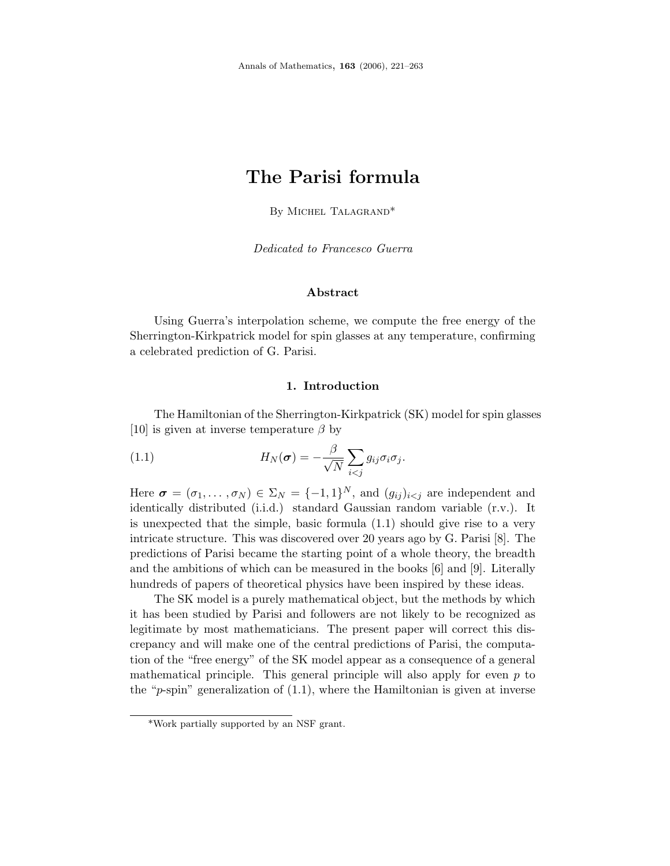# **The Parisi formula**

By Michel Talagrand\*

Dedicated to Francesco Guerra

#### **Abstract**

Using Guerra's interpolation scheme, we compute the free energy of the Sherrington-Kirkpatrick model for spin glasses at any temperature, confirming a celebrated prediction of G. Parisi.

# **1. Introduction**

The Hamiltonian of the Sherrington-Kirkpatrick (SK) model for spin glasses [10] is given at inverse temperature *β* by

(1.1) 
$$
H_N(\boldsymbol{\sigma}) = -\frac{\beta}{\sqrt{N}} \sum_{i < j} g_{ij} \sigma_i \sigma_j.
$$

Here  $\sigma = (\sigma_1, \ldots, \sigma_N) \in \Sigma_N = \{-1, 1\}^N$ , and  $(g_{ij})_{i \leq j}$  are independent and identically distributed (i.i.d.) standard Gaussian random variable (r.v.). It is unexpected that the simple, basic formula (1.1) should give rise to a very intricate structure. This was discovered over 20 years ago by G. Parisi [8]. The predictions of Parisi became the starting point of a whole theory, the breadth and the ambitions of which can be measured in the books [6] and [9]. Literally hundreds of papers of theoretical physics have been inspired by these ideas.

The SK model is a purely mathematical object, but the methods by which it has been studied by Parisi and followers are not likely to be recognized as legitimate by most mathematicians. The present paper will correct this discrepancy and will make one of the central predictions of Parisi, the computation of the "free energy" of the SK model appear as a consequence of a general mathematical principle. This general principle will also apply for even *p* to the "*p*-spin" generalization of (1.1), where the Hamiltonian is given at inverse

<sup>\*</sup>Work partially supported by an NSF grant.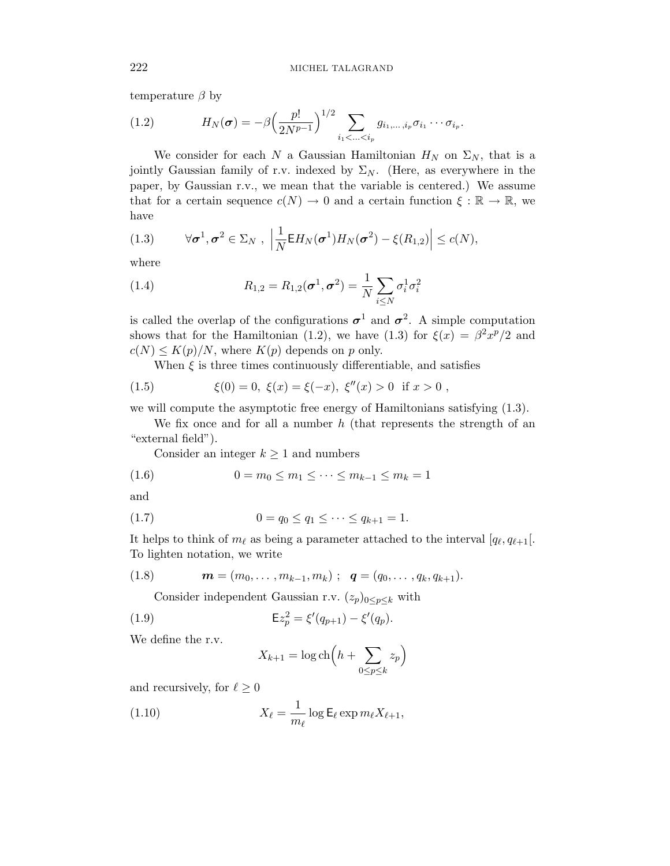temperature *β* by

(1.2) 
$$
H_N(\sigma) = -\beta \Big(\frac{p!}{2N^{p-1}}\Big)^{1/2} \sum_{i_1 < ... < i_p} g_{i_1, ..., i_p} \sigma_{i_1} \cdots \sigma_{i_p}.
$$

We consider for each *N* a Gaussian Hamiltonian  $H_N$  on  $\Sigma_N$ , that is a jointly Gaussian family of r.v. indexed by  $\Sigma_N$ . (Here, as everywhere in the paper, by Gaussian r.v., we mean that the variable is centered.) We assume that for a certain sequence  $c(N) \to 0$  and a certain function  $\xi : \mathbb{R} \to \mathbb{R}$ , we have

(1.3) 
$$
\forall \sigma^1, \sigma^2 \in \Sigma_N, \ \left| \frac{1}{N} \mathsf{E} H_N(\sigma^1) H_N(\sigma^2) - \xi(R_{1,2}) \right| \leq c(N),
$$

where

(1.4) 
$$
R_{1,2} = R_{1,2}(\sigma^1, \sigma^2) = \frac{1}{N} \sum_{i \leq N} \sigma_i^1 \sigma_i^2
$$

is called the overlap of the configurations  $\sigma^1$  and  $\sigma^2$ . A simple computation shows that for the Hamiltonian (1.2), we have (1.3) for  $\xi(x) = \beta^2 x^p/2$  and  $c(N) \leq K(p)/N$ , where  $K(p)$  depends on *p* only.

When  $\xi$  is three times continuously differentiable, and satisfies

(1.5) 
$$
\xi(0) = 0, \ \xi(x) = \xi(-x), \ \xi''(x) > 0 \ \text{ if } x > 0,
$$

we will compute the asymptotic free energy of Hamiltonians satisfying (1.3).

We fix once and for all a number *h* (that represents the strength of an "external field").

Consider an integer  $k \geq 1$  and numbers

$$
(1.6) \t 0 = m_0 \le m_1 \le \dots \le m_{k-1} \le m_k = 1
$$

and

$$
(1.7) \t\t 0 = q_0 \le q_1 \le \cdots \le q_{k+1} = 1.
$$

It helps to think of  $m_{\ell}$  as being a parameter attached to the interval  $[q_{\ell}, q_{\ell+1}]$ . To lighten notation, we write

(1.8) 
$$
\mathbf{m} = (m_0, \ldots, m_{k-1}, m_k) ; \mathbf{q} = (q_0, \ldots, q_k, q_{k+1}).
$$

Consider independent Gaussian r.v.  $(z_p)_{0 \leq p \leq k}$  with

(1.9) 
$$
\mathsf{E}z_p^2 = \xi'(q_{p+1}) - \xi'(q_p).
$$

We define the r.v.

$$
X_{k+1} = \log \text{ch}\left(h + \sum_{0 \le p \le k} z_p\right)
$$

and recursively, for  $\ell \geq 0$ 

(1.10) 
$$
X_{\ell} = \frac{1}{m_{\ell}} \log \mathsf{E}_{\ell} \exp m_{\ell} X_{\ell+1},
$$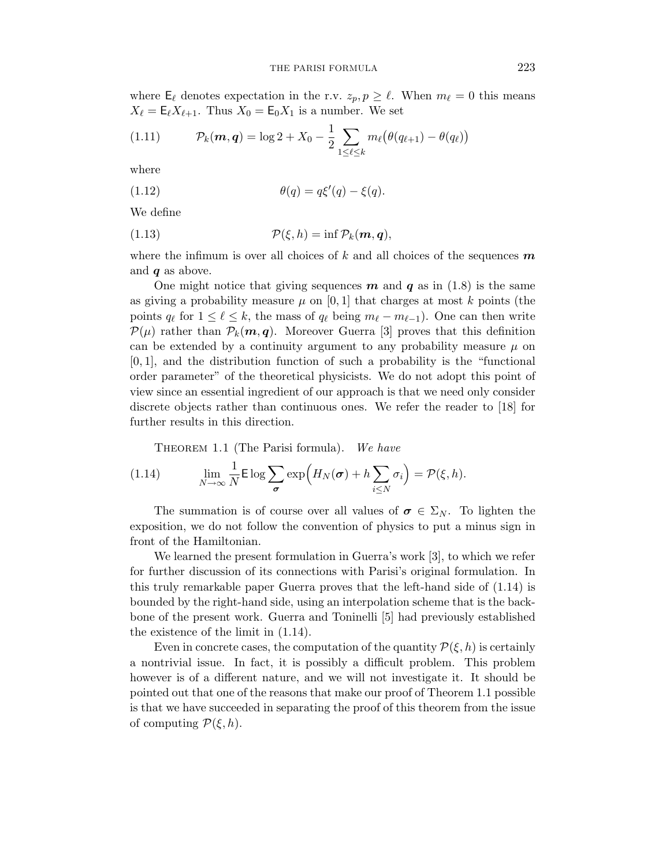where  $\mathsf{E}_{\ell}$  denotes expectation in the r.v.  $z_p, p \geq \ell$ . When  $m_{\ell} = 0$  this means  $X_{\ell} = \mathsf{E}_{\ell} X_{\ell+1}$ . Thus  $X_0 = \mathsf{E}_0 X_1$  is a number. We set

(1.11) 
$$
\mathcal{P}_k(m,q) = \log 2 + X_0 - \frac{1}{2} \sum_{1 \leq \ell \leq k} m_{\ell} \big( \theta(q_{\ell+1}) - \theta(q_{\ell}) \big)
$$

where

$$
\theta(q) = q\xi'(q) - \xi(q).
$$

We define

(1.13) 
$$
\mathcal{P}(\xi, h) = \inf \mathcal{P}_k(\mathbf{m}, \mathbf{q}),
$$

where the infimum is over all choices of *k* and all choices of the sequences *m* and *q* as above.

One might notice that giving sequences  $m$  and  $q$  as in (1.8) is the same as giving a probability measure  $\mu$  on [0, 1] that charges at most  $k$  points (the points  $q_{\ell}$  for  $1 \leq \ell \leq k$ , the mass of  $q_{\ell}$  being  $m_{\ell} - m_{\ell-1}$ ). One can then write  $\mathcal{P}(\mu)$  rather than  $\mathcal{P}_k(m, q)$ . Moreover Guerra [3] proves that this definition can be extended by a continuity argument to any probability measure  $\mu$  on [0*,* 1], and the distribution function of such a probability is the "functional order parameter" of the theoretical physicists. We do not adopt this point of view since an essential ingredient of our approach is that we need only consider discrete objects rather than continuous ones. We refer the reader to [18] for further results in this direction.

THEOREM 1.1 (The Parisi formula). We have

(1.14) 
$$
\lim_{N \to \infty} \frac{1}{N} \mathsf{E} \log \sum_{\sigma} \exp \Big( H_N(\sigma) + h \sum_{i \leq N} \sigma_i \Big) = \mathcal{P}(\xi, h).
$$

The summation is of course over all values of  $\sigma \in \Sigma_N$ . To lighten the exposition, we do not follow the convention of physics to put a minus sign in front of the Hamiltonian.

We learned the present formulation in Guerra's work [3], to which we refer for further discussion of its connections with Parisi's original formulation. In this truly remarkable paper Guerra proves that the left-hand side of (1.14) is bounded by the right-hand side, using an interpolation scheme that is the backbone of the present work. Guerra and Toninelli [5] had previously established the existence of the limit in (1.14).

Even in concrete cases, the computation of the quantity  $\mathcal{P}(\xi, h)$  is certainly a nontrivial issue. In fact, it is possibly a difficult problem. This problem however is of a different nature, and we will not investigate it. It should be pointed out that one of the reasons that make our proof of Theorem 1.1 possible is that we have succeeded in separating the proof of this theorem from the issue of computing  $\mathcal{P}(\xi, h)$ .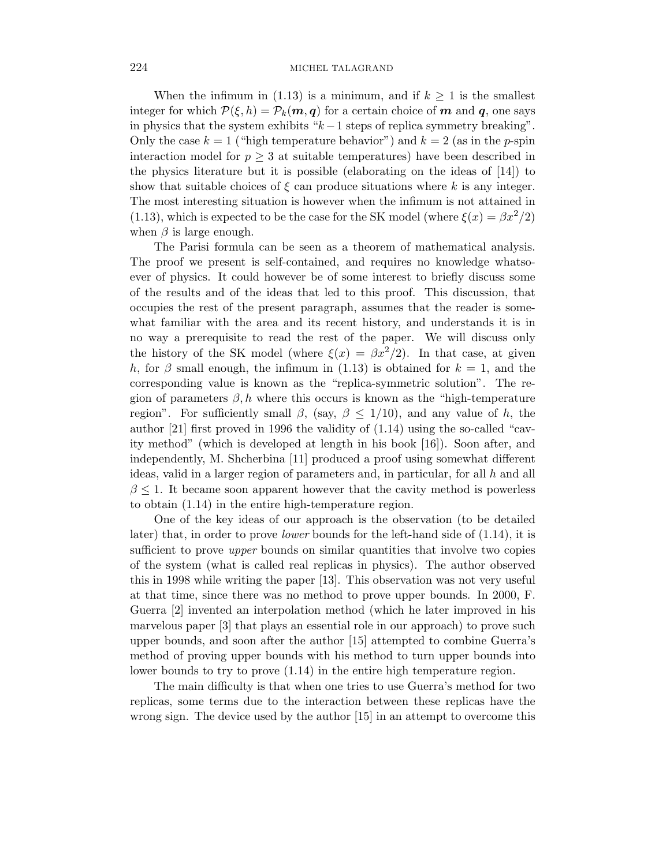When the infimum in (1.13) is a minimum, and if  $k \geq 1$  is the smallest integer for which  $P(\xi, h) = P_k(m, q)$  for a certain choice of m and q, one says in physics that the system exhibits "*k*−1 steps of replica symmetry breaking". Only the case  $k = 1$  ("high temperature behavior") and  $k = 2$  (as in the *p*-spin interaction model for  $p \geq 3$  at suitable temperatures) have been described in the physics literature but it is possible (elaborating on the ideas of [14]) to show that suitable choices of  $\xi$  can produce situations where  $k$  is any integer. The most interesting situation is however when the infimum is not attained in (1.13), which is expected to be the case for the SK model (where  $\xi(x) = \beta x^2/2$ ) when  $\beta$  is large enough.

The Parisi formula can be seen as a theorem of mathematical analysis. The proof we present is self-contained, and requires no knowledge whatsoever of physics. It could however be of some interest to briefly discuss some of the results and of the ideas that led to this proof. This discussion, that occupies the rest of the present paragraph, assumes that the reader is somewhat familiar with the area and its recent history, and understands it is in no way a prerequisite to read the rest of the paper. We will discuss only the history of the SK model (where  $\xi(x) = \beta x^2/2$ ). In that case, at given *h*, for *β* small enough, the infimum in (1.13) is obtained for  $k = 1$ , and the corresponding value is known as the "replica-symmetric solution". The region of parameters  $\beta$ , h where this occurs is known as the "high-temperature" region". For sufficiently small  $\beta$ , (say,  $\beta \leq 1/10$ ), and any value of *h*, the author [21] first proved in 1996 the validity of (1.14) using the so-called "cavity method" (which is developed at length in his book [16]). Soon after, and independently, M. Shcherbina [11] produced a proof using somewhat different ideas, valid in a larger region of parameters and, in particular, for all *h* and all  $\beta \leq 1$ . It became soon apparent however that the cavity method is powerless to obtain (1.14) in the entire high-temperature region.

One of the key ideas of our approach is the observation (to be detailed later) that, in order to prove lower bounds for the left-hand side of (1.14), it is sufficient to prove *upper* bounds on similar quantities that involve two copies of the system (what is called real replicas in physics). The author observed this in 1998 while writing the paper [13]. This observation was not very useful at that time, since there was no method to prove upper bounds. In 2000, F. Guerra [2] invented an interpolation method (which he later improved in his marvelous paper [3] that plays an essential role in our approach) to prove such upper bounds, and soon after the author [15] attempted to combine Guerra's method of proving upper bounds with his method to turn upper bounds into lower bounds to try to prove (1.14) in the entire high temperature region.

The main difficulty is that when one tries to use Guerra's method for two replicas, some terms due to the interaction between these replicas have the wrong sign. The device used by the author [15] in an attempt to overcome this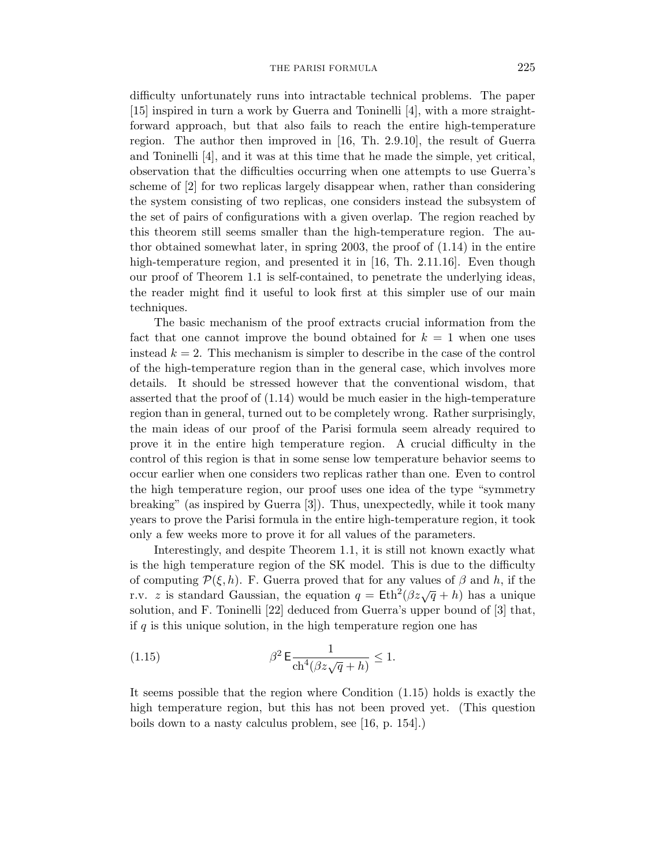difficulty unfortunately runs into intractable technical problems. The paper [15] inspired in turn a work by Guerra and Toninelli [4], with a more straightforward approach, but that also fails to reach the entire high-temperature region. The author then improved in [16, Th. 2.9.10], the result of Guerra and Toninelli [4], and it was at this time that he made the simple, yet critical, observation that the difficulties occurring when one attempts to use Guerra's scheme of [2] for two replicas largely disappear when, rather than considering the system consisting of two replicas, one considers instead the subsystem of the set of pairs of configurations with a given overlap. The region reached by this theorem still seems smaller than the high-temperature region. The author obtained somewhat later, in spring 2003, the proof of (1.14) in the entire high-temperature region, and presented it in [16, Th. 2.11.16]. Even though our proof of Theorem 1.1 is self-contained, to penetrate the underlying ideas, the reader might find it useful to look first at this simpler use of our main techniques.

The basic mechanism of the proof extracts crucial information from the fact that one cannot improve the bound obtained for  $k = 1$  when one uses instead  $k = 2$ . This mechanism is simpler to describe in the case of the control of the high-temperature region than in the general case, which involves more details. It should be stressed however that the conventional wisdom, that asserted that the proof of (1.14) would be much easier in the high-temperature region than in general, turned out to be completely wrong. Rather surprisingly, the main ideas of our proof of the Parisi formula seem already required to prove it in the entire high temperature region. A crucial difficulty in the control of this region is that in some sense low temperature behavior seems to occur earlier when one considers two replicas rather than one. Even to control the high temperature region, our proof uses one idea of the type "symmetry breaking" (as inspired by Guerra [3]). Thus, unexpectedly, while it took many years to prove the Parisi formula in the entire high-temperature region, it took only a few weeks more to prove it for all values of the parameters.

Interestingly, and despite Theorem 1.1, it is still not known exactly what is the high temperature region of the SK model. This is due to the difficulty of computing  $\mathcal{P}(\xi, h)$ . F. Guerra proved that for any values of  $\beta$  and  $h$ , if the r.v. *z* is standard Gaussian, the equation  $q = \text{Eth}^2(\beta z \sqrt{q} + h)$  has a unique solution, and F. Toninelli [22] deduced from Guerra's upper bound of [3] that, if *q* is this unique solution, in the high temperature region one has

(1.15) 
$$
\beta^2 \mathsf{E} \frac{1}{\mathsf{ch}^4(\beta z \sqrt{q} + h)} \le 1.
$$

It seems possible that the region where Condition (1.15) holds is exactly the high temperature region, but this has not been proved yet. (This question boils down to a nasty calculus problem, see [16, p. 154].)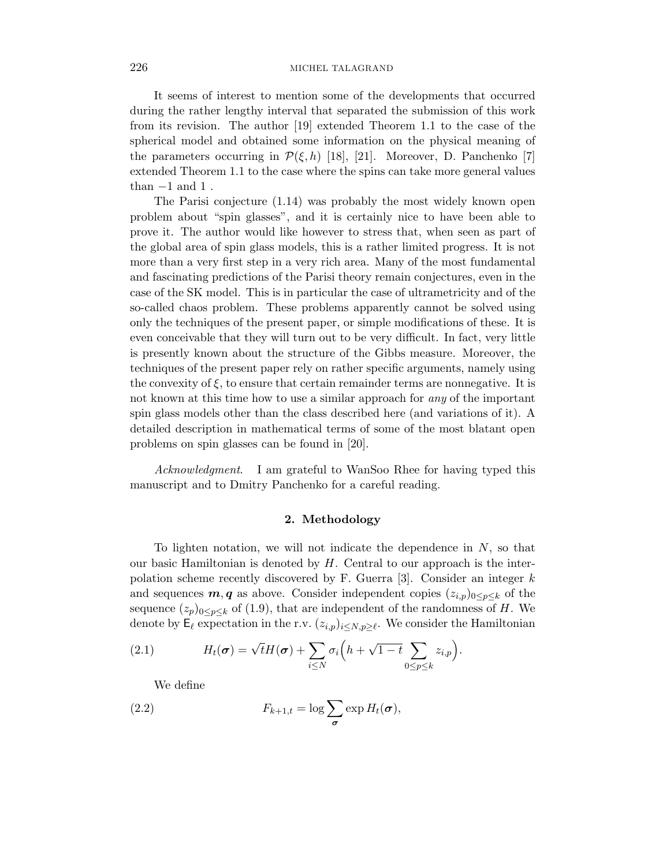It seems of interest to mention some of the developments that occurred during the rather lengthy interval that separated the submission of this work from its revision. The author [19] extended Theorem 1.1 to the case of the spherical model and obtained some information on the physical meaning of the parameters occurring in  $\mathcal{P}(\xi, h)$  [18], [21]. Moreover, D. Panchenko [7] extended Theorem 1.1 to the case where the spins can take more general values than  $-1$  and  $1$ .

The Parisi conjecture (1.14) was probably the most widely known open problem about "spin glasses", and it is certainly nice to have been able to prove it. The author would like however to stress that, when seen as part of the global area of spin glass models, this is a rather limited progress. It is not more than a very first step in a very rich area. Many of the most fundamental and fascinating predictions of the Parisi theory remain conjectures, even in the case of the SK model. This is in particular the case of ultrametricity and of the so-called chaos problem. These problems apparently cannot be solved using only the techniques of the present paper, or simple modifications of these. It is even conceivable that they will turn out to be very difficult. In fact, very little is presently known about the structure of the Gibbs measure. Moreover, the techniques of the present paper rely on rather specific arguments, namely using the convexity of  $\xi$ , to ensure that certain remainder terms are nonnegative. It is not known at this time how to use a similar approach for *any* of the important spin glass models other than the class described here (and variations of it). A detailed description in mathematical terms of some of the most blatant open problems on spin glasses can be found in [20].

Acknowledgment. I am grateful to WanSoo Rhee for having typed this manuscript and to Dmitry Panchenko for a careful reading.

#### **2. Methodology**

To lighten notation, we will not indicate the dependence in *N*, so that our basic Hamiltonian is denoted by *H*. Central to our approach is the interpolation scheme recently discovered by F. Guerra [3]. Consider an integer *k* and sequences  $m, q$  as above. Consider independent copies  $(z_{i,p})_{0 \leq p \leq k}$  of the sequence  $(z_p)_{0 \leq p \leq k}$  of (1.9), that are independent of the randomness of *H*. We denote by  $\mathsf{E}_{\ell}$  expectation in the r.v.  $(z_{i,p})_{i\leq N,p\geq \ell}$ . We consider the Hamiltonian

(2.1) 
$$
H_t(\boldsymbol{\sigma}) = \sqrt{t}H(\boldsymbol{\sigma}) + \sum_{i \leq N} \sigma_i \Big(h + \sqrt{1-t} \sum_{0 \leq p \leq k} z_{i,p}\Big).
$$

We define

(2.2) 
$$
F_{k+1,t} = \log \sum_{\sigma} \exp H_t(\sigma),
$$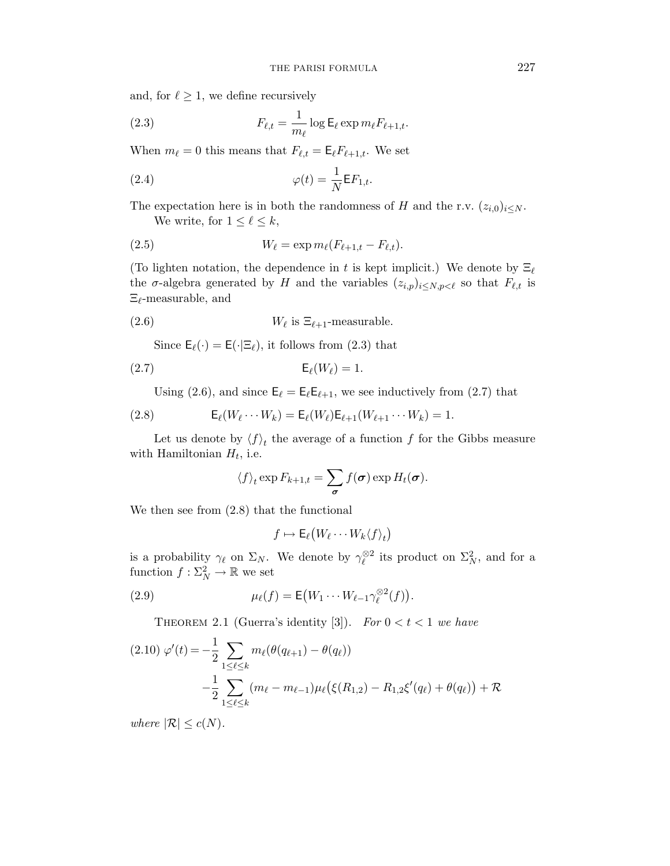and, for  $\ell \geq 1$ , we define recursively

(2.3) 
$$
F_{\ell,t} = \frac{1}{m_{\ell}} \log \mathsf{E}_{\ell} \exp m_{\ell} F_{\ell+1,t}.
$$

When  $m_{\ell} = 0$  this means that  $F_{\ell,t} = \mathsf{E}_{\ell} F_{\ell+1,t}$ . We set

(2.4) 
$$
\varphi(t) = \frac{1}{N} \mathsf{E} F_{1,t}.
$$

The expectation here is in both the randomness of *H* and the r.v.  $(z_{i,0})_{i\leq N}$ . We write, for  $1 \leq \ell \leq k$ ,

(2.5) 
$$
W_{\ell} = \exp m_{\ell} (F_{\ell+1,t} - F_{\ell,t}).
$$

(To lighten notation, the dependence in *t* is kept implicit.) We denote by  $\Xi_{\ell}$ the  $\sigma$ -algebra generated by *H* and the variables  $(z_{i,p})_{i\leq N,p<\ell}$  so that  $F_{\ell,t}$  is  $\Xi_{\ell}$ -measurable, and

(2.6) 
$$
W_{\ell}
$$
 is  $\Xi_{\ell+1}$ -measurable.

Since  $E_{\ell}(\cdot) = E(\cdot | \Xi_{\ell})$ , it follows from (2.3) that

$$
E_{\ell}(W_{\ell}) = 1.
$$

Using (2.6), and since  $\mathsf{E}_{\ell} = \mathsf{E}_{\ell} \mathsf{E}_{\ell+1}$ , we see inductively from (2.7) that

(2.8) 
$$
\mathsf{E}_{\ell}(W_{\ell}\cdots W_{k})=\mathsf{E}_{\ell}(W_{\ell})\mathsf{E}_{\ell+1}(W_{\ell+1}\cdots W_{k})=1.
$$

Let us denote by  $\langle f \rangle_t$  the average of a function  $f$  for the Gibbs measure with Hamiltonian  $H_t$ , i.e.

$$
\langle f \rangle_t \exp F_{k+1,t} = \sum_{\boldsymbol{\sigma}} f(\boldsymbol{\sigma}) \exp H_t(\boldsymbol{\sigma}).
$$

We then see from (2.8) that the functional

$$
f \mapsto \mathsf{E}_{\ell}(W_{\ell} \cdots W_{k} \langle f \rangle_{t})
$$

is a probability  $\gamma_{\ell}$  on  $\Sigma_N$ . We denote by  $\gamma_{\ell}^{\otimes 2}$  its product on  $\Sigma_N^2$ , and for a function  $f: \Sigma_N^2 \to \mathbb{R}$  we set

(2.9) 
$$
\mu_{\ell}(f) = \mathsf{E}\big(W_1 \cdots W_{\ell-1} \gamma_{\ell}^{\otimes 2}(f)\big).
$$

THEOREM 2.1 (Guerra's identity [3]). For  $0 < t < 1$  we have

$$
(2.10) \ \varphi'(t) = -\frac{1}{2} \sum_{1 \leq \ell \leq k} m_{\ell}(\theta(q_{\ell+1}) - \theta(q_{\ell}))
$$

$$
-\frac{1}{2} \sum_{1 \leq \ell \leq k} (m_{\ell} - m_{\ell-1}) \mu_{\ell}(\xi(R_{1,2}) - R_{1,2}\xi'(q_{\ell}) + \theta(q_{\ell})) + \mathcal{R}
$$

where  $|\mathcal{R}| \leq c(N)$ .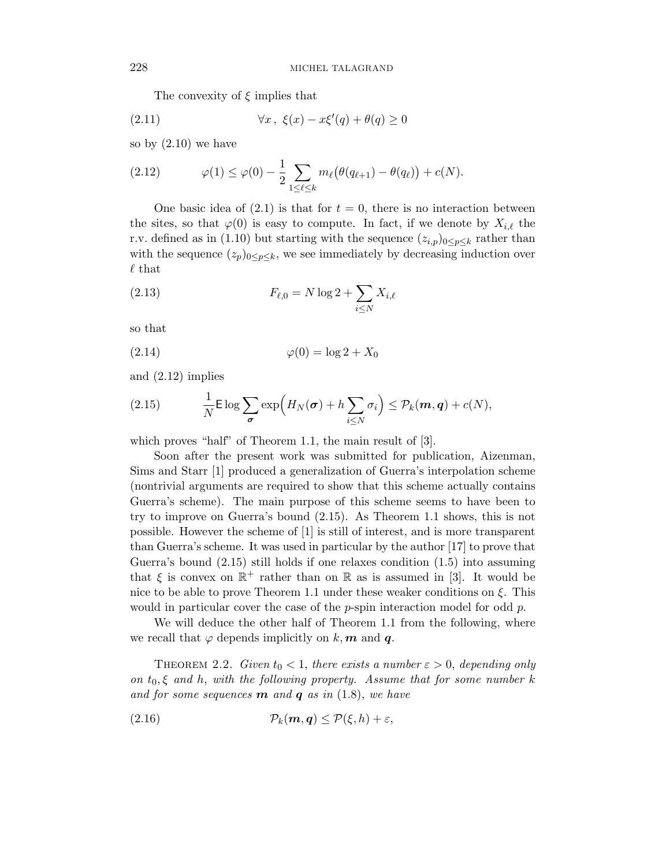The convexity of *ξ* implies that

(2.11) 
$$
\forall x, \xi(x) - x\xi'(q) + \theta(q) \ge 0
$$

so by (2.10) we have

(2.12) 
$$
\varphi(1) \leq \varphi(0) - \frac{1}{2} \sum_{1 \leq \ell \leq k} m_{\ell} (\theta(q_{\ell+1}) - \theta(q_{\ell})) + c(N).
$$

One basic idea of  $(2.1)$  is that for  $t = 0$ , there is no interaction between the sites, so that  $\varphi(0)$  is easy to compute. In fact, if we denote by  $X_{i,\ell}$  the r.v. defined as in (1.10) but starting with the sequence  $(z_{i,p})_{0 \leq p \leq k}$  rather than with the sequence  $(z_p)_{0\leq p\leq k}$ , we see immediately by decreasing induction over  $\ell$  that

(2.13) 
$$
F_{\ell,0} = N \log 2 + \sum_{i \le N} X_{i,\ell}
$$

so that

$$
\varphi(0) = \log 2 + X_0
$$

and (2.12) implies

(2.15) 
$$
\frac{1}{N} \mathsf{E} \log \sum_{\boldsymbol{\sigma}} \exp \Big(H_N(\boldsymbol{\sigma}) + h \sum_{i \leq N} \sigma_i \Big) \leq \mathcal{P}_k(\boldsymbol{m}, \boldsymbol{q}) + c(N),
$$

which proves "half" of Theorem 1.1, the main result of [3].

Soon after the present work was submitted for publication, Aizenman, Sims and Starr [1] produced a generalization of Guerra's interpolation scheme (nontrivial arguments are required to show that this scheme actually contains Guerra's scheme). The main purpose of this scheme seems to have been to try to improve on Guerra's bound (2.15). As Theorem 1.1 shows, this is not possible. However the scheme of [1] is still of interest, and is more transparent than Guerra's scheme. It was used in particular by the author [17] to prove that Guerra's bound (2.15) still holds if one relaxes condition (1.5) into assuming that  $\xi$  is convex on  $\mathbb{R}^+$  rather than on  $\mathbb R$  as is assumed in [3]. It would be nice to be able to prove Theorem 1.1 under these weaker conditions on  $\xi$ . This would in particular cover the case of the *p*-spin interaction model for odd *p*.

We will deduce the other half of Theorem 1.1 from the following, where we recall that  $\varphi$  depends implicitly on  $k, m$  and  $q$ .

THEOREM 2.2. Given  $t_0 < 1$ , there exists a number  $\varepsilon > 0$ , depending only on *t*0*, ξ* and *h*, with the following property. Assume that for some number *k* and for some sequences *m* and *q* as in (1.8), we have

$$
(2.16) \t\t\t \mathcal{P}_k(m,q) \leq \mathcal{P}(\xi,h) + \varepsilon,
$$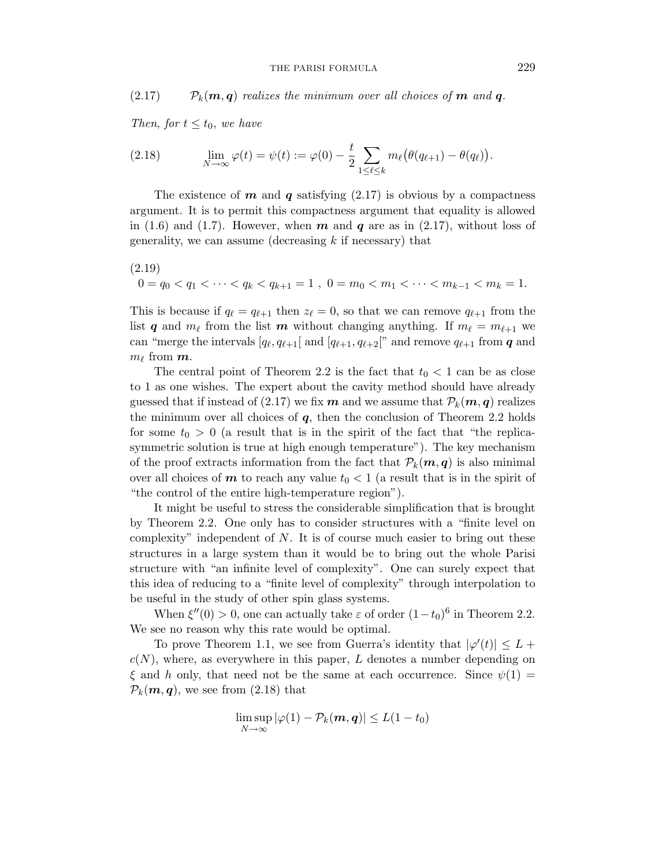$P_k(m,q)$  realizes the minimum over all choices of **m** and **q**.

Then, for  $t \le t_0$ , we have

(2.18) 
$$
\lim_{N \to \infty} \varphi(t) = \psi(t) := \varphi(0) - \frac{t}{2} \sum_{1 \leq \ell \leq k} m_{\ell} (\theta(q_{\ell+1}) - \theta(q_{\ell})).
$$

The existence of  $m$  and  $q$  satisfying  $(2.17)$  is obvious by a compactness argument. It is to permit this compactness argument that equality is allowed in  $(1.6)$  and  $(1.7)$ . However, when  $m$  and  $q$  are as in  $(2.17)$ , without loss of generality, we can assume (decreasing *k* if necessary) that

(2.19) 
$$
0 = q_0 < q_1 < \cdots < q_k < q_{k+1} = 1 \,, \ 0 = m_0 < m_1 < \cdots < m_{k-1} < m_k = 1.
$$

This is because if  $q_{\ell} = q_{\ell+1}$  then  $z_{\ell} = 0$ , so that we can remove  $q_{\ell+1}$  from the list *q* and  $m_{\ell}$  from the list *m* without changing anything. If  $m_{\ell} = m_{\ell+1}$  we can "merge the intervals  $[q_{\ell}, q_{\ell+1}]$  and  $[q_{\ell+1}, q_{\ell+2}]$ " and remove  $q_{\ell+1}$  from  $q$  and  $m_\ell$  from  $m$ .

The central point of Theorem 2.2 is the fact that  $t_0 < 1$  can be as close to 1 as one wishes. The expert about the cavity method should have already guessed that if instead of (2.17) we fix  $m$  and we assume that  $P_k(m, q)$  realizes the minimum over all choices of *q*, then the conclusion of Theorem 2.2 holds for some  $t_0 > 0$  (a result that is in the spirit of the fact that "the replicasymmetric solution is true at high enough temperature"). The key mechanism of the proof extracts information from the fact that  $P_k(m, q)$  is also minimal over all choices of  $m$  to reach any value  $t_0 < 1$  (a result that is in the spirit of "the control of the entire high-temperature region").

It might be useful to stress the considerable simplification that is brought by Theorem 2.2. One only has to consider structures with a "finite level on complexity" independent of *N*. It is of course much easier to bring out these structures in a large system than it would be to bring out the whole Parisi structure with "an infinite level of complexity". One can surely expect that this idea of reducing to a "finite level of complexity" through interpolation to be useful in the study of other spin glass systems.

When  $\xi''(0) > 0$ , one can actually take  $\varepsilon$  of order  $(1-t_0)^6$  in Theorem 2.2. We see no reason why this rate would be optimal.

To prove Theorem 1.1, we see from Guerra's identity that  $|\varphi'(t)| \leq L + \frac{1}{2}$ *c*(*N*), where, as everywhere in this paper, *L* denotes a number depending on *ξ* and *h* only, that need not be the same at each occurrence. Since  $\psi(1)$  =  $P_k(m,q)$ , we see from  $(2.18)$  that

$$
\limsup_{N\to\infty} |\varphi(1)-\mathcal{P}_k(\boldsymbol m, \boldsymbol q)|\leq L(1-t_0)
$$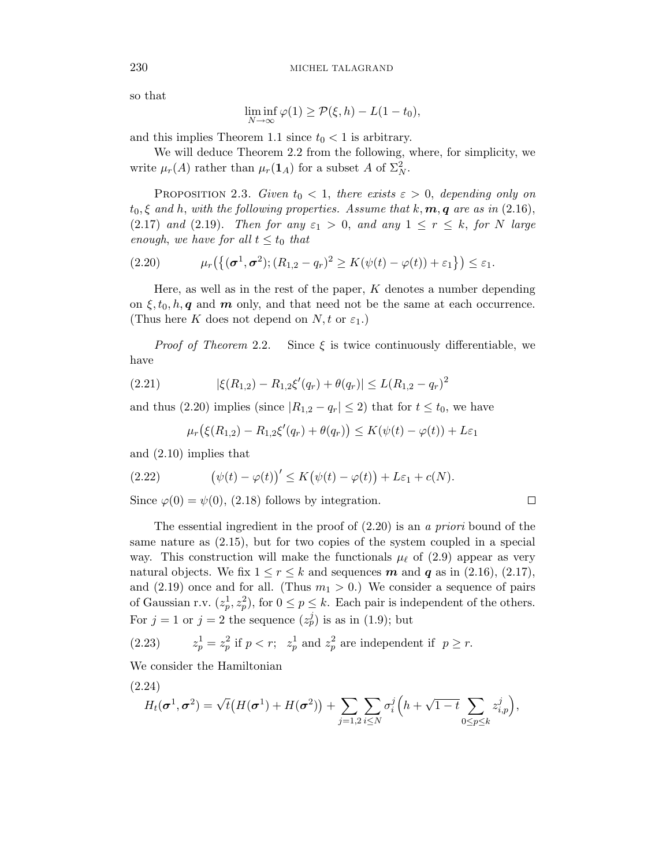so that

$$
\liminf_{N \to \infty} \varphi(1) \ge \mathcal{P}(\xi, h) - L(1 - t_0),
$$

and this implies Theorem 1.1 since  $t_0 < 1$  is arbitrary.

We will deduce Theorem 2.2 from the following, where, for simplicity, we write  $\mu_r(A)$  rather than  $\mu_r(\mathbf{1}_A)$  for a subset A of  $\Sigma_N^2$ .

PROPOSITION 2.3. Given  $t_0 < 1$ , there exists  $\varepsilon > 0$ , depending only on  $t_0, \xi$  and *h*, with the following properties. Assume that  $k, m, q$  are as in (2.16), (2.17) and (2.19). Then for any  $\varepsilon_1 > 0$ , and any  $1 \leq r \leq k$ , for *N* large enough, we have for all  $t \leq t_0$  that

$$
(2.20) \qquad \mu_r\big(\big\{(\boldsymbol{\sigma}^1,\boldsymbol{\sigma}^2);(R_{1,2}-q_r)^2\geq K(\psi(t)-\varphi(t))+\varepsilon_1\big\}\big)\leq \varepsilon_1.
$$

Here, as well as in the rest of the paper, *K* denotes a number depending on  $\xi, t_0, h, q$  and  $m$  only, and that need not be the same at each occurrence. (Thus here *K* does not depend on *N*, t or  $\varepsilon_1$ .)

*Proof of Theorem* 2.2. Since  $\xi$  is twice continuously differentiable, we have

(2.21) 
$$
|\xi(R_{1,2}) - R_{1,2}\xi'(q_r) + \theta(q_r)| \le L(R_{1,2} - q_r)^2
$$

and thus (2.20) implies (since  $|R_{1,2} - q_r| \leq 2$ ) that for  $t \leq t_0$ , we have

$$
\mu_r(\xi(R_{1,2}) - R_{1,2}\xi'(q_r) + \theta(q_r)) \le K(\psi(t) - \varphi(t)) + L\varepsilon_1
$$

and (2.10) implies that

(2.22) 
$$
\left(\psi(t) - \varphi(t)\right)' \le K\left(\psi(t) - \varphi(t)\right) + L\varepsilon_1 + c(N).
$$

Since  $\varphi(0) = \psi(0)$ , (2.18) follows by integration.

The essential ingredient in the proof of  $(2.20)$  is an a priori bound of the same nature as (2.15), but for two copies of the system coupled in a special way. This construction will make the functionals  $\mu_{\ell}$  of (2.9) appear as very natural objects. We fix  $1 \leq r \leq k$  and sequences **m** and **q** as in (2.16), (2.17), and  $(2.19)$  once and for all. (Thus  $m_1 > 0$ .) We consider a sequence of pairs of Gaussian r.v.  $(z_p^1, z_p^2)$ , for  $0 \le p \le k$ . Each pair is independent of the others. For  $j = 1$  or  $j = 2$  the sequence  $(z_p^j)$  is as in (1.9); but

(2.23) 
$$
z_p^1 = z_p^2
$$
 if  $p < r$ ;  $z_p^1$  and  $z_p^2$  are independent if  $p \ge r$ .

We consider the Hamiltonian

(2.24)

$$
H_t(\boldsymbol{\sigma}^1, \boldsymbol{\sigma}^2) = \sqrt{t}(H(\boldsymbol{\sigma}^1) + H(\boldsymbol{\sigma}^2)) + \sum_{j=1,2} \sum_{i \leq N} \sigma_i^j \left(h + \sqrt{1-t} \sum_{0 \leq p \leq k} z_{i,p}^j\right),
$$

$$
\Box
$$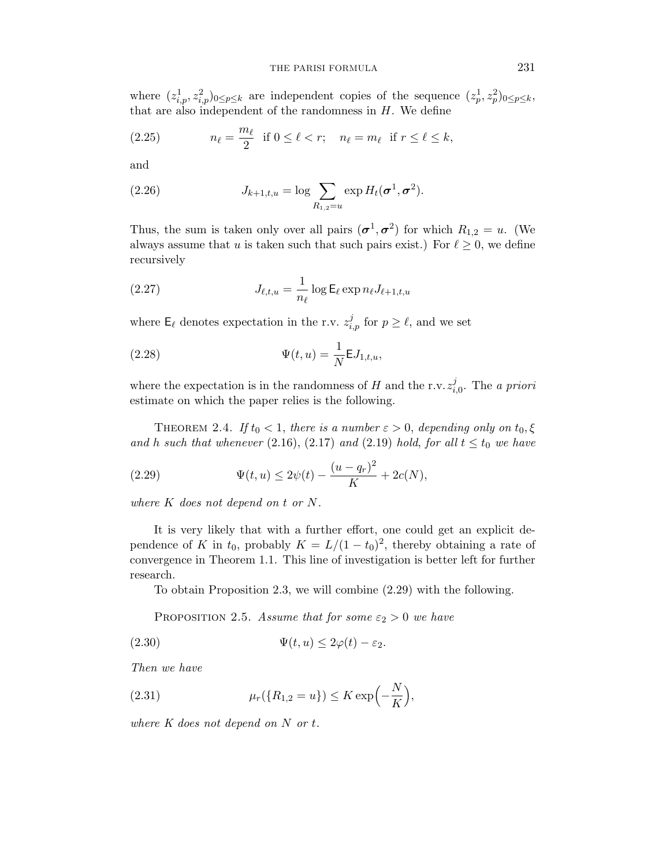where  $(z_{i,p}^1, z_{i,p}^2)_{0 \leq p \leq k}$  are independent copies of the sequence  $(z_p^1, z_p^2)_{0 \leq p \leq k}$ , that are also independent of the randomness in *H*. We define

(2.25) 
$$
n_{\ell} = \frac{m_{\ell}}{2} \text{ if } 0 \leq \ell < r; \quad n_{\ell} = m_{\ell} \text{ if } r \leq \ell \leq k,
$$

and

(2.26) 
$$
J_{k+1,t,u} = \log \sum_{R_{1,2}=u} \exp H_t(\sigma^1, \sigma^2).
$$

Thus, the sum is taken only over all pairs  $(\sigma^1, \sigma^2)$  for which  $R_{1,2} = u$ . (We always assume that *u* is taken such that such pairs exist.) For  $\ell \geq 0$ , we define recursively

(2.27) 
$$
J_{\ell,t,u} = \frac{1}{n_{\ell}} \log \mathsf{E}_{\ell} \exp n_{\ell} J_{\ell+1,t,u}
$$

where  $\mathsf{E}_{\ell}$  denotes expectation in the r.v.  $z_{i,p}^j$  for  $p \geq \ell$ , and we set

(2.28) 
$$
\Psi(t, u) = \frac{1}{N} \mathsf{E} J_{1, t, u},
$$

where the expectation is in the randomness of *H* and the r.v.  $z_{i,0}^j$ . The a priori estimate on which the paper relies is the following.

THEOREM 2.4. If  $t_0 < 1$ , there is a number  $\varepsilon > 0$ , depending only on  $t_0, \xi$ and *h* such that whenever (2.16), (2.17) and (2.19) hold, for all  $t \le t_0$  we have

(2.29) 
$$
\Psi(t, u) \leq 2\psi(t) - \frac{(u - q_r)^2}{K} + 2c(N),
$$

where *K* does not depend on *t* or *N*.

It is very likely that with a further effort, one could get an explicit dependence of *K* in  $t_0$ , probably  $K = L/(1-t_0)^2$ , thereby obtaining a rate of convergence in Theorem 1.1. This line of investigation is better left for further research.

To obtain Proposition 2.3, we will combine (2.29) with the following.

PROPOSITION 2.5. Assume that for some  $\varepsilon_2 > 0$  we have

(2.30) 
$$
\Psi(t, u) \leq 2\varphi(t) - \varepsilon_2.
$$

Then we have

(2.31) 
$$
\mu_r(\{R_{1,2} = u\}) \le K \exp\left(-\frac{N}{K}\right),
$$

where K does not depend on *N* or *t*.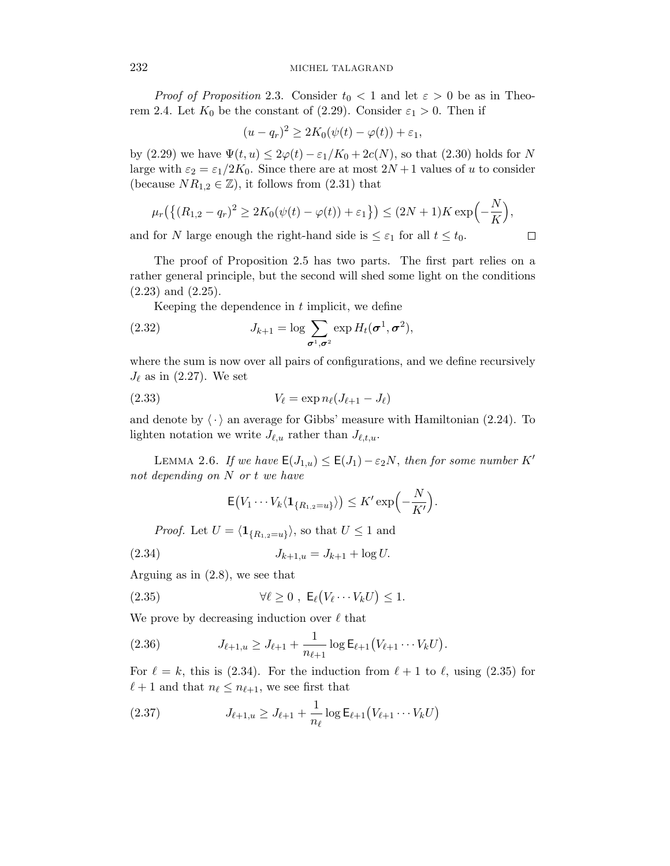*Proof of Proposition* 2.3. Consider  $t_0 < 1$  and let  $\varepsilon > 0$  be as in Theorem 2.4. Let  $K_0$  be the constant of (2.29). Consider  $\varepsilon_1 > 0$ . Then if

$$
(u-qr)2 \ge 2K0(\psi(t) - \varphi(t)) + \varepsilon_1,
$$

by (2.29) we have  $\Psi(t, u) \leq 2\varphi(t) - \varepsilon_1/K_0 + 2c(N)$ , so that (2.30) holds for *N* large with  $\varepsilon_2 = \varepsilon_1/2K_0$ . Since there are at most  $2N+1$  values of *u* to consider (because  $NR_{1,2} \in \mathbb{Z}$ ), it follows from (2.31) that

$$
\mu_r(\{(R_{1,2} - q_r)^2 \ge 2K_0(\psi(t) - \varphi(t)) + \varepsilon_1\}) \le (2N + 1)K \exp\left(-\frac{N}{K}\right),
$$

and for *N* large enough the right-hand side is  $\leq \varepsilon_1$  for all  $t \leq t_0$ .

$$
\Box
$$

The proof of Proposition 2.5 has two parts. The first part relies on a rather general principle, but the second will shed some light on the conditions (2.23) and (2.25).

Keeping the dependence in *t* implicit, we define

(2.32) 
$$
J_{k+1} = \log \sum_{\sigma^1, \sigma^2} \exp H_t(\sigma^1, \sigma^2),
$$

where the sum is now over all pairs of configurations, and we define recursively  $J_{\ell}$  as in  $(2.27)$ . We set

$$
(2.33) \t\t V_{\ell} = \exp n_{\ell}(J_{\ell+1} - J_{\ell})
$$

and denote by  $\langle \cdot \rangle$  an average for Gibbs' measure with Hamiltonian (2.24). To lighten notation we write  $J_{\ell,u}$  rather than  $J_{\ell,t,u}$ .

LEMMA 2.6. If we have  $E(J_{1,u}) \leq E(J_1) - \varepsilon_2 N$ , then for some number  $K'$ not depending on *N* or *t* we have

$$
\mathsf{E}\big(V_1\cdots V_k\langle \mathbf{1}_{\{R_{1,2}=u\}}\rangle\big)\leq K'\exp\bigl(-\frac{N}{K'}\bigr).
$$

*Proof.* Let  $U = \langle \mathbf{1}_{\{R_{1,2}=u\}} \rangle$ , so that  $U \leq 1$  and

$$
(2.34) \t\t J_{k+1,u} = J_{k+1} + \log U.
$$

Arguing as in (2.8), we see that

(2.35) 
$$
\forall \ell \geq 0 , E_{\ell}(V_{\ell} \cdots V_{k} U) \leq 1.
$$

We prove by decreasing induction over  $\ell$  that

(2.36) 
$$
J_{\ell+1,u} \geq J_{\ell+1} + \frac{1}{n_{\ell+1}} \log \mathsf{E}_{\ell+1} (V_{\ell+1} \cdots V_k U).
$$

For  $\ell = k$ , this is (2.34). For the induction from  $\ell + 1$  to  $\ell$ , using (2.35) for  $\ell + 1$  and that  $n_{\ell} \leq n_{\ell+1}$ , we see first that

(2.37) 
$$
J_{\ell+1,u} \geq J_{\ell+1} + \frac{1}{n_{\ell}} \log \mathsf{E}_{\ell+1} (V_{\ell+1} \cdots V_k U)
$$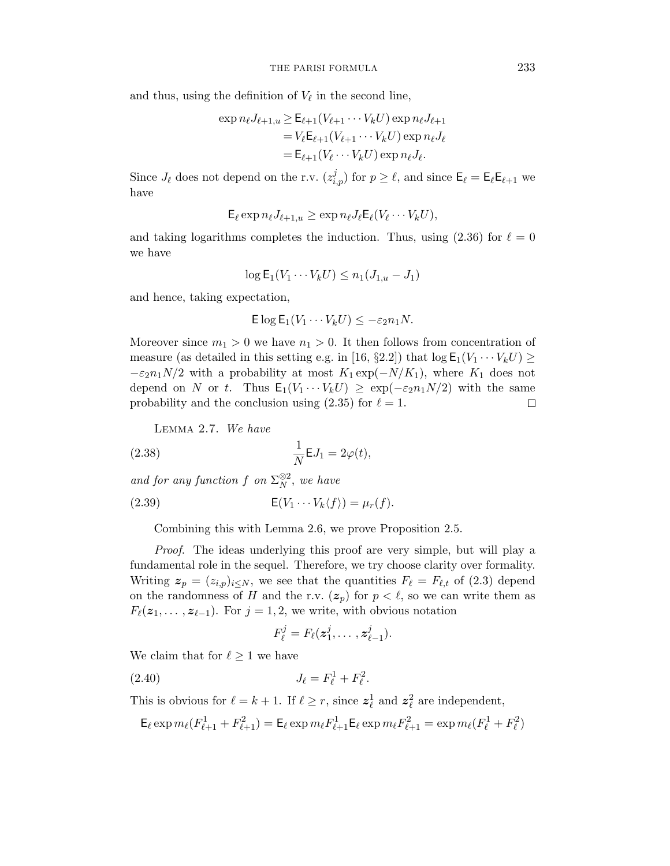and thus, using the definition of  $V_{\ell}$  in the second line,

$$
\exp n_{\ell}J_{\ell+1,u} \geq \mathsf{E}_{\ell+1}(V_{\ell+1}\cdots V_kU) \exp n_{\ell}J_{\ell+1}
$$
  
=  $V_{\ell}\mathsf{E}_{\ell+1}(V_{\ell+1}\cdots V_kU) \exp n_{\ell}J_{\ell}$   
=  $\mathsf{E}_{\ell+1}(V_{\ell}\cdots V_kU) \exp n_{\ell}J_{\ell}.$ 

Since  $J_{\ell}$  does not depend on the r.v.  $(z_{i,p}^j)$  for  $p \geq \ell$ , and since  $\mathsf{E}_{\ell} = \mathsf{E}_{\ell} \mathsf{E}_{\ell+1}$  we have

$$
\mathsf{E}_{\ell} \exp n_{\ell} J_{\ell+1,u} \geq \exp n_{\ell} J_{\ell} \mathsf{E}_{\ell} (V_{\ell} \cdots V_{k} U),
$$

and taking logarithms completes the induction. Thus, using (2.36) for  $\ell = 0$ we have

$$
\log \mathsf{E}_1(V_1 \cdots V_k U) \le n_1 (J_{1,u} - J_1)
$$

and hence, taking expectation,

$$
\mathsf{E}\log\mathsf{E}_1(V_1\cdots V_kU)\leq -\varepsilon_2n_1N.
$$

Moreover since  $m_1 > 0$  we have  $n_1 > 0$ . It then follows from concentration of measure (as detailed in this setting e.g. in [16, §2.2]) that  $\log \mathsf{E}_1(V_1 \cdots V_k U) \geq$  $-\varepsilon_2 n_1 N/2$  with a probability at most  $K_1 \exp(-N/K_1)$ , where  $K_1$  does not depend on *N* or *t*. Thus  $E_1(V_1 \cdots V_k U) \ge \exp(-\varepsilon_2 n_1 N/2)$  with the same probability and the conclusion using (2.35) for  $\ell = 1$ . □

LEMMA 2.7. We have

(2.38) 
$$
\frac{1}{N} \mathsf{E} J_1 = 2\varphi(t),
$$

and for any function f on  $\Sigma_N^{\otimes 2}$ , we have

(2.39) 
$$
\mathsf{E}(V_1 \cdots V_k \langle f \rangle) = \mu_r(f).
$$

Combining this with Lemma 2.6, we prove Proposition 2.5.

Proof. The ideas underlying this proof are very simple, but will play a fundamental role in the sequel. Therefore, we try choose clarity over formality. Writing  $z_p = (z_{i,p})_{i \leq N}$ , we see that the quantities  $F_\ell = F_{\ell,t}$  of (2.3) depend on the randomness of *H* and the r.v.  $(z_p)$  for  $p < l$ , so we can write them as  $F_{\ell}(z_1,\ldots,z_{\ell-1})$ . For  $j=1,2$ , we write, with obvious notation

$$
F^j_\ell=F_\ell({\boldsymbol z}^j_1,\ldots,{\boldsymbol z}^j_{\ell-1}).
$$

We claim that for  $\ell \geq 1$  we have

(2.40) 
$$
J_{\ell} = F_{\ell}^1 + F_{\ell}^2.
$$

This is obvious for  $\ell = k + 1$ . If  $\ell \geq r$ , since  $z_{\ell}^1$  and  $z_{\ell}^2$  are independent,

$$
\mathsf{E}_{\ell} \exp m_{\ell} (F_{\ell+1}^1 + F_{\ell+1}^2) = \mathsf{E}_{\ell} \exp m_{\ell} F_{\ell+1}^1 \mathsf{E}_{\ell} \exp m_{\ell} F_{\ell+1}^2 = \exp m_{\ell} (F_{\ell}^1 + F_{\ell}^2)
$$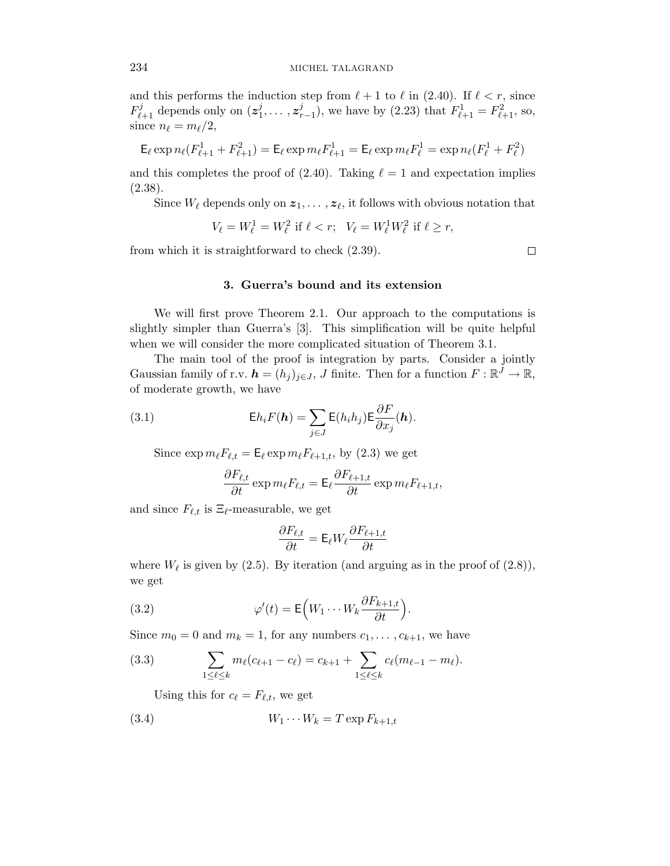and this performs the induction step from  $\ell + 1$  to  $\ell$  in (2.40). If  $\ell < r$ , since  $F_{\ell+1}^j$  depends only on  $(z_1^j, \ldots, z_{r-1}^j)$ , we have by (2.23) that  $F_{\ell+1}^1 = F_{\ell+1}^2$ , so, since  $n_\ell = m_\ell/2$ ,

$$
\mathsf{E}_{\ell} \exp n_{\ell} (F_{\ell+1}^1 + F_{\ell+1}^2) = \mathsf{E}_{\ell} \exp m_{\ell} F_{\ell+1}^1 = \mathsf{E}_{\ell} \exp m_{\ell} F_{\ell}^1 = \exp n_{\ell} (F_{\ell}^1 + F_{\ell}^2)
$$

and this completes the proof of (2.40). Taking  $\ell = 1$  and expectation implies  $(2.38).$ 

Since  $W_{\ell}$  depends only on  $z_1, \ldots, z_{\ell}$ , it follows with obvious notation that

$$
V_{\ell}=W_{\ell}^1=W_{\ell}^2 \text{ if } \ell < r; \quad V_{\ell}=W_{\ell}^1W_{\ell}^2 \text{ if } \ell \geq r,
$$

from which it is straightforward to check (2.39).

### **3. Guerra's bound and its extension**

We will first prove Theorem 2.1. Our approach to the computations is slightly simpler than Guerra's [3]. This simplification will be quite helpful when we will consider the more complicated situation of Theorem 3.1.

The main tool of the proof is integration by parts. Consider a jointly Gaussian family of r.v.  $\mathbf{h} = (h_j)_{j \in J}$ , *J* finite. Then for a function  $F : \mathbb{R}^J \to \mathbb{R}$ , of moderate growth, we have

(3.1) 
$$
\mathsf{E}h_i F(\mathbf{h}) = \sum_{j \in J} \mathsf{E}(h_i h_j) \mathsf{E} \frac{\partial F}{\partial x_j}(\mathbf{h}).
$$

Since  $\exp m_{\ell}F_{\ell,t} = \mathsf{E}_{\ell} \exp m_{\ell}F_{\ell+1,t}$ , by (2.3) we get

$$
\frac{\partial F_{\ell,t}}{\partial t} \exp m_{\ell} F_{\ell,t} = \mathsf{E}_{\ell} \frac{\partial F_{\ell+1,t}}{\partial t} \exp m_{\ell} F_{\ell+1,t},
$$

and since  $F_{\ell,t}$  is  $\Xi_{\ell}$ -measurable, we get

$$
\frac{\partial F_{\ell,t}}{\partial t} = \mathsf{E}_{\ell} W_{\ell} \frac{\partial F_{\ell+1,t}}{\partial t}
$$

where  $W_{\ell}$  is given by (2.5). By iteration (and arguing as in the proof of (2.8)), we get

(3.2) 
$$
\varphi'(t) = \mathsf{E}\Big(W_1 \cdots W_k \frac{\partial F_{k+1,t}}{\partial t}\Big).
$$

Since  $m_0 = 0$  and  $m_k = 1$ , for any numbers  $c_1, \ldots, c_{k+1}$ , we have

(3.3) 
$$
\sum_{1 \leq \ell \leq k} m_{\ell}(c_{\ell+1} - c_{\ell}) = c_{k+1} + \sum_{1 \leq \ell \leq k} c_{\ell}(m_{\ell-1} - m_{\ell}).
$$

Using this for  $c_{\ell} = F_{\ell,t}$ , we get

$$
(3.4) \t W_1 \cdots W_k = T \exp F_{k+1,t}
$$

$$
\Box
$$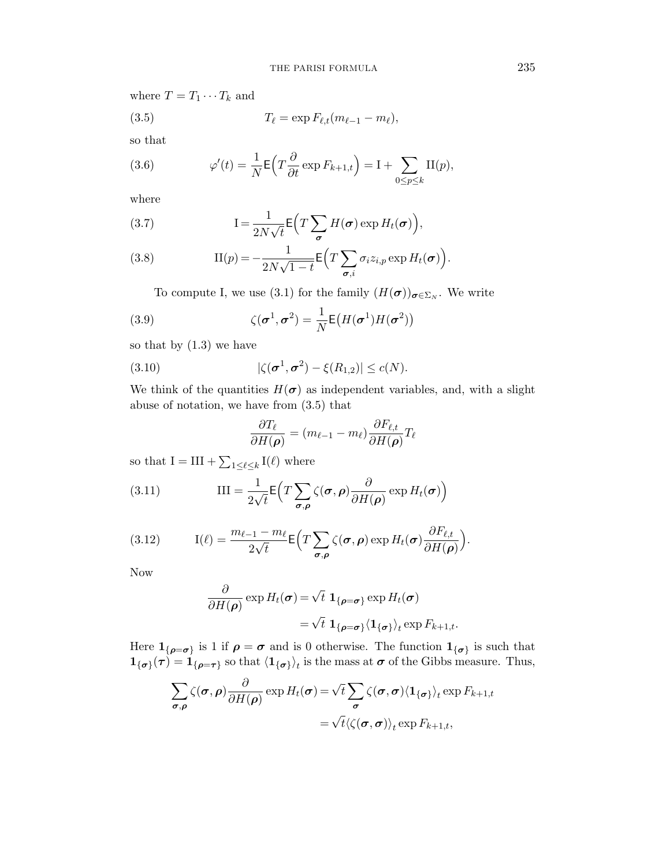where  $T = T_1 \cdots T_k$  and

$$
(3.5) \t\t T_{\ell} = \exp F_{\ell,t}(m_{\ell-1} - m_{\ell}),
$$

so that

(3.6) 
$$
\varphi'(t) = \frac{1}{N} \mathsf{E}\left(T\frac{\partial}{\partial t} \exp F_{k+1,t}\right) = \mathbf{I} + \sum_{0 \le p \le k} \mathbf{II}(p),
$$

where

(3.7) 
$$
I = \frac{1}{2N\sqrt{t}} E\left(T\sum_{\sigma} H(\sigma) \exp H_t(\sigma)\right),
$$

(3.8) 
$$
\Pi(p) = -\frac{1}{2N\sqrt{1-t}} \mathsf{E}\Big(T\sum_{\sigma,i} \sigma_i z_{i,p} \exp H_t(\sigma)\Big).
$$

To compute I, we use (3.1) for the family  $(H(\sigma))_{\sigma \in \Sigma_N}$ . We write

(3.9) 
$$
\zeta(\boldsymbol{\sigma}^1, \boldsymbol{\sigma}^2) = \frac{1}{N} \mathsf{E}\big(H(\boldsymbol{\sigma}^1)H(\boldsymbol{\sigma}^2)\big)
$$

so that by  $(1.3)$  we have

(3.10) 
$$
|\zeta(\sigma^1, \sigma^2) - \xi(R_{1,2})| \le c(N).
$$

We think of the quantities  $H(\sigma)$  as independent variables, and, with a slight abuse of notation, we have from (3.5) that

$$
\frac{\partial T_{\ell}}{\partial H(\boldsymbol{\rho})} = (m_{\ell-1} - m_{\ell}) \frac{\partial F_{\ell,t}}{\partial H(\boldsymbol{\rho})} T_{\ell}
$$

so that  $I = III + \sum_{1 \leq \ell \leq k} I(\ell)$  where

(3.11) 
$$
\text{III} = \frac{1}{2\sqrt{t}} \mathsf{E}\left(T\sum_{\boldsymbol{\sigma},\boldsymbol{\rho}} \zeta(\boldsymbol{\sigma},\boldsymbol{\rho}) \frac{\partial}{\partial H(\boldsymbol{\rho})} \exp H_t(\boldsymbol{\sigma})\right)
$$

(3.12) 
$$
I(\ell) = \frac{m_{\ell-1} - m_{\ell}}{2\sqrt{t}} E\Big(T \sum_{\sigma,\rho} \zeta(\sigma,\rho) \exp H_t(\sigma) \frac{\partial F_{\ell,t}}{\partial H(\rho)}\Big).
$$

Now

$$
\frac{\partial}{\partial H(\rho)} \exp H_t(\sigma) = \sqrt{t} \, \mathbf{1}_{\{\rho = \sigma\}} \exp H_t(\sigma)
$$
\n
$$
= \sqrt{t} \, \mathbf{1}_{\{\rho = \sigma\}} \langle \mathbf{1}_{\{\sigma\}} \rangle_t \exp F_{k+1,t}.
$$

Here  $1_{\{\rho=\sigma\}}$  is 1 if  $\rho=\sigma$  and is 0 otherwise. The function  $1_{\{\sigma\}}$  is such that  $1_{\{\sigma\}}(\tau) = 1_{\{\rho=\tau\}}$  so that  $\langle 1_{\{\sigma\}}\rangle_t$  is the mass at  $\sigma$  of the Gibbs measure. Thus,

$$
\sum_{\sigma,\rho} \zeta(\sigma,\rho) \frac{\partial}{\partial H(\rho)} \exp H_t(\sigma) = \sqrt{t} \sum_{\sigma} \zeta(\sigma,\sigma) \langle \mathbf{1}_{\{\sigma\}} \rangle_t \exp F_{k+1,t}
$$

$$
= \sqrt{t} \langle \zeta(\sigma,\sigma) \rangle_t \exp F_{k+1,t},
$$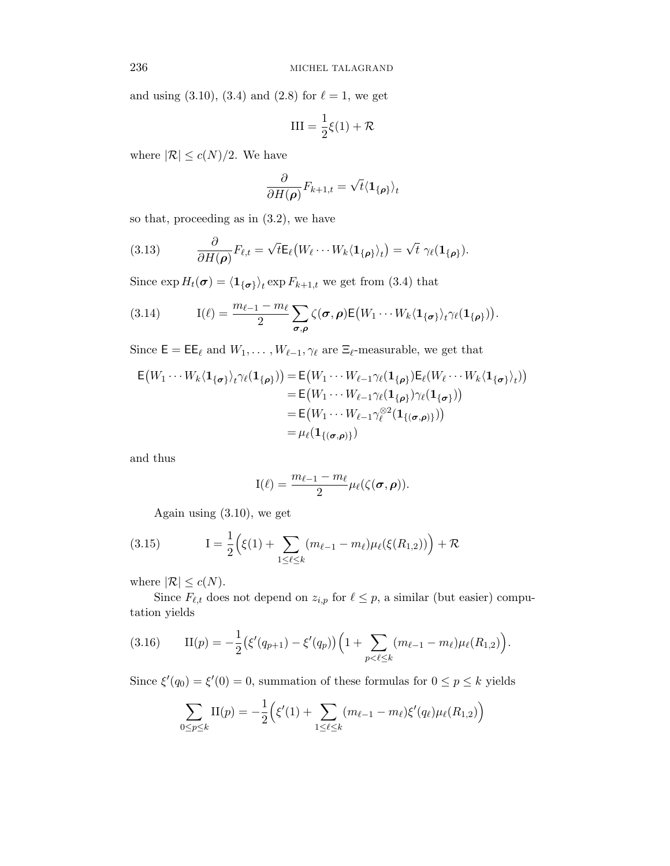and using  $(3.10)$ ,  $(3.4)$  and  $(2.8)$  for  $\ell = 1$ , we get

$$
III = \frac{1}{2}\xi(1) + \mathcal{R}
$$

where  $|\mathcal{R}| \leq c(N)/2$ . We have

$$
\frac{\partial}{\partial H(\boldsymbol{\rho})} F_{k+1,t} = \sqrt{t} \langle \mathbf{1}_{\{\boldsymbol{\rho}\}} \rangle_t
$$

so that, proceeding as in (3.2), we have

(3.13) 
$$
\frac{\partial}{\partial H(\rho)} F_{\ell,t} = \sqrt{t} \mathsf{E}_{\ell} (W_{\ell} \cdots W_{k} \langle \mathbf{1}_{\{\rho\}} \rangle_{t}) = \sqrt{t} \ \gamma_{\ell} (\mathbf{1}_{\{\rho\}}).
$$

Since  $\exp H_t(\sigma) = \langle \mathbf{1}_{\{\sigma\}} \rangle_t \exp F_{k+1,t}$  we get from (3.4) that

(3.14) 
$$
I(\ell) = \frac{m_{\ell-1} - m_{\ell}}{2} \sum_{\sigma,\rho} \zeta(\sigma,\rho) E(W_1 \cdots W_k \langle \mathbf{1}_{\{\sigma\}} \rangle_t \gamma_{\ell}(\mathbf{1}_{\{\rho\}})).
$$

Since  $\mathsf{E} = \mathsf{E}\mathsf{E}_{\ell}$  and  $W_1,\ldots,W_{\ell-1},\gamma_{\ell}$  are  $\Xi_{\ell}$ -measurable, we get that

$$
\begin{aligned} \mathsf{E}\big(W_1 \cdots W_k \langle \mathbf{1}_{\{\sigma\}} \rangle_t \gamma_\ell (\mathbf{1}_{\{\rho\}}) \big) &= \mathsf{E}\big(W_1 \cdots W_{\ell-1} \gamma_\ell (\mathbf{1}_{\{\rho\}}) \mathsf{E}_\ell (W_\ell \cdots W_k \langle \mathbf{1}_{\{\sigma\}} \rangle_t) \big) \\ &= \mathsf{E}\big(W_1 \cdots W_{\ell-1} \gamma_\ell (\mathbf{1}_{\{\rho\}}) \gamma_\ell (\mathbf{1}_{\{\sigma\}}) \big) \\ &= \mathsf{E}\big(W_1 \cdots W_{\ell-1} \gamma_\ell^{\otimes 2} (\mathbf{1}_{\{\{\sigma,\rho\}}\}) \big) \\ &= \mu_\ell (\mathbf{1}_{\{\{\sigma,\rho\}}\}) \end{aligned}
$$

and thus

$$
I(\ell) = \frac{m_{\ell-1}-m_{\ell}}{2} \mu_{\ell}(\zeta(\boldsymbol{\sigma},\boldsymbol{\rho})).
$$

Again using (3.10), we get

(3.15) 
$$
I = \frac{1}{2} \Big( \xi(1) + \sum_{1 \leq \ell \leq k} (m_{\ell-1} - m_{\ell}) \mu_{\ell}(\xi(R_{1,2})) \Big) + \mathcal{R}
$$

where  $|\mathcal{R}| \leq c(N)$ .

Since  $F_{\ell,t}$  does not depend on  $z_{i,p}$  for  $\ell \leq p$ , a similar (but easier) computation yields

(3.16) 
$$
\mathrm{II}(p) = -\frac{1}{2} \big( \xi'(q_{p+1}) - \xi'(q_p) \big) \Big( 1 + \sum_{p < \ell \leq k} (m_{\ell-1} - m_{\ell}) \mu_{\ell}(R_{1,2}) \Big).
$$

Since  $\xi'(q_0) = \xi'(0) = 0$ , summation of these formulas for  $0 \le p \le k$  yields

$$
\sum_{0 \le p \le k} \Pi(p) = -\frac{1}{2} \Big( \xi'(1) + \sum_{1 \le \ell \le k} (m_{\ell-1} - m_{\ell}) \xi'(q_{\ell}) \mu_{\ell}(R_{1,2}) \Big)
$$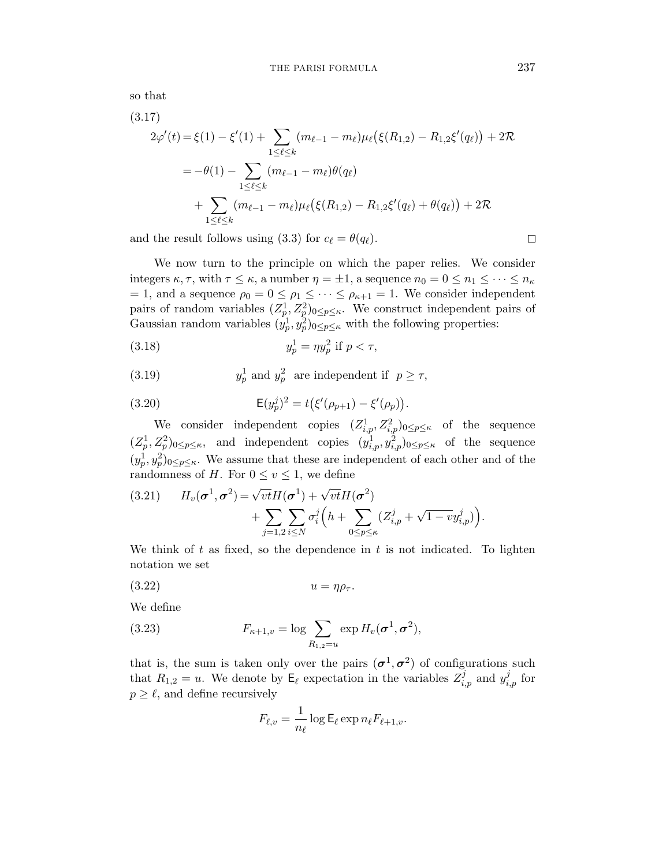so that

$$
(3.17)
$$
\n
$$
2\varphi'(t) = \xi(1) - \xi'(1) + \sum_{1 \leq \ell \leq k} (m_{\ell-1} - m_{\ell})\mu_{\ell}(\xi(R_{1,2}) - R_{1,2}\xi'(q_{\ell})) + 2\mathcal{R}
$$
\n
$$
= -\theta(1) - \sum_{1 \leq \ell \leq k} (m_{\ell-1} - m_{\ell})\theta(q_{\ell}) + \sum_{1 \leq \ell \leq k} (m_{\ell-1} - m_{\ell})\mu_{\ell}(\xi(R_{1,2}) - R_{1,2}\xi'(q_{\ell}) + \theta(q_{\ell})) + 2\mathcal{R}
$$

and the result follows using (3.3) for  $c_{\ell} = \theta(q_{\ell}).$ 

We now turn to the principle on which the paper relies. We consider integers  $\kappa, \tau$ , with  $\tau \leq \kappa$ , a number  $\eta = \pm 1$ , a sequence  $n_0 = 0 \leq n_1 \leq \cdots \leq n_{\kappa}$  $= 1$ , and a sequence  $\rho_0 = 0 \leq \rho_1 \leq \cdots \leq \rho_{\kappa+1} = 1$ . We consider independent pairs of random variables  $(Z_p^1, Z_p^2)_{0 \leq p \leq \kappa}$ . We construct independent pairs of Gaussian random variables  $(y_p^1, y_p^2)_{0 \le p \le \kappa}$  with the following properties:

(3.18) 
$$
y_p^1 = \eta y_p^2 \text{ if } p < \tau,
$$

(3.19) 
$$
y_p^1
$$
 and  $y_p^2$  are independent if  $p \ge \tau$ ,

(3.20) 
$$
E(y_p^j)^2 = t(\xi'(\rho_{p+1}) - \xi'(\rho_p)).
$$

We consider independent copies  $(Z_{i,p}^1, Z_{i,p}^2)_{0 \leq p \leq \kappa}$  of the sequence  $(Z_p^1, Z_p^2)_{0 \le p \le \kappa}$ , and independent copies  $(y_{i,p}^1, y_{i,p}^2)_{0 \le p \le \kappa}$  of the sequence  $(y_p^1, y_p^2)_{0 \le p \le \kappa}$ . We assume that these are independent of each other and of the randomness of *H*. For  $0 \le v \le 1$ , we define

(3.21) 
$$
H_v(\sigma^1, \sigma^2) = \sqrt{vt} H(\sigma^1) + \sqrt{vt} H(\sigma^2) + \sum_{j=1,2} \sum_{i \leq N} \sigma_i^j \left( h + \sum_{0 \leq p \leq \kappa} (Z_{i,p}^j + \sqrt{1 - v} y_{i,p}^j) \right).
$$

We think of *t* as fixed, so the dependence in *t* is not indicated. To lighten notation we set

$$
(3.22) \t\t u = \eta \rho_{\tau}.
$$

We define

(3.23) 
$$
F_{\kappa+1,v} = \log \sum_{R_{1,2}=u} \exp H_v(\sigma^1, \sigma^2),
$$

that is, the sum is taken only over the pairs  $(\sigma^1, \sigma^2)$  of configurations such that  $R_{1,2} = u$ . We denote by  $\mathsf{E}_{\ell}$  expectation in the variables  $Z_{i,p}^j$  and  $y_{i,p}^j$  for  $p \geq \ell$ , and define recursively

$$
F_{\ell,v} = \frac{1}{n_{\ell}} \log \mathsf{E}_{\ell} \exp n_{\ell} F_{\ell+1,v}.
$$

 $\Box$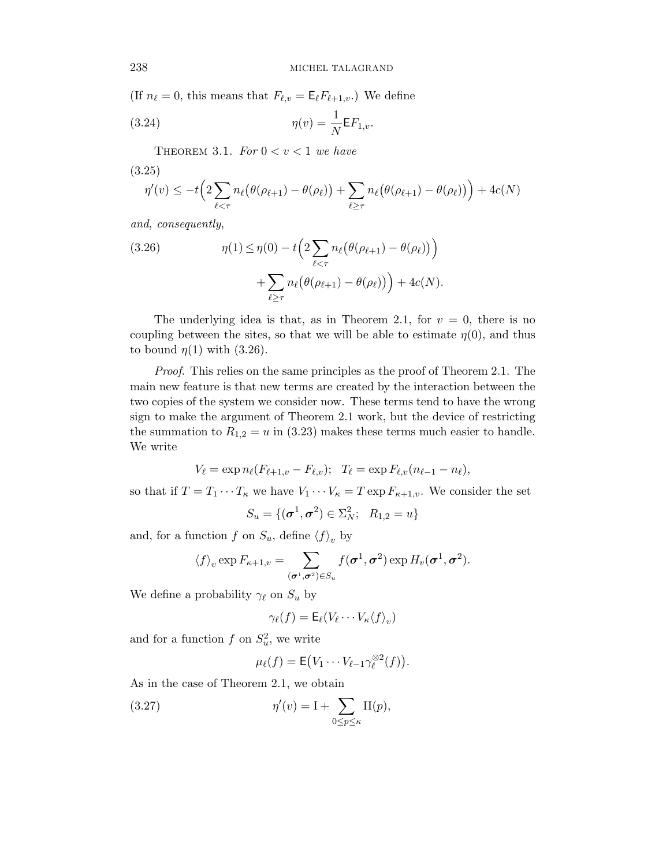(If  $n_{\ell} = 0$ , this means that  $F_{\ell,v} = \mathsf{E}_{\ell} F_{\ell+1,v}$ .) We define

(3.24) 
$$
\eta(v) = \frac{1}{N} E F_{1,v}.
$$

THEOREM 3.1. For  $0 < v < 1$  we have

(3.25)

$$
\eta'(v) \leq -t \Big( 2 \sum_{\ell < \tau} n_\ell \big( \theta(\rho_{\ell+1}) - \theta(\rho_\ell) \big) + \sum_{\ell \geq \tau} n_\ell \big( \theta(\rho_{\ell+1}) - \theta(\rho_\ell) \big) \Big) + 4c(N)
$$

and, consequently,

(3.26) 
$$
\eta(1) \leq \eta(0) - t \left( 2 \sum_{\ell < \tau} n_{\ell} \left( \theta(\rho_{\ell+1}) - \theta(\rho_{\ell}) \right) \right) + \sum_{\ell \geq \tau} n_{\ell} \left( \theta(\rho_{\ell+1}) - \theta(\rho_{\ell}) \right) + 4c(N).
$$

The underlying idea is that, as in Theorem 2.1, for  $v = 0$ , there is no coupling between the sites, so that we will be able to estimate  $\eta(0)$ , and thus to bound  $\eta(1)$  with (3.26).

Proof. This relies on the same principles as the proof of Theorem 2.1. The main new feature is that new terms are created by the interaction between the two copies of the system we consider now. These terms tend to have the wrong sign to make the argument of Theorem 2.1 work, but the device of restricting the summation to  $R_{1,2} = u$  in (3.23) makes these terms much easier to handle. We write

$$
V_{\ell} = \exp n_{\ell}(F_{\ell+1,v} - F_{\ell,v}); \quad T_{\ell} = \exp F_{\ell,v}(n_{\ell-1} - n_{\ell}),
$$

so that if  $T = T_1 \cdots T_{\kappa}$  we have  $V_1 \cdots V_{\kappa} = T \exp F_{\kappa+1,\nu}$ . We consider the set

$$
S_u = \{(\sigma^1, \sigma^2) \in \Sigma_N^2; \ \ R_{1,2} = u\}
$$

and, for a function *f* on  $S_u$ , define  $\langle f \rangle_v$  by

$$
\langle f \rangle_v \exp F_{\kappa+1,v} = \sum_{(\boldsymbol{\sigma}^1, \boldsymbol{\sigma}^2) \in S_u} f(\boldsymbol{\sigma}^1, \boldsymbol{\sigma}^2) \exp H_v(\boldsymbol{\sigma}^1, \boldsymbol{\sigma}^2).
$$

We define a probability  $\gamma_{\ell}$  on  $S_u$  by

$$
\gamma_{\ell}(f) = \mathsf{E}_{\ell}(V_{\ell} \cdots V_{\kappa} \langle f \rangle_{v})
$$

and for a function  $f$  on  $S_u^2$ , we write

$$
\mu_{\ell}(f) = \mathsf{E}\big(V_1 \cdots V_{\ell-1} \gamma_{\ell}^{\otimes 2}(f)\big).
$$

As in the case of Theorem 2.1, we obtain

(3.27) 
$$
\eta'(v) = I + \sum_{0 \le p \le \kappa} \Pi(p),
$$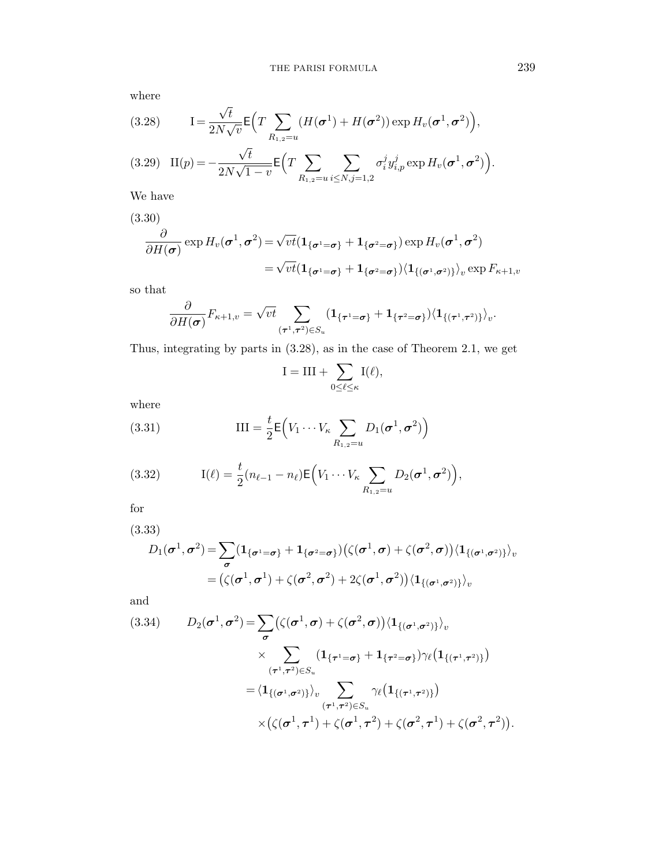where

(3.28) 
$$
I = \frac{\sqrt{t}}{2N\sqrt{v}} \mathsf{E}\Big(T\sum_{R_{1,2}=u} (H(\boldsymbol{\sigma}^1) + H(\boldsymbol{\sigma}^2)) \exp H_v(\boldsymbol{\sigma}^1, \boldsymbol{\sigma}^2)\Big),
$$

(3.29) 
$$
\Pi(p) = -\frac{\sqrt{t}}{2N\sqrt{1-v}} \mathsf{E}\Big(T\sum_{R_{1,2}=u} \sum_{i\leq N,j=1,2} \sigma_i^j y_{i,p}^j \exp H_v(\sigma^1, \sigma^2)\Big).
$$

We have

(3.30)  
\n
$$
\frac{\partial}{\partial H(\boldsymbol{\sigma})} \exp H_v(\boldsymbol{\sigma}^1, \boldsymbol{\sigma}^2) = \sqrt{vt} (\mathbf{1}_{\{\boldsymbol{\sigma}^1 = \boldsymbol{\sigma}\}} + \mathbf{1}_{\{\boldsymbol{\sigma}^2 = \boldsymbol{\sigma}\}}) \exp H_v(\boldsymbol{\sigma}^1, \boldsymbol{\sigma}^2)
$$
\n
$$
= \sqrt{vt} (\mathbf{1}_{\{\boldsymbol{\sigma}^1 = \boldsymbol{\sigma}\}} + \mathbf{1}_{\{\boldsymbol{\sigma}^2 = \boldsymbol{\sigma}\}}) \langle \mathbf{1}_{\{(\boldsymbol{\sigma}^1, \boldsymbol{\sigma}^2)\}} \rangle_v \exp F_{\kappa+1,v}
$$

so that

$$
\frac{\partial}{\partial H(\boldsymbol{\sigma})}F_{\kappa+1,v} = \sqrt{vt} \sum_{(\boldsymbol{\tau}^1,\boldsymbol{\tau}^2)\in S_u} (\mathbf{1}_{\{\boldsymbol{\tau}^1=\boldsymbol{\sigma}\}}+\mathbf{1}_{\{\boldsymbol{\tau}^2=\boldsymbol{\sigma}\}})\langle \mathbf{1}_{\{(\boldsymbol{\tau}^1,\boldsymbol{\tau}^2)\}}\rangle_v.
$$

Thus, integrating by parts in (3.28), as in the case of Theorem 2.1, we get

$$
I = III + \sum_{0 \leq \ell \leq \kappa} I(\ell),
$$

where

(3.31) 
$$
\text{III} = \frac{t}{2} \mathsf{E} \Big( V_1 \cdots V_\kappa \sum_{R_{1,2}=u} D_1(\boldsymbol{\sigma}^1, \boldsymbol{\sigma}^2) \Big)
$$

(3.32) 
$$
I(\ell) = \frac{t}{2}(n_{\ell-1} - n_{\ell}) \mathsf{E}\Big(V_1 \cdots V_{\kappa} \sum_{R_{1,2}=u} D_2(\sigma^1, \sigma^2)\Big),
$$

for

(3.33)  
\n
$$
D_1(\sigma^1, \sigma^2) = \sum_{\sigma} (1_{\{\sigma^1 = \sigma\}} + 1_{\{\sigma^2 = \sigma\}}) (\zeta(\sigma^1, \sigma) + \zeta(\sigma^2, \sigma)) \langle 1_{\{(\sigma^1, \sigma^2)\}} \rangle_v
$$
\n
$$
= (\zeta(\sigma^1, \sigma^1) + \zeta(\sigma^2, \sigma^2) + 2\zeta(\sigma^1, \sigma^2)) \langle 1_{\{(\sigma^1, \sigma^2)\}} \rangle_v
$$

and

(3.34) 
$$
D_2(\sigma^1, \sigma^2) = \sum_{\sigma} (\zeta(\sigma^1, \sigma) + \zeta(\sigma^2, \sigma)) \langle 1_{\{(\sigma^1, \sigma^2)\}} \rangle_v
$$

$$
\times \sum_{(\tau^1, \tau^2) \in S_u} (1_{\{\tau^1 = \sigma\}} + 1_{\{\tau^2 = \sigma\}}) \gamma_\ell (1_{\{(\tau^1, \tau^2)\}})
$$

$$
= \langle 1_{\{(\sigma^1, \sigma^2)\}} \rangle_v \sum_{(\tau^1, \tau^2) \in S_u} \gamma_\ell (1_{\{(\tau^1, \tau^2)\}})
$$

$$
\times (\zeta(\sigma^1, \tau^1) + \zeta(\sigma^1, \tau^2) + \zeta(\sigma^2, \tau^1) + \zeta(\sigma^2, \tau^2)).
$$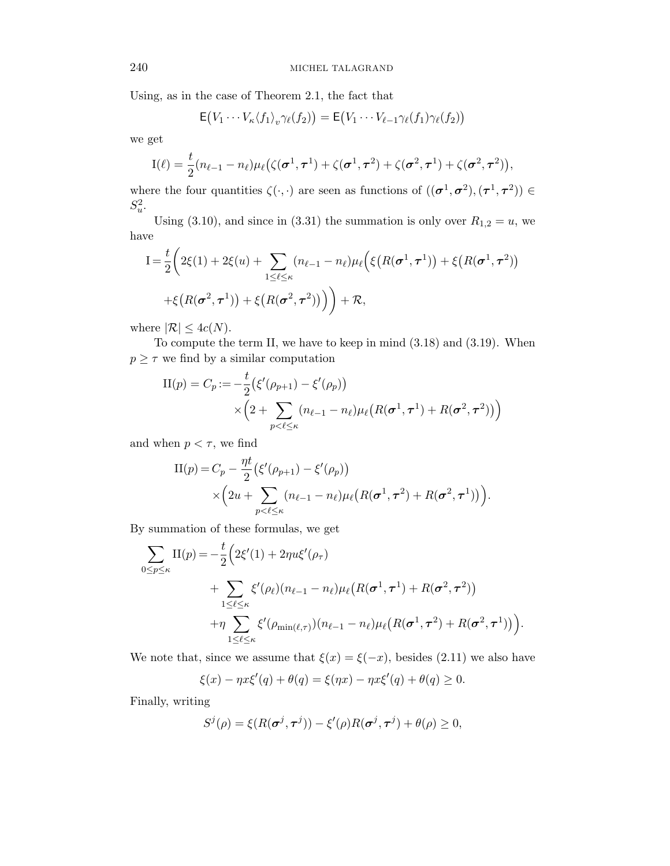Using, as in the case of Theorem 2.1, the fact that

$$
\mathsf{E}\big(V_1\cdots V_{\kappa}\langle f_1\rangle_v\gamma_{\ell}(f_2)\big)=\mathsf{E}\big(V_1\cdots V_{\ell-1}\gamma_{\ell}(f_1)\gamma_{\ell}(f_2)\big)
$$

we get

$$
I(\ell) = \frac{t}{2}(n_{\ell-1} - n_{\ell})\mu_{\ell}(\zeta(\sigma^1, \tau^1) + \zeta(\sigma^1, \tau^2) + \zeta(\sigma^2, \tau^1) + \zeta(\sigma^2, \tau^2)),
$$

where the four quantities  $\zeta(\cdot,\cdot)$  are seen as functions of  $((\sigma^1, \sigma^2), (\tau^1, \tau^2)) \in$  $S_u^2$ .

Using (3.10), and since in (3.31) the summation is only over  $R_{1,2} = u$ , we have

$$
I = \frac{t}{2} \left( 2\xi(1) + 2\xi(u) + \sum_{1 \leq \ell \leq \kappa} (n_{\ell-1} - n_{\ell}) \mu_{\ell} \left( \xi(R(\boldsymbol{\sigma}^1, \boldsymbol{\tau}^1)) + \xi(R(\boldsymbol{\sigma}^1, \boldsymbol{\tau}^2)) \right) + \xi(R(\boldsymbol{\sigma}^2, \boldsymbol{\tau}^1)) + \xi(R(\boldsymbol{\sigma}^2, \boldsymbol{\tau}^2)) \right) + \mathcal{R},
$$

where  $|\mathcal{R}| \leq 4c(N)$ .

To compute the term II, we have to keep in mind (3.18) and (3.19). When  $p \geq \tau$  we find by a similar computation

$$
\Pi(p) = C_p := -\frac{t}{2} \left( \xi'(\rho_{p+1}) - \xi'(\rho_p) \right)
$$

$$
\times \left( 2 + \sum_{p < \ell \le \kappa} (n_{\ell-1} - n_\ell) \mu_\ell \left( R(\sigma^1, \tau^1) + R(\sigma^2, \tau^2) \right) \right)
$$

and when  $p < \tau$ , we find

$$
\Pi(p) = C_p - \frac{\eta t}{2} \left( \xi'(\rho_{p+1}) - \xi'(\rho_p) \right)
$$
  
 
$$
\times \left( 2u + \sum_{p < \ell \leq \kappa} (n_{\ell-1} - n_\ell) \mu_\ell \left( R(\boldsymbol{\sigma}^1, \boldsymbol{\tau}^2) + R(\boldsymbol{\sigma}^2, \boldsymbol{\tau}^1) \right) \right).
$$

By summation of these formulas, we get

$$
\sum_{0 \le p \le \kappa} \Pi(p) = -\frac{t}{2} \Big( 2\xi'(1) + 2\eta u \xi'(\rho_{\tau})
$$
  
+ 
$$
\sum_{1 \le \ell \le \kappa} \xi'(\rho_{\ell})(n_{\ell-1} - n_{\ell})\mu_{\ell} (R(\boldsymbol{\sigma}^1, \boldsymbol{\tau}^1) + R(\boldsymbol{\sigma}^2, \boldsymbol{\tau}^2))
$$
  
+ 
$$
\eta \sum_{1 \le \ell \le \kappa} \xi'(\rho_{\min(\ell,\tau)})(n_{\ell-1} - n_{\ell})\mu_{\ell} (R(\boldsymbol{\sigma}^1, \boldsymbol{\tau}^2) + R(\boldsymbol{\sigma}^2, \boldsymbol{\tau}^1)) \Big).
$$

We note that, since we assume that  $\xi(x) = \xi(-x)$ , besides (2.11) we also have

$$
\xi(x) - \eta x \xi'(q) + \theta(q) = \xi(\eta x) - \eta x \xi'(q) + \theta(q) \ge 0.
$$

Finally, writing

$$
S^{j}(\rho) = \xi(R(\boldsymbol{\sigma}^{j}, \boldsymbol{\tau}^{j})) - \xi'(\rho)R(\boldsymbol{\sigma}^{j}, \boldsymbol{\tau}^{j}) + \theta(\rho) \geq 0,
$$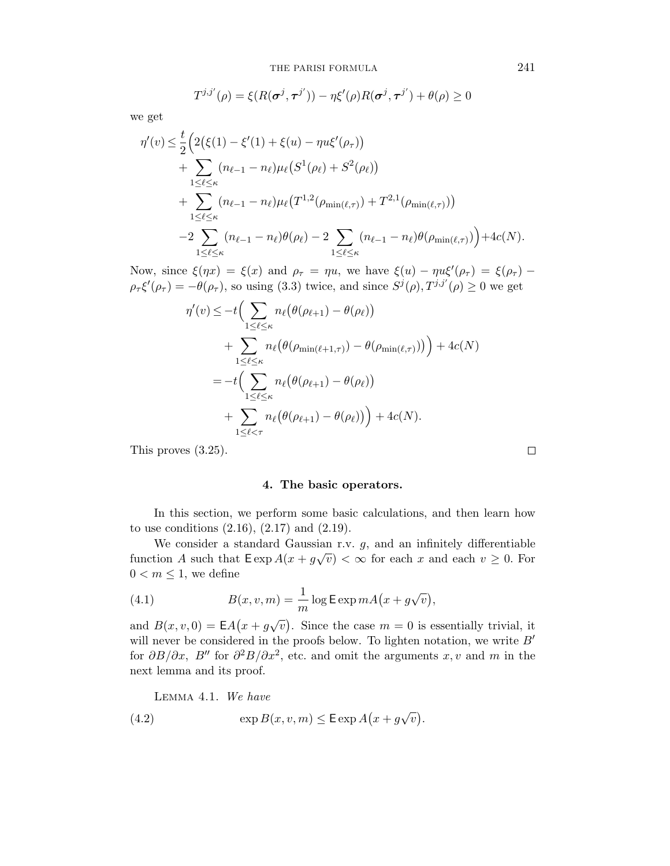$$
T^{j,j'}(\rho) = \xi(R(\boldsymbol{\sigma}^j, \boldsymbol{\tau}^{j'})) - \eta \xi'(\rho)R(\boldsymbol{\sigma}^j, \boldsymbol{\tau}^{j'}) + \theta(\rho) \ge 0
$$

we get

$$
\begin{split} \eta'(v) &\leq \frac{t}{2} \Big( 2\big( \xi(1) - \xi'(1) + \xi(u) - \eta u \xi'(\rho_{\tau}) \big) \\ &+ \sum_{1 \leq \ell \leq \kappa} (n_{\ell-1} - n_{\ell}) \mu_{\ell} \big( S^1(\rho_{\ell}) + S^2(\rho_{\ell}) \big) \\ &+ \sum_{1 \leq \ell \leq \kappa} (n_{\ell-1} - n_{\ell}) \mu_{\ell} \big( T^{1,2}(\rho_{\min(\ell,\tau)}) + T^{2,1}(\rho_{\min(\ell,\tau)}) \big) \\ &- 2 \sum_{1 \leq \ell \leq \kappa} (n_{\ell-1} - n_{\ell}) \theta(\rho_{\ell}) - 2 \sum_{1 \leq \ell \leq \kappa} (n_{\ell-1} - n_{\ell}) \theta(\rho_{\min(\ell,\tau)}) \Big) + 4c(N). \end{split}
$$

Now, since  $\xi(\eta x) = \xi(x)$  and  $\rho_{\tau} = \eta u$ , we have  $\xi(u) - \eta u \xi'(\rho_{\tau}) = \xi(\rho_{\tau}) - \eta u \xi'(\rho_{\tau})$  $\rho_{\tau} \xi'(\rho_{\tau}) = -\theta(\rho_{\tau})$ , so using (3.3) twice, and since  $S^{j}(\rho), T^{j,j'}(\rho) \geq 0$  we get

$$
\eta'(v) \le -t \Big( \sum_{1 \le \ell \le \kappa} n_{\ell} (\theta(\rho_{\ell+1}) - \theta(\rho_{\ell}))
$$
  
+ 
$$
\sum_{1 \le \ell \le \kappa} n_{\ell} (\theta(\rho_{\min(\ell+1,\tau)}) - \theta(\rho_{\min(\ell,\tau)})) + 4c(N)
$$
  
= 
$$
-t \Big( \sum_{1 \le \ell \le \kappa} n_{\ell} (\theta(\rho_{\ell+1}) - \theta(\rho_{\ell}))
$$
  
+ 
$$
\sum_{1 \le \ell \le \tau} n_{\ell} (\theta(\rho_{\ell+1}) - \theta(\rho_{\ell})) + 4c(N).
$$

This proves (3.25).

#### **4. The basic operators.**

In this section, we perform some basic calculations, and then learn how to use conditions  $(2.16)$ ,  $(2.17)$  and  $(2.19)$ .

We consider a standard Gaussian r.v. *g*, and an infinitely differentiable function *A* such that  $\text{Exp } A(x + g\sqrt{v}) < \infty$  for each *x* and each  $v \geq 0$ . For  $0 < m \leq 1$ , we define

(4.1) 
$$
B(x, v, m) = \frac{1}{m} \log \mathsf{E} \exp m A(x + g\sqrt{v}),
$$

and  $B(x, v, 0) = \mathsf{E}A(x + g\sqrt{v})$ . Since the case  $m = 0$  is essentially trivial, it will never be considered in the proofs below. To lighten notation, we write  $B'$ for  $\partial B/\partial x$ , *B*<sup>"</sup> for  $\partial^2 B/\partial x^2$ , etc. and omit the arguments *x*, *v* and *m* in the next lemma and its proof.

LEMMA 4.1. We have

(4.2) 
$$
\exp B(x, v, m) \le \mathsf{E} \exp A(x + g\sqrt{v}).
$$

 $\Box$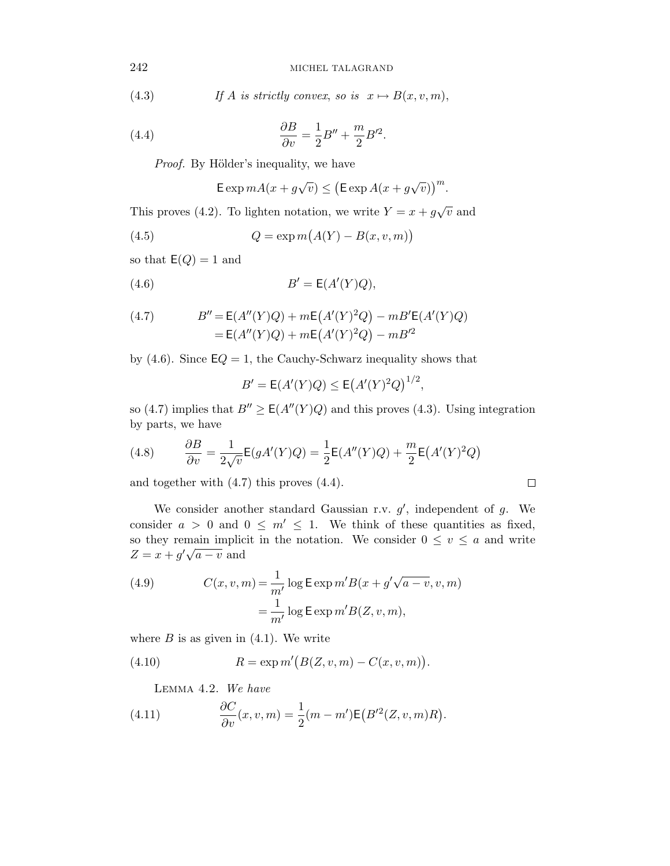242 MICHEL TALAGRAND

(4.3) If *A* is strictly convex, so is  $x \mapsto B(x, v, m)$ ,

(4.4) 
$$
\frac{\partial B}{\partial v} = \frac{1}{2}B'' + \frac{m}{2}B'^2.
$$

Proof. By Hölder's inequality, we have

$$
\mathsf{E} \exp m A(x + g\sqrt{v}) \le (\mathsf{E} \exp A(x + g\sqrt{v}))^{m}.
$$

This proves (4.2). To lighten notation, we write  $Y = x + g\sqrt{v}$  and

$$
(4.5) \tQ = \exp m(A(Y) - B(x, v, m))
$$

so that  $E(Q) = 1$  and

$$
(4.6) \t\t B' = \mathsf{E}(A'(Y)Q),
$$

(4.7) 
$$
B'' = E(A''(Y)Q) + mE(A'(Y)^{2}Q) - mB'E(A'(Y)Q)
$$

$$
= E(A''(Y)Q) + mE(A'(Y)^{2}Q) - mB'^{2}
$$

by  $(4.6)$ . Since  $EQ = 1$ , the Cauchy-Schwarz inequality shows that

$$
B' = \mathsf{E}(A'(Y)Q) \le \mathsf{E}(A'(Y)^{2}Q)^{1/2},
$$

so (4.7) implies that  $B'' \geq E(A''(Y)Q)$  and this proves (4.3). Using integration by parts, we have

(4.8) 
$$
\frac{\partial B}{\partial v} = \frac{1}{2\sqrt{v}} \mathsf{E}(gA'(Y)Q) = \frac{1}{2} \mathsf{E}(A''(Y)Q) + \frac{m}{2} \mathsf{E}(A'(Y)^2 Q)
$$

and together with (4.7) this proves (4.4).

We consider another standard Gaussian r.v.  $g'$ , independent of  $g$ . We consider  $a > 0$  and  $0 \leq m' \leq 1$ . We think of these quantities as fixed, so they remain implicit in the notation. We consider  $0 \le v \le a$  and write  $Z = x + g' \sqrt{a - v}$  and

 $\Box$ 

(4.9) 
$$
C(x, v, m) = \frac{1}{m'} \log E \exp m' B(x + g'\sqrt{a - v}, v, m)
$$

$$
= \frac{1}{m'} \log E \exp m' B(Z, v, m),
$$

where  $B$  is as given in  $(4.1)$ . We write

(4.10) 
$$
R = \exp m' (B(Z, v, m) - C(x, v, m)).
$$

LEMMA 4.2. We have

(4.11) 
$$
\frac{\partial C}{\partial v}(x,v,m) = \frac{1}{2}(m-m')\mathsf{E}\big(B'^2(Z,v,m)R\big).
$$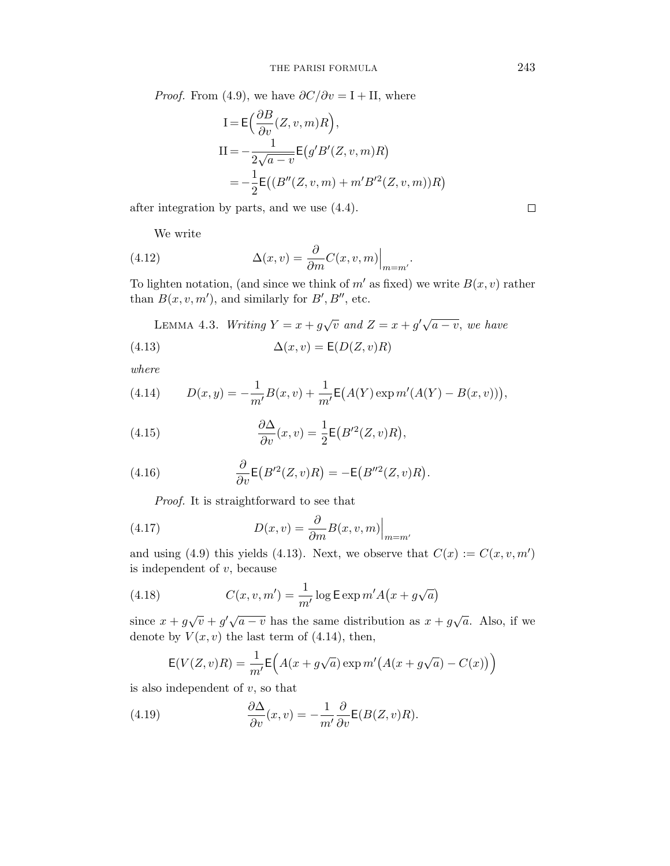*Proof.* From (4.9), we have  $\partial C/\partial v = I + II$ , where

$$
I = E\left(\frac{\partial B}{\partial v}(Z, v, m)R\right),
$$
  
\n
$$
II = -\frac{1}{2\sqrt{a - v}} E(g'B'(Z, v, m)R)
$$
  
\n
$$
= -\frac{1}{2} E\left((B''(Z, v, m) + m'B'^2(Z, v, m))R\right)
$$

after integration by parts, and we use (4.4).

We write

(4.12) 
$$
\Delta(x,v) = \frac{\partial}{\partial m} C(x,v,m) \Big|_{m=m'}.
$$

To lighten notation, (and since we think of  $m'$  as fixed) we write  $B(x, v)$  rather than  $B(x, v, m')$ , and similarly for  $B'$ ,  $B''$ , etc.

LEMMA 4.3. Writing 
$$
Y = x + g\sqrt{v}
$$
 and  $Z = x + g'\sqrt{a - v}$ , we have

(4.13) 
$$
\Delta(x, v) = \mathsf{E}(D(Z, v)R)
$$

where

(4.14) 
$$
D(x,y) = -\frac{1}{m'}B(x,v) + \frac{1}{m'}E(A(Y) \exp m'(A(Y) - B(x,v))),
$$

(4.15) 
$$
\frac{\partial \Delta}{\partial v}(x,v) = \frac{1}{2} \mathsf{E} \big( B'^2(Z,v) R \big),
$$

(4.16) 
$$
\frac{\partial}{\partial v} \mathsf{E} \big( B'^2(Z,v) R \big) = - \mathsf{E} \big( B''^2(Z,v) R \big).
$$

Proof. It is straightforward to see that

(4.17) 
$$
D(x,v) = \frac{\partial}{\partial m} B(x,v,m) \Big|_{m=m'}
$$

and using (4.9) this yields (4.13). Next, we observe that  $C(x) := C(x, v, m')$ is independent of *v*, because

(4.18) 
$$
C(x, v, m') = \frac{1}{m'} \log \mathsf{E} \exp m' A(x + g\sqrt{a})
$$

since  $x + g\sqrt{v} + g'\sqrt{a - v}$  has the same distribution as  $x + g\sqrt{a}$ . Also, if we denote by  $V(x, v)$  the last term of (4.14), then,

$$
\mathsf{E}(V(Z,v)R) = \frac{1}{m'} \mathsf{E}\Big(A(x+g\sqrt{a})\exp m'\big(A(x+g\sqrt{a})-C(x)\big)\Big)
$$

is also independent of *v*, so that

(4.19) 
$$
\frac{\partial \Delta}{\partial v}(x,v) = -\frac{1}{m'} \frac{\partial}{\partial v} \mathsf{E}(B(Z,v)R).
$$

 $\Box$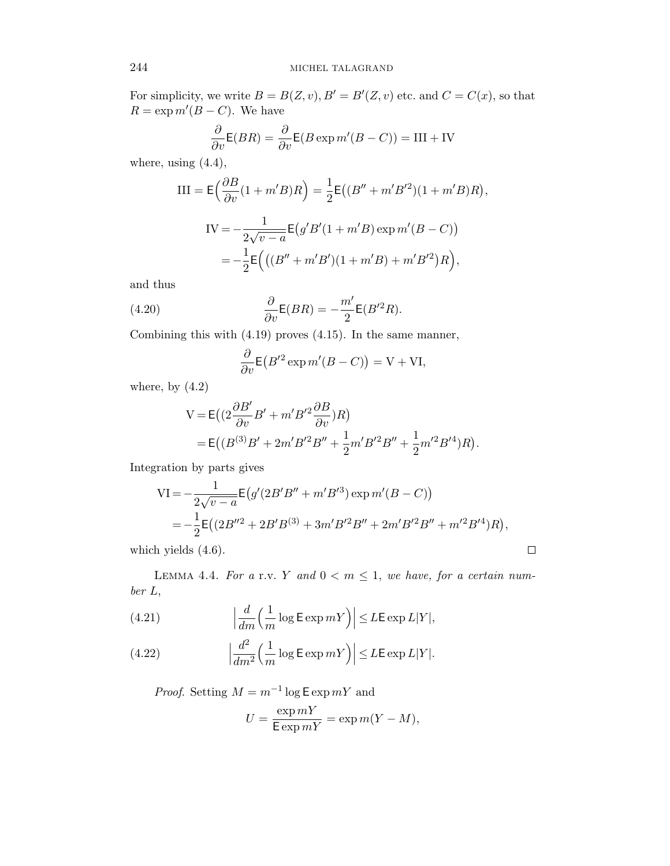For simplicity, we write  $B = B(Z, v)$ ,  $B' = B'(Z, v)$  etc. and  $C = C(x)$ , so that  $R = \exp m' (B - C)$ . We have

$$
\frac{\partial}{\partial v} \mathsf{E}(BR) = \frac{\partial}{\partial v} \mathsf{E}(B \exp m'(B - C)) = \text{III} + \text{IV}
$$

where, using  $(4.4)$ ,

III = 
$$
E\left(\frac{\partial B}{\partial v}(1 + m'B)R\right) = \frac{1}{2}E\left((B'' + m'B'^2)(1 + m'B)R\right),
$$
  
\nIV =  $-\frac{1}{2\sqrt{v-a}}E\left(g'B'(1 + m'B)\exp m'(B - C)\right)$   
\n=  $-\frac{1}{2}E\left(\left((B'' + m'B')(1 + m'B) + m'B'^2\right)R\right),$ 

and thus

(4.20) 
$$
\frac{\partial}{\partial v} \mathsf{E}(BR) = -\frac{m'}{2} \mathsf{E}(B'^2 R).
$$

Combining this with (4.19) proves (4.15). In the same manner,

$$
\frac{\partial}{\partial v} \mathsf{E} \big( B'^2 \exp m' (B - C) \big) = \mathsf{V} + \mathsf{VI},
$$

where, by  $(4.2)$ 

$$
V = E((2\frac{\partial B'}{\partial v}B' + m'B'^2\frac{\partial B}{\partial v})R)
$$
  
= E((B<sup>(3)</sup>B' + 2m'B'<sup>2</sup>B'' +  $\frac{1}{2}$ m'B'<sup>2</sup>B'' +  $\frac{1}{2}$ m'<sup>2</sup>B'<sup>4</sup>)R).

Integration by parts gives

$$
VI = -\frac{1}{2\sqrt{v-a}} E(g'(2B'B'' + m'B'^3) \exp m'(B - C))
$$
  
=  $-\frac{1}{2} E((2B''^2 + 2B'B^{(3)} + 3m'B'^2B'' + 2m'B'^2B'' + m'^2B'^4)R),$   
h yields (4.6).

which yields (4.6).

LEMMA 4.4. For a r.v. *Y* and  $0 < m \leq 1$ , we have, for a certain number *L*,

(4.21) 
$$
\left|\frac{d}{dm}\left(\frac{1}{m}\log \mathsf{E} \exp mY\right)\right| \leq L\mathsf{E} \exp L|Y|,
$$

(4.22) 
$$
\left|\frac{d^2}{dm^2}\left(\frac{1}{m}\log E \exp mY\right)\right| \leq L \mathsf{E} \exp L|Y|.
$$

*Proof.* Setting  $M = m^{-1} \log E \exp mY$  and  $U = \frac{\exp mY}{\mathsf{E} \exp mY} = \exp m(Y - M),$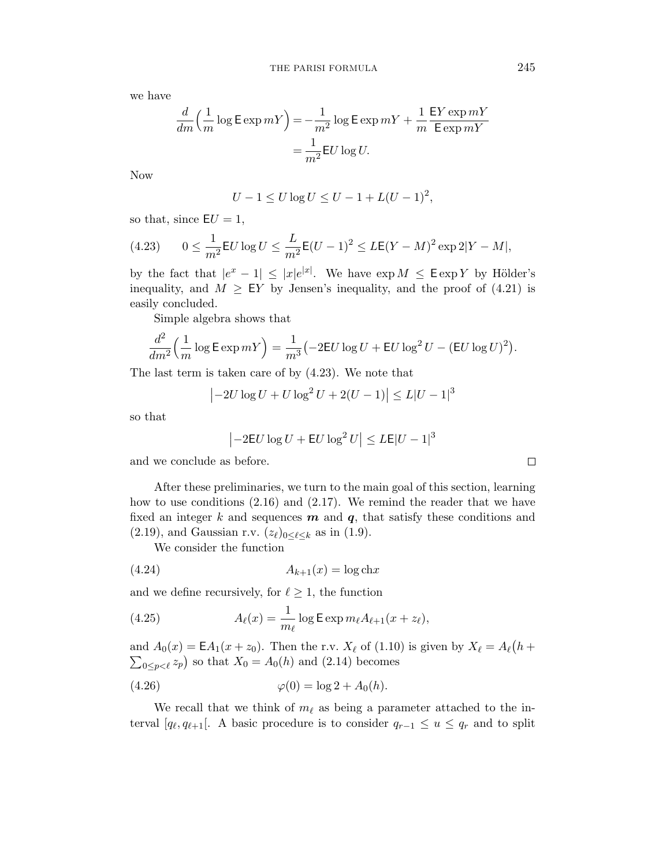we have

$$
\frac{d}{dm} \left( \frac{1}{m} \log \mathsf{E} \exp mY \right) = -\frac{1}{m^2} \log \mathsf{E} \exp mY + \frac{1}{m} \frac{\mathsf{E} Y \exp mY}{\mathsf{E} \exp mY}
$$

$$
= \frac{1}{m^2} \mathsf{E} U \log U.
$$

Now

$$
U - 1 \le U \log U \le U - 1 + L(U - 1)^2,
$$

so that, since  $E U = 1$ ,

(4.23) 
$$
0 \le \frac{1}{m^2} \mathsf{E} U \log U \le \frac{L}{m^2} \mathsf{E} (U - 1)^2 \le L \mathsf{E} (Y - M)^2 \exp 2|Y - M|,
$$

by the fact that  $|e^x - 1| \leq |x|e^{|x|}$ . We have  $\exp M \leq \mathsf{E} \exp Y$  by Hölder's inequality, and  $M \geq EY$  by Jensen's inequality, and the proof of (4.21) is easily concluded.

Simple algebra shows that

$$
\frac{d^2}{dm^2} \left(\frac{1}{m} \log \mathsf{E} \exp mY\right) = \frac{1}{m^3} \left(-2\mathsf{E} U \log U + \mathsf{E} U \log^2 U - (\mathsf{E} U \log U)^2\right).
$$

The last term is taken care of by (4.23). We note that

$$
\left| -2U \log U + U \log^2 U + 2(U - 1) \right| \le L|U - 1|^3
$$

so that

$$
\left| -2\mathsf{E} U\log U + \mathsf{E} U\log^2 U \right| \leq L\mathsf{E} |U-1|^3
$$

and we conclude as before.

After these preliminaries, we turn to the main goal of this section, learning how to use conditions  $(2.16)$  and  $(2.17)$ . We remind the reader that we have fixed an integer *k* and sequences *m* and *q*, that satisfy these conditions and  $(2.19)$ , and Gaussian r.v.  $(z_{\ell})_{0 \leq \ell \leq k}$  as in  $(1.9)$ .

We consider the function

$$
(4.24) \t\t A_{k+1}(x) = \log \text{ch}x
$$

and we define recursively, for  $\ell \geq 1$ , the function

(4.25) 
$$
A_{\ell}(x) = \frac{1}{m_{\ell}} \log \mathsf{E} \exp m_{\ell} A_{\ell+1}(x+z_{\ell}),
$$

and  $A_0(x) = \mathsf{E}A_1(x+z_0)$ . Then the r.v.  $X_\ell$  of (1.10) is given by  $X_\ell = A_\ell(h +$  $\sum_{0 \le p \le \ell} z_p$  so that  $X_0 = A_0(h)$  and (2.14) becomes

(4.26) 
$$
\varphi(0) = \log 2 + A_0(h).
$$

We recall that we think of  $m_{\ell}$  as being a parameter attached to the interval [ $q_{\ell}, q_{\ell+1}$ [. A basic procedure is to consider  $q_{r-1} \leq u \leq q_r$  and to split

$$
\Box
$$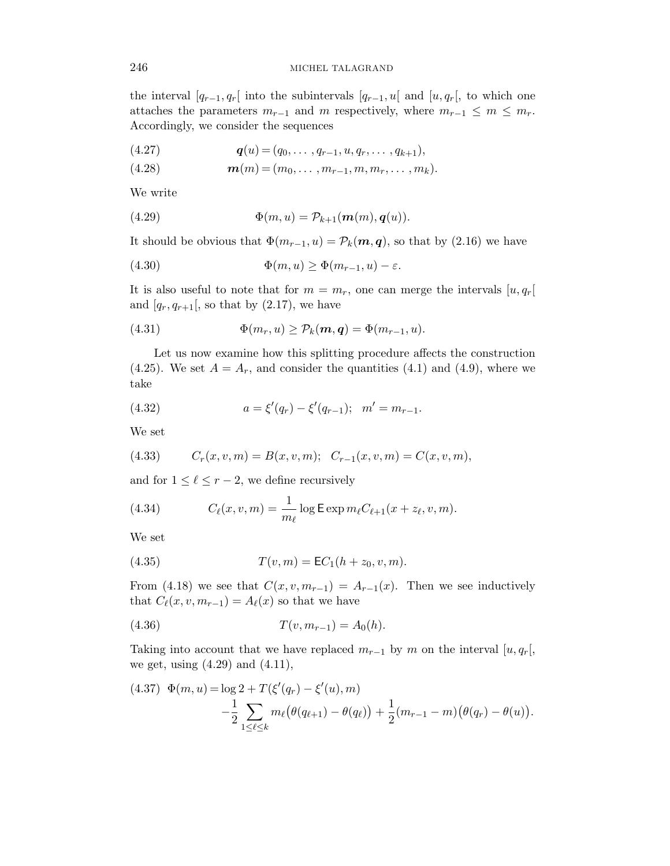the interval  $[q_{r-1}, q_r]$  into the subintervals  $[q_{r-1}, u]$  and  $[u, q_r]$ , to which one attaches the parameters  $m_{r-1}$  and  $m$  respectively, where  $m_{r-1} \leq m \leq m_r$ . Accordingly, we consider the sequences

$$
(4.27) \t\t q(u) = (q_0, \ldots, q_{r-1}, u, q_r, \ldots, q_{k+1}),
$$

(4.28) 
$$
\mathbf{m}(m) = (m_0, \ldots, m_{r-1}, m, m_r, \ldots, m_k).
$$

We write

(4.29) 
$$
\Phi(m, u) = \mathcal{P}_{k+1}(\mathbf{m}(m), \mathbf{q}(u)).
$$

It should be obvious that  $\Phi(m_{r-1}, u) = \mathcal{P}_k(m, q)$ , so that by (2.16) we have

(4.30) 
$$
\Phi(m, u) \ge \Phi(m_{r-1}, u) - \varepsilon.
$$

It is also useful to note that for  $m = m_r$ , one can merge the intervals  $[u, q_r]$ and  $[q_r, q_{r+1}]$ , so that by  $(2.17)$ , we have

(4.31) 
$$
\Phi(m_r, u) \geq \mathcal{P}_k(m, q) = \Phi(m_{r-1}, u).
$$

Let us now examine how this splitting procedure affects the construction (4.25). We set  $A = A_r$ , and consider the quantities (4.1) and (4.9), where we take

(4.32) 
$$
a = \xi'(q_r) - \xi'(q_{r-1}); \quad m' = m_{r-1}.
$$

We set

(4.33) 
$$
C_r(x,v,m) = B(x,v,m); \quad C_{r-1}(x,v,m) = C(x,v,m),
$$

and for  $1 \leq \ell \leq r-2$ , we define recursively

(4.34) 
$$
C_{\ell}(x, v, m) = \frac{1}{m_{\ell}} \log \mathsf{E} \exp m_{\ell} C_{\ell+1}(x + z_{\ell}, v, m).
$$

We set

(4.35) 
$$
T(v,m) = \mathsf{E}C_1(h+z_0,v,m).
$$

From (4.18) we see that  $C(x, v, m_{r-1}) = A_{r-1}(x)$ . Then we see inductively that  $C_{\ell}(x, v, m_{r-1}) = A_{\ell}(x)$  so that we have

(4.36) 
$$
T(v, m_{r-1}) = A_0(h).
$$

Taking into account that we have replaced  $m_{r-1}$  by  $m$  on the interval [ $u, q_r$ [, we get, using (4.29) and (4.11),

$$
(4.37) \Phi(m, u) = \log 2 + T(\xi'(q_r) - \xi'(u), m)
$$
  

$$
-\frac{1}{2} \sum_{1 \leq \ell \leq k} m_{\ell}(\theta(q_{\ell+1}) - \theta(q_{\ell})) + \frac{1}{2}(m_{r-1} - m)(\theta(q_r) - \theta(u)).
$$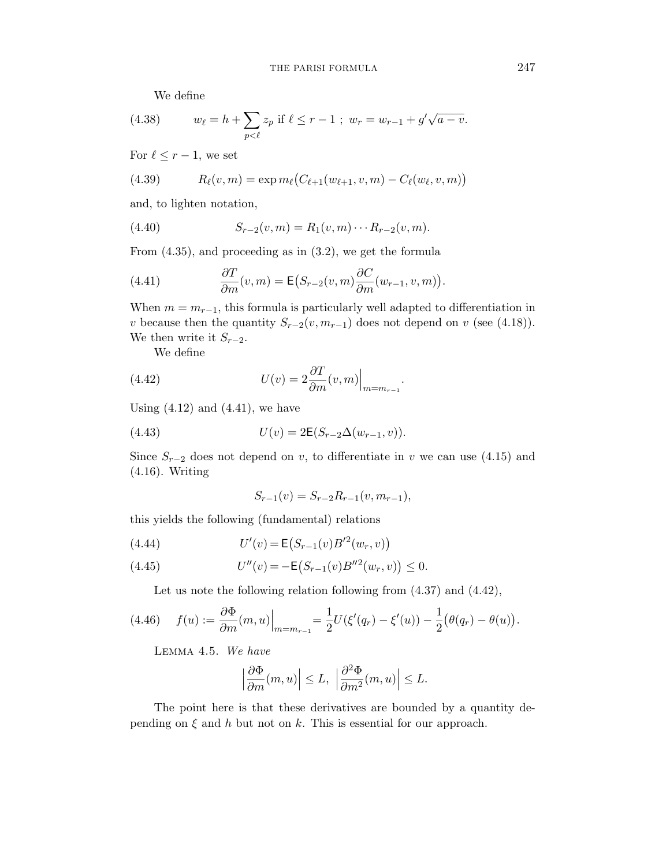We define

(4.38) 
$$
w_{\ell} = h + \sum_{p < \ell} z_p \text{ if } \ell \leq r - 1 \ ; \ w_r = w_{r-1} + g'\sqrt{a - v}.
$$

For  $\ell \leq r-1$ , we set

(4.39) 
$$
R_{\ell}(v,m) = \exp m_{\ell}(C_{\ell+1}(w_{\ell+1},v,m) - C_{\ell}(w_{\ell},v,m))
$$

and, to lighten notation,

(4.40) 
$$
S_{r-2}(v,m) = R_1(v,m) \cdots R_{r-2}(v,m).
$$

From (4.35), and proceeding as in (3.2), we get the formula

(4.41) 
$$
\frac{\partial T}{\partial m}(v,m) = \mathsf{E}\big(S_{r-2}(v,m)\frac{\partial C}{\partial m}(w_{r-1},v,m)\big).
$$

When  $m = m_{r-1}$ , this formula is particularly well adapted to differentiation in *v* because then the quantity  $S_{r-2}(v, m_{r-1})$  does not depend on *v* (see (4.18)). We then write it  $S_{r-2}$ .

We define

(4.42) 
$$
U(v) = 2 \frac{\partial T}{\partial m}(v, m) \Big|_{m = m_{r-1}}.
$$

Using  $(4.12)$  and  $(4.41)$ , we have

(4.43) 
$$
U(v) = 2\mathsf{E}(S_{r-2}\Delta(w_{r-1}, v)).
$$

Since  $S_{r-2}$  does not depend on *v*, to differentiate in *v* we can use (4.15) and (4.16). Writing

$$
S_{r-1}(v) = S_{r-2}R_{r-1}(v, m_{r-1}),
$$

this yields the following (fundamental) relations

(4.44) 
$$
U'(v) = \mathsf{E}(S_{r-1}(v)B'^2(w_r, v))
$$

(4.45) 
$$
U''(v) = -\mathsf{E}(S_{r-1}(v)B''^{2}(w_{r}, v)) \leq 0.
$$

Let us note the following relation following from  $(4.37)$  and  $(4.42)$ ,

$$
(4.46) \t f(u) := \frac{\partial \Phi}{\partial m}(m, u)\Big|_{m = m_{r-1}} = \frac{1}{2}U(\xi'(q_r) - \xi'(u)) - \frac{1}{2}(\theta(q_r) - \theta(u)).
$$

LEMMA 4.5. We have

$$
\left|\frac{\partial \Phi}{\partial m}(m,u)\right|\leq L, \ \left|\frac{\partial^2 \Phi}{\partial m^2}(m,u)\right|\leq L.
$$

The point here is that these derivatives are bounded by a quantity depending on *ξ* and *h* but not on *k*. This is essential for our approach.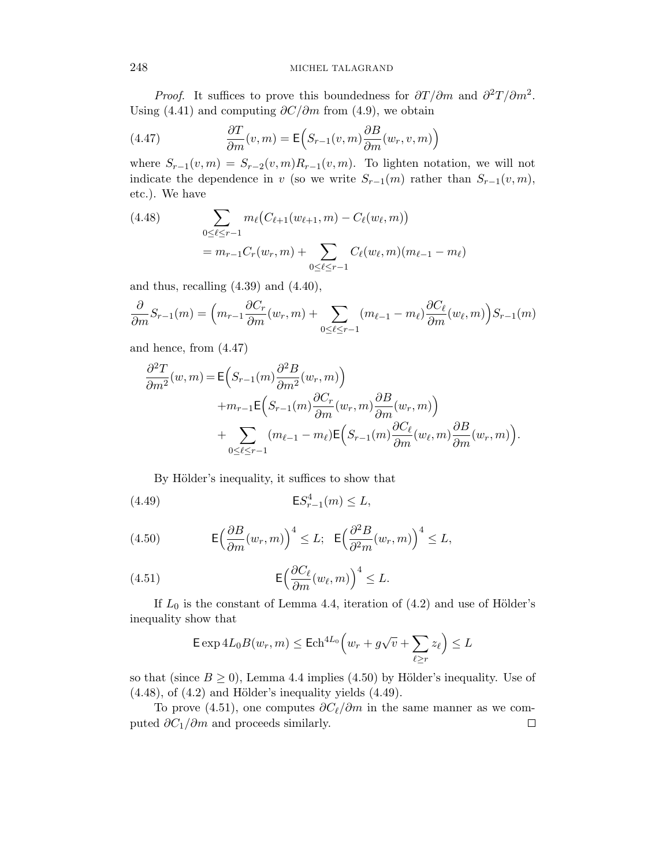*Proof.* It suffices to prove this boundedness for  $\partial T/\partial m$  and  $\partial^2 T/\partial m^2$ . Using (4.41) and computing *∂C/∂m* from (4.9), we obtain

(4.47) 
$$
\frac{\partial T}{\partial m}(v,m) = \mathsf{E}\Big(S_{r-1}(v,m)\frac{\partial B}{\partial m}(w_r,v,m)\Big)
$$

where  $S_{r-1}(v,m) = S_{r-2}(v,m)R_{r-1}(v,m)$ . To lighten notation, we will not indicate the dependence in *v* (so we write  $S_{r-1}(m)$  rather than  $S_{r-1}(v,m)$ , etc.). We have

(4.48) 
$$
\sum_{0 \leq \ell \leq r-1} m_{\ell}(C_{\ell+1}(w_{\ell+1}, m) - C_{\ell}(w_{\ell}, m))
$$

$$
= m_{r-1}C_r(w_r, m) + \sum_{0 \leq \ell \leq r-1} C_{\ell}(w_{\ell}, m)(m_{\ell-1} - m_{\ell})
$$

and thus, recalling  $(4.39)$  and  $(4.40)$ ,

$$
\frac{\partial}{\partial m} S_{r-1}(m) = \left( m_{r-1} \frac{\partial C_r}{\partial m}(w_r, m) + \sum_{0 \le \ell \le r-1} (m_{\ell-1} - m_{\ell}) \frac{\partial C_{\ell}}{\partial m}(w_{\ell}, m) \right) S_{r-1}(m)
$$

and hence, from (4.47)

$$
\frac{\partial^2 T}{\partial m^2}(w,m) = \mathsf{E}\Big(S_{r-1}(m)\frac{\partial^2 B}{\partial m^2}(w_r, m)\Big) \n+m_{r-1}\mathsf{E}\Big(S_{r-1}(m)\frac{\partial C_r}{\partial m}(w_r, m)\frac{\partial B}{\partial m}(w_r, m)\Big) \n+ \sum_{0 \leq \ell \leq r-1} (m_{\ell-1} - m_{\ell})\mathsf{E}\Big(S_{r-1}(m)\frac{\partial C_{\ell}}{\partial m}(w_{\ell}, m)\frac{\partial B}{\partial m}(w_r, m)\Big).
$$

By Hölder's inequality, it suffices to show that

E*S*<sup>4</sup> <sup>r</sup>−<sup>1</sup> (4.49) (*m*) ≤ *L,*

(4.50) 
$$
\mathsf{E}\left(\frac{\partial B}{\partial m}(w_r, m)\right)^4 \leq L; \ \mathsf{E}\left(\frac{\partial^2 B}{\partial^2 m}(w_r, m)\right)^4 \leq L,
$$

(4.51) 
$$
\mathsf{E}\left(\frac{\partial C_{\ell}}{\partial m}(w_{\ell},m)\right)^{4} \leq L.
$$

If  $L_0$  is the constant of Lemma 4.4, iteration of  $(4.2)$  and use of Hölder's inequality show that

$$
\mathsf{E} \exp 4L_0 B(w_r, m) \leq \mathsf{E} \mathrm{ch}^{4L_0} \Big( w_r + g\sqrt{v} + \sum_{\ell \geq r} z_\ell \Big) \leq L
$$

so that (since  $B \geq 0$ ), Lemma 4.4 implies (4.50) by Hölder's inequality. Use of  $(4.48)$ , of  $(4.2)$  and Hölder's inequality yields  $(4.49)$ .

To prove (4.51), one computes *∂C/∂m* in the same manner as we computed *∂C*1*/∂m* and proceeds similarly. $\Box$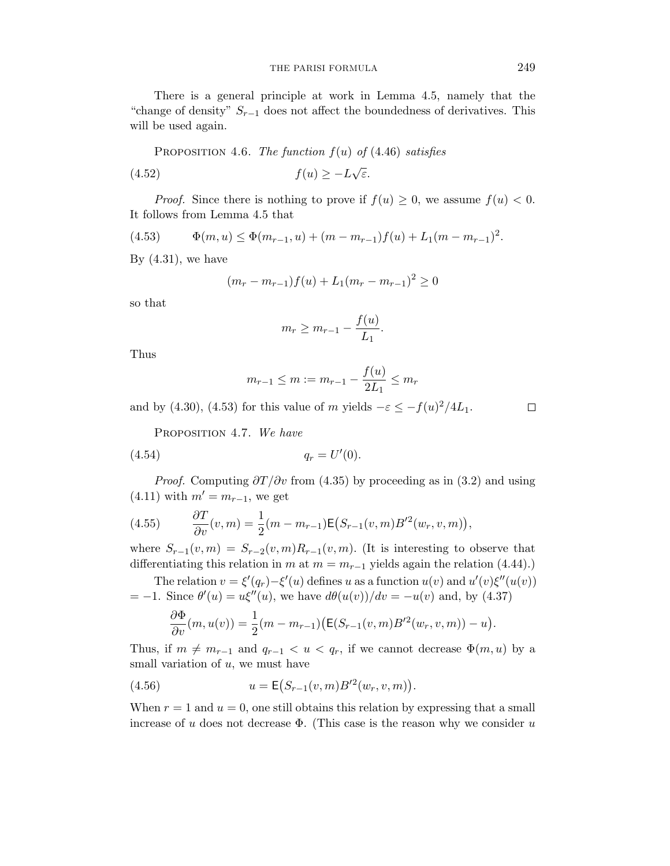There is a general principle at work in Lemma 4.5, namely that the "change of density" *S*r−<sup>1</sup> does not affect the boundedness of derivatives. This will be used again.

PROPOSITION 4.6. The function  $f(u)$  of (4.46) satisfies

$$
(4.52) \t\t f(u) \ge -L\sqrt{\varepsilon}.
$$

*Proof.* Since there is nothing to prove if  $f(u) \geq 0$ , we assume  $f(u) < 0$ . It follows from Lemma 4.5 that

(4.53) 
$$
\Phi(m, u) \leq \Phi(m_{r-1}, u) + (m - m_{r-1})f(u) + L_1(m - m_{r-1})^2.
$$

By  $(4.31)$ , we have

$$
(m_r - m_{r-1})f(u) + L_1(m_r - m_{r-1})^2 \ge 0
$$

so that

$$
m_r \ge m_{r-1} - \frac{f(u)}{L_1}.
$$

Thus

$$
m_{r-1} \le m := m_{r-1} - \frac{f(u)}{2L_1} \le m_r
$$

and by (4.30), (4.53) for this value of *m* yields  $-\varepsilon \leq -f(u)^2/4L_1$ .

PROPOSITION 4.7. We have

(4.54) 
$$
q_r = U'(0).
$$

*Proof.* Computing  $\partial T/\partial v$  from (4.35) by proceeding as in (3.2) and using  $(4.11)$  with  $m' = m_{r-1}$ , we get

(4.55) 
$$
\frac{\partial T}{\partial v}(v,m) = \frac{1}{2}(m - m_{r-1})\mathsf{E}(S_{r-1}(v,m)B'^2(w_r,v,m)),
$$

where  $S_{r-1}(v,m) = S_{r-2}(v,m)R_{r-1}(v,m)$ . (It is interesting to observe that differentiating this relation in *m* at  $m = m_{r-1}$  yields again the relation (4.44).)

The relation  $v = \xi'(q_r) - \xi'(u)$  defines *u* as a function  $u(v)$  and  $u'(v)\xi''(u(v))$  $= -1$ . Since  $\theta'(u) = u\xi''(u)$ , we have  $d\theta(u(v))/dv = -u(v)$  and, by (4.37)

$$
\frac{\partial \Phi}{\partial v}(m, u(v)) = \frac{1}{2}(m - m_{r-1}) \big( \mathsf{E}(S_{r-1}(v, m) B'^2(w_r, v, m)) - u \big).
$$

Thus, if  $m \neq m_{r-1}$  and  $q_{r-1} < u < q_r$ , if we cannot decrease  $\Phi(m, u)$  by a small variation of *u*, we must have

(4.56) 
$$
u = \mathsf{E}(S_{r-1}(v,m)B'^2(w_r,v,m)).
$$

When  $r = 1$  and  $u = 0$ , one still obtains this relation by expressing that a small increase of  $u$  does not decrease  $\Phi$ . (This case is the reason why we consider  $u$ 

 $\Box$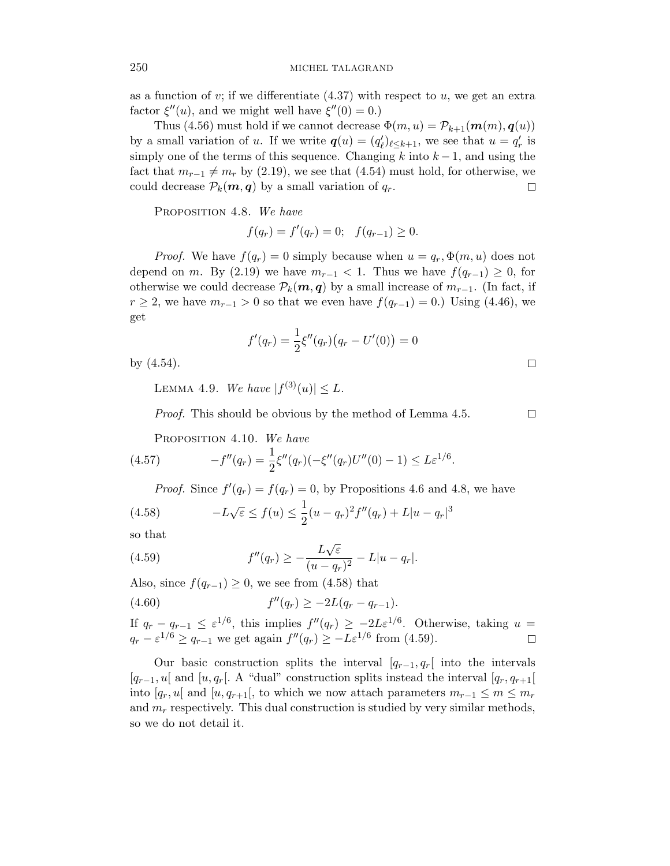as a function of  $v$ ; if we differentiate  $(4.37)$  with respect to  $u$ , we get an extra factor  $\xi''(u)$ , and we might well have  $\xi''(0) = 0$ .)

Thus (4.56) must hold if we cannot decrease  $\Phi(m, u) = \mathcal{P}_{k+1}(m(m), q(u))$ by a small variation of *u*. If we write  $q(u) = (q'_{\ell})_{\ell \leq k+1}$ , we see that  $u = q'_{r}$  is simply one of the terms of this sequence. Changing  $k$  into  $k-1$ , and using the fact that  $m_{r-1} \neq m_r$  by (2.19), we see that (4.54) must hold, for otherwise, we could decrease  $\mathcal{P}_k(m, q)$  by a small variation of  $q_r$ . □

PROPOSITION 4.8. We have

$$
f(q_r) = f'(q_r) = 0; \quad f(q_{r-1}) \ge 0.
$$

*Proof.* We have  $f(q_r) = 0$  simply because when  $u = q_r, \Phi(m, u)$  does not depend on *m*. By (2.19) we have  $m_{r-1} < 1$ . Thus we have  $f(q_{r-1}) \geq 0$ , for otherwise we could decrease  $\mathcal{P}_k(m, q)$  by a small increase of  $m_{r-1}$ . (In fact, if *r* ≥ 2, we have  $m_{r-1} > 0$  so that we even have  $f(q_{r-1}) = 0$ .) Using (4.46), we get

$$
f'(q_r) = \frac{1}{2}\xi''(q_r)(q_r - U'(0)) = 0
$$

by (4.54).

LEMMA 4.9. We have  $|f^{(3)}(u)| \leq L$ .

Proof. This should be obvious by the method of Lemma 4.5.

PROPOSITION 4.10. We have  $(-f''(q_r)) = \frac{1}{2}\xi''(q_r)(-\xi''(q_r)U''(0) - 1) \leq L\varepsilon^{1/6}.$ 

*Proof.* Since  $f'(q_r) = f(q_r) = 0$ , by Propositions 4.6 and 4.8, we have

(4.58) 
$$
-L\sqrt{\varepsilon} \le f(u) \le \frac{1}{2}(u - q_r)^2 f''(q_r) + L|u - q_r|^3
$$

so that

(4.59) 
$$
f''(q_r) \ge -\frac{L\sqrt{\varepsilon}}{(u-q_r)^2} - L|u-q_r|.
$$

Also, since  $f(q_{r-1}) \geq 0$ , we see from (4.58) that

(4.60) 
$$
f''(q_r) \geq -2L(q_r - q_{r-1}).
$$

If  $q_r - q_{r-1} \leq \varepsilon^{1/6}$ , this implies  $f''(q_r) \geq -2L\varepsilon^{1/6}$ . Otherwise, taking  $u =$  $q_r - \varepsilon^{1/6} \ge q_{r-1}$  we get again  $f''(q_r) \ge -L\varepsilon^{1/6}$  from (4.59).

Our basic construction splits the interval  $[q_{r-1}, q_r]$  into the intervals  $[q_{r-1}, u]$  and  $[u, q_r]$ . A "dual" construction splits instead the interval  $[q_r, q_{r+1}]$ into  $[q_r, u]$  and  $[u, q_{r+1}]$ , to which we now attach parameters  $m_{r-1} \leq m \leq m_r$ and *m*<sup>r</sup> respectively. This dual construction is studied by very similar methods, so we do not detail it.

$$
\Box
$$

口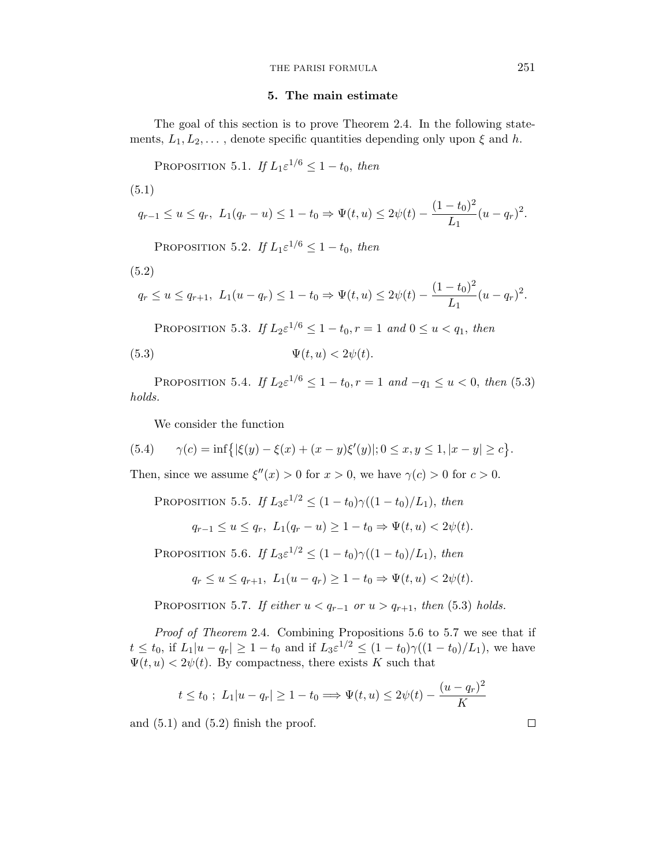## **5. The main estimate**

The goal of this section is to prove Theorem 2.4. In the following statements,  $L_1, L_2, \ldots$ , denote specific quantities depending only upon  $\xi$  and  $h$ .

PROPOSITION 5.1. If  $L_1 \varepsilon^{1/6} \leq 1 - t_0$ , then

$$
(5.1)
$$

$$
q_{r-1} \le u \le q_r, \ L_1(q_r - u) \le 1 - t_0 \Rightarrow \Psi(t, u) \le 2\psi(t) - \frac{(1 - t_0)^2}{L_1}(u - q_r)^2.
$$

PROPOSITION 5.2. If  $L_1 \varepsilon^{1/6} \leq 1 - t_0$ , then

(5.2)

$$
q_r \le u \le q_{r+1}, L_1(u-q_r) \le 1-t_0 \Rightarrow \Psi(t,u) \le 2\psi(t) - \frac{(1-t_0)^2}{L_1}(u-q_r)^2.
$$

PROPOSITION 5.3. If  $L_2 \varepsilon^{1/6} \leq 1 - t_0$ ,  $r = 1$  and  $0 \leq u < q_1$ , then

$$
(5.3) \t\t \Psi(t, u) < 2\psi(t).
$$

PROPOSITION 5.4. If  $L_2 \varepsilon^{1/6} \leq 1 - t_0$ ,  $r = 1$  and  $-q_1 \leq u < 0$ , then (5.3) holds.

We consider the function

(5.4) 
$$
\gamma(c) = \inf \{ |\xi(y) - \xi(x) + (x - y)\xi'(y)|; 0 \le x, y \le 1, |x - y| \ge c \}.
$$

Then, since we assume  $\xi''(x) > 0$  for  $x > 0$ , we have  $\gamma(c) > 0$  for  $c > 0$ .

PROPOSITION 5.5. If  $L_3 \varepsilon^{1/2} \le (1 - t_0) \gamma ((1 - t_0) / L_1)$ , then

$$
q_{r-1} \le u \le q_r, \ L_1(q_r - u) \ge 1 - t_0 \Rightarrow \Psi(t, u) < 2\psi(t).
$$

PROPOSITION 5.6. If  $L_3 \varepsilon^{1/2} \le (1 - t_0) \gamma ((1 - t_0)/L_1)$ , then

$$
q_r \le u \le q_{r+1}, \ L_1(u - q_r) \ge 1 - t_0 \Rightarrow \Psi(t, u) < 2\psi(t).
$$

PROPOSITION 5.7. If either  $u < q_{r-1}$  or  $u > q_{r+1}$ , then (5.3) holds.

Proof of Theorem 2.4. Combining Propositions 5.6 to 5.7 we see that if  $t \le t_0$ , if  $L_1|u - q_r| \ge 1 - t_0$  and if  $L_3 \varepsilon^{1/2} \le (1 - t_0) \gamma ((1 - t_0)/L_1)$ , we have  $\Psi(t, u) < 2\psi(t)$ . By compactness, there exists *K* such that

$$
t \le t_0
$$
;  $L_1|u - q_r| \ge 1 - t_0 \Longrightarrow \Psi(t, u) \le 2\psi(t) - \frac{(u - q_r)^2}{K}$ 

and  $(5.1)$  and  $(5.2)$  finish the proof.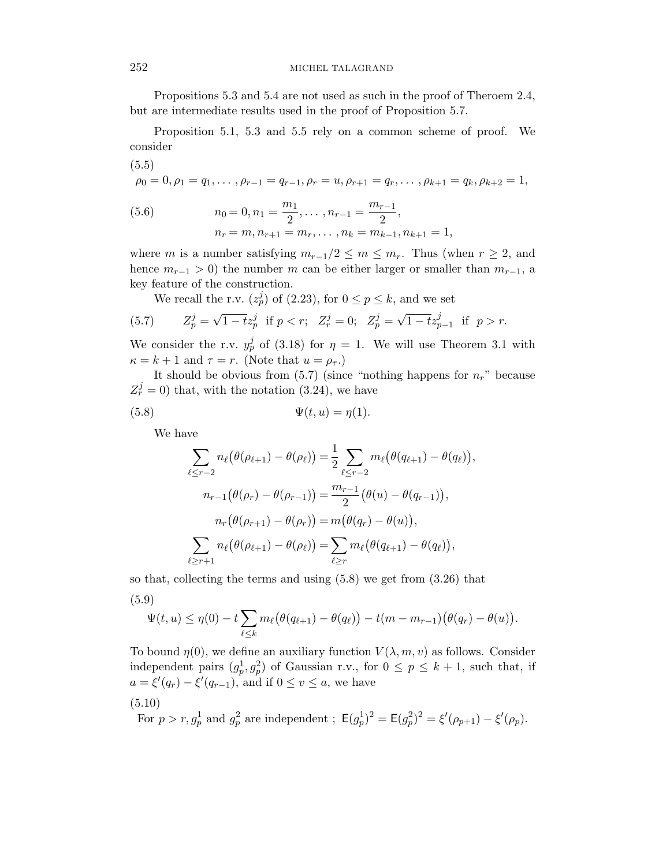Propositions 5.3 and 5.4 are not used as such in the proof of Theroem 2.4, but are intermediate results used in the proof of Proposition 5.7.

Proposition 5.1, 5.3 and 5.5 rely on a common scheme of proof. We consider

(5.5)  
\n
$$
\rho_0 = 0, \rho_1 = q_1, \dots, \rho_{r-1} = q_{r-1}, \rho_r = u, \rho_{r+1} = q_r, \dots, \rho_{k+1} = q_k, \rho_{k+2} = 1,
$$
\n(5.6)  
\n
$$
n_0 = 0, n_1 = \frac{m_1}{2}, \dots, n_{r-1} = \frac{m_{r-1}}{2},
$$
\n
$$
n_r = m, n_{r+1} = m_r, \dots, n_k = m_{k-1}, n_{k+1} = 1,
$$

where *m* is a number satisfying  $m_{r-1}/2 \leq m \leq m_r$ . Thus (when  $r \geq 2$ , and hence  $m_{r-1} > 0$ ) the number *m* can be either larger or smaller than  $m_{r-1}$ , a key feature of the construction.

We recall the r.v.  $(z_p^j)$  of (2.23), for  $0 \le p \le k$ , and we set

(5.7) 
$$
Z_p^j = \sqrt{1-t}z_p^j \text{ if } p < r; \ \ Z_r^j = 0; \ \ Z_p^j = \sqrt{1-t}z_{p-1}^j \text{ if } p > r.
$$

We consider the r.v.  $y_p^j$  of (3.18) for  $\eta = 1$ . We will use Theorem 3.1 with  $\kappa = k + 1$  and  $\tau = r$ . (Note that  $u = \rho_{\tau}$ .)

It should be obvious from  $(5.7)$  (since "nothing happens for  $n_r$ " because  $Z_r^j = 0$ ) that, with the notation (3.24), we have

$$
(5.8) \t\t \Psi(t, u) = \eta(1).
$$

We have

$$
\sum_{\ell \leq r-2} n_{\ell} (\theta(\rho_{\ell+1}) - \theta(\rho_{\ell})) = \frac{1}{2} \sum_{\ell \leq r-2} m_{\ell} (\theta(q_{\ell+1}) - \theta(q_{\ell})),
$$
  
\n
$$
n_{r-1} (\theta(\rho_r) - \theta(\rho_{r-1})) = \frac{m_{r-1}}{2} (\theta(u) - \theta(q_{r-1})),
$$
  
\n
$$
n_r (\theta(\rho_{r+1}) - \theta(\rho_r)) = m(\theta(q_r) - \theta(u)),
$$
  
\n
$$
\sum_{\ell \geq r+1} n_{\ell} (\theta(\rho_{\ell+1}) - \theta(\rho_{\ell})) = \sum_{\ell \geq r} m_{\ell} (\theta(q_{\ell+1}) - \theta(q_{\ell})),
$$

so that, collecting the terms and using (5.8) we get from (3.26) that

(5.9)

$$
\Psi(t, u) \leq \eta(0) - t \sum_{\ell \leq k} m_{\ell} (\theta(q_{\ell+1}) - \theta(q_{\ell})) - t(m - m_{r-1}) (\theta(q_r) - \theta(u)).
$$

To bound  $\eta(0)$ , we define an auxiliary function  $V(\lambda, m, v)$  as follows. Consider independent pairs  $(g_p^1, g_p^2)$  of Gaussian r.v., for  $0 \le p \le k+1$ , such that, if  $a = \xi'(q_r) - \xi'(q_{r-1})$ , and if  $0 \le v \le a$ , we have (5.10)

For 
$$
p > r
$$
,  $g_p^1$  and  $g_p^2$  are independent ;  $E(g_p^1)^2 = E(g_p^2)^2 = \xi'(\rho_{p+1}) - \xi'(\rho_p)$ .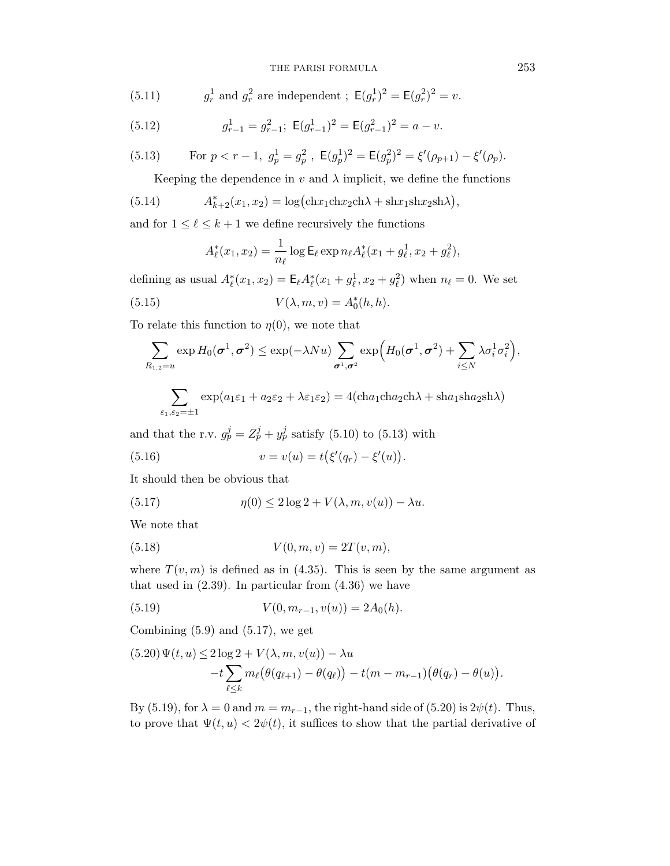#### THE PARISI FORMULA

(5.11) 
$$
g_r^1
$$
 and  $g_r^2$  are independent ;  $E(g_r^1)^2 = E(g_r^2)^2 = v$ .

(5.12) 
$$
g_{r-1}^1 = g_{r-1}^2; \ \mathsf{E}(g_{r-1}^1)^2 = \mathsf{E}(g_{r-1}^2)^2 = a - v.
$$

(5.13) For 
$$
p < r - 1
$$
,  $g_p^1 = g_p^2$ ,  $E(g_p^1)^2 = E(g_p^2)^2 = \xi'(\rho_{p+1}) - \xi'(\rho_p)$ .

Keeping the dependence in  $v$  and  $\lambda$  implicit, we define the functions

(5.14) 
$$
A_{k+2}^*(x_1,x_2) = \log\left(\mathrm{ch}x_1\mathrm{ch}x_2\mathrm{ch}\lambda + \mathrm{sh}x_1\mathrm{sh}x_2\mathrm{sh}\lambda\right),
$$

and for  $1 \leq \ell \leq k+1$  we define recursively the functions

$$
A_{\ell}^{*}(x_1, x_2) = \frac{1}{n_{\ell}} \log \mathsf{E}_{\ell} \exp n_{\ell} A_{\ell}^{*}(x_1 + g_{\ell}^{1}, x_2 + g_{\ell}^{2}),
$$

defining as usual  $A_{\ell}^{*}(x_1, x_2) = \mathsf{E}_{\ell} A_{\ell}^{*}(x_1 + g_{\ell}^1, x_2 + g_{\ell}^2)$  when  $n_{\ell} = 0$ . We set

(5.15) 
$$
V(\lambda, m, v) = A_0^*(h, h).
$$

To relate this function to  $\eta(0)$ , we note that

$$
\sum_{R_{1,2}=u} \exp H_0(\boldsymbol{\sigma}^1, \boldsymbol{\sigma}^2) \leq \exp(-\lambda N u) \sum_{\boldsymbol{\sigma}^1, \boldsymbol{\sigma}^2} \exp\Big(H_0(\boldsymbol{\sigma}^1, \boldsymbol{\sigma}^2) + \sum_{i \leq N} \lambda \sigma_i^1 \sigma_i^2\Big),
$$

$$
\sum_{\varepsilon_1,\varepsilon_2=\pm 1} \exp(a_1\varepsilon_1 + a_2\varepsilon_2 + \lambda\varepsilon_1\varepsilon_2) = 4(\text{ch}a_1\text{ch}a_2\text{ch}\lambda + \text{sh}a_1\text{sh}a_2\text{sh}\lambda)
$$

and that the r.v.  $g_p^j = Z_p^j + y_p^j$  satisfy (5.10) to (5.13) with

(5.16) 
$$
v = v(u) = t(\xi'(q_r) - \xi'(u)).
$$

It should then be obvious that

(5.17) 
$$
\eta(0) \le 2\log 2 + V(\lambda, m, v(u)) - \lambda u.
$$

We note that

(5.18) 
$$
V(0, m, v) = 2T(v, m),
$$

where  $T(v, m)$  is defined as in (4.35). This is seen by the same argument as that used in  $(2.39)$ . In particular from  $(4.36)$  we have

(5.19) 
$$
V(0, m_{r-1}, v(u)) = 2A_0(h).
$$

Combining  $(5.9)$  and  $(5.17)$ , we get

$$
(5.20)\Psi(t, u) \le 2\log 2 + V(\lambda, m, v(u)) - \lambda u
$$
  
-t $\sum_{\ell \le k} m_{\ell}(\theta(q_{\ell+1}) - \theta(q_{\ell})) - t(m - m_{r-1})(\theta(q_r) - \theta(u)).$ 

By (5.19), for  $\lambda = 0$  and  $m = m_{r-1}$ , the right-hand side of (5.20) is  $2\psi(t)$ . Thus, to prove that  $\Psi(t, u) < 2\psi(t)$ , it suffices to show that the partial derivative of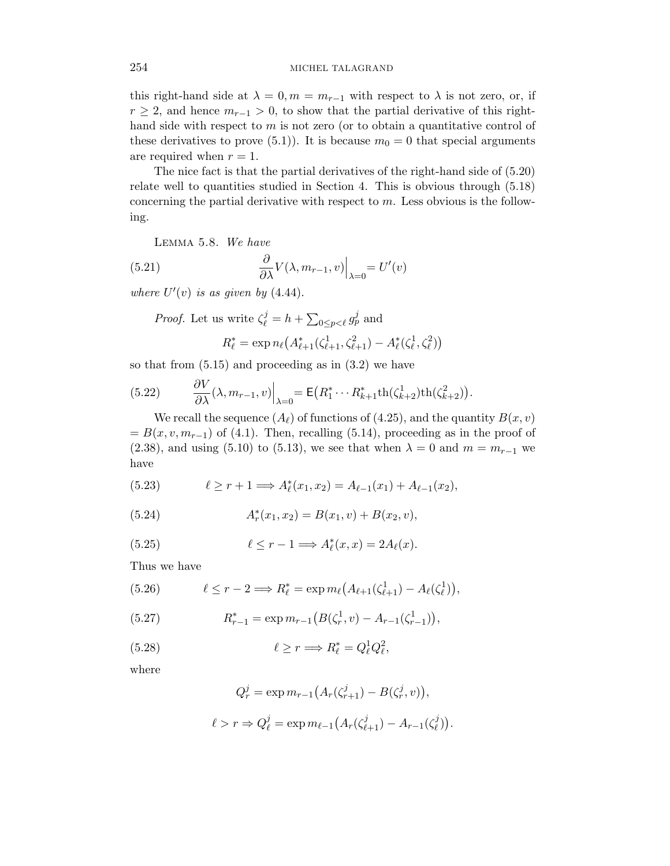this right-hand side at  $\lambda = 0, m = m_{r-1}$  with respect to  $\lambda$  is not zero, or, if  $r \geq 2$ , and hence  $m_{r-1} > 0$ , to show that the partial derivative of this righthand side with respect to *m* is not zero (or to obtain a quantitative control of these derivatives to prove  $(5.1)$ ). It is because  $m_0 = 0$  that special arguments are required when  $r = 1$ .

The nice fact is that the partial derivatives of the right-hand side of (5.20) relate well to quantities studied in Section 4. This is obvious through (5.18) concerning the partial derivative with respect to *m*. Less obvious is the following.

LEMMA 5.8. We have

(5.21) 
$$
\frac{\partial}{\partial \lambda} V(\lambda, m_{r-1}, v)\Big|_{\lambda=0} = U'(v)
$$

where  $U'(v)$  is as given by (4.44).

*Proof.* Let us write 
$$
\zeta_{\ell}^{j} = h + \sum_{0 \le p < \ell} g_{p}^{j}
$$
 and  

$$
R_{\ell}^{*} = \exp n_{\ell} (A_{\ell+1}^{*}(\zeta_{\ell+1}^{1}, \zeta_{\ell+1}^{2}) - A_{\ell}^{*}(\zeta_{\ell}^{1}, \zeta_{\ell}^{2}))
$$

so that from (5.15) and proceeding as in (3.2) we have

(5.22) 
$$
\frac{\partial V}{\partial \lambda}(\lambda, m_{r-1}, v)\Big|_{\lambda=0} = \mathsf{E}\big(R_1^* \cdots R_{k+1}^* \text{th}(\zeta_{k+2}^1) \text{th}(\zeta_{k+2}^2)\big).
$$

We recall the sequence  $(A_{\ell})$  of functions of (4.25), and the quantity  $B(x, v)$  $B(x, v, m_{r-1})$  of (4.1). Then, recalling (5.14), proceeding as in the proof of (2.38), and using (5.10) to (5.13), we see that when  $\lambda = 0$  and  $m = m_{r-1}$  we have

(5.23) 
$$
\ell \ge r + 1 \Longrightarrow A_{\ell}^{*}(x_1, x_2) = A_{\ell-1}(x_1) + A_{\ell-1}(x_2),
$$

(5.24)  $A_r^*(x_1, x_2) = B(x_1, v) + B(x_2, v)$ ,

(5.25) 
$$
\ell \leq r-1 \Longrightarrow A_{\ell}^{*}(x,x) = 2A_{\ell}(x).
$$

Thus we have

(5.26) 
$$
\ell \leq r-2 \Longrightarrow R_{\ell}^* = \exp m_{\ell}(A_{\ell+1}(\zeta_{\ell+1}^1) - A_{\ell}(\zeta_{\ell}^1)),
$$

(5.27) 
$$
R_{r-1}^* = \exp m_{r-1} (B(\zeta_r^1, v) - A_{r-1}(\zeta_{r-1}^1)),
$$

(5.28) 
$$
\ell \ge r \Longrightarrow R_{\ell}^* = Q_{\ell}^1 Q_{\ell}^2,
$$

where

$$
Q_r^j = \exp m_{r-1} (A_r(\zeta_{r+1}^j) - B(\zeta_r^j, v)),
$$
  

$$
\ell > r \Rightarrow Q_\ell^j = \exp m_{\ell-1} (A_r(\zeta_{\ell+1}^j) - A_{r-1}(\zeta_\ell^j))
$$

*.*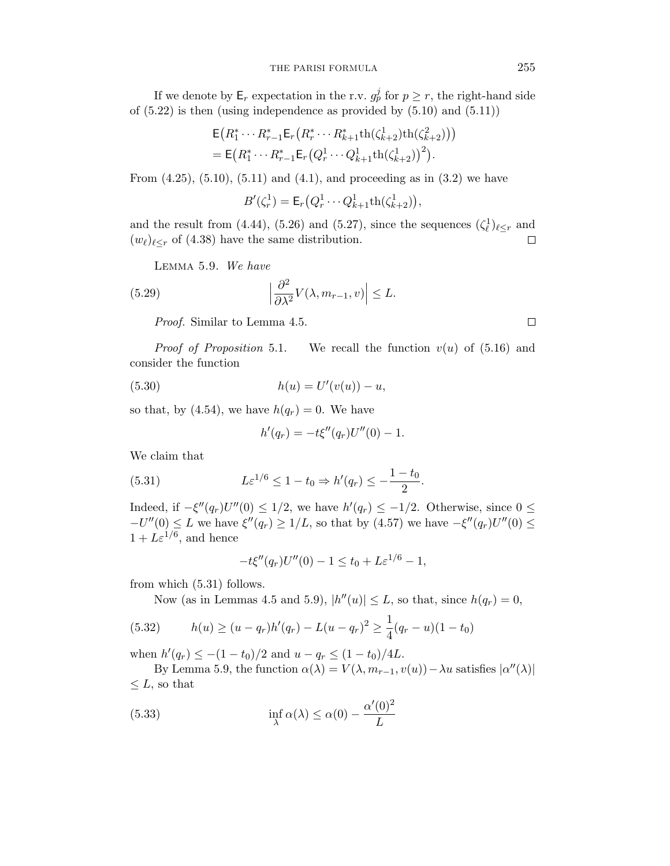If we denote by  $\mathsf{E}_r$  expectation in the r.v.  $g_p^j$  for  $p \geq r$ , the right-hand side of  $(5.22)$  is then (using independence as provided by  $(5.10)$  and  $(5.11)$ )

$$
\mathsf{E}\big(R_1^* \cdots R_{r-1}^* \mathsf{E}_r \big(R_r^* \cdots R_{k+1}^* \text{th}(\zeta_{k+2}^1) \text{th}(\zeta_{k+2}^2)\big)\big) \n= \mathsf{E}\big(R_1^* \cdots R_{r-1}^* \mathsf{E}_r \big(Q_r^1 \cdots Q_{k+1}^1 \text{th}(\zeta_{k+2}^1)\big)^2\big).
$$

From  $(4.25)$ ,  $(5.10)$ ,  $(5.11)$  and  $(4.1)$ , and proceeding as in  $(3.2)$  we have

$$
B'(\zeta_r^1) = \mathsf{E}_r(Q_r^1 \cdots Q_{k+1}^1 \text{th}(\zeta_{k+2}^1)),
$$

and the result from (4.44), (5.26) and (5.27), since the sequences  $(\zeta_{\ell}^1)_{\ell \leq r}$  and  $(w_{\ell})_{\ell \leq r}$  of (4.38) have the same distribution.  $\Box$ 

LEMMA 5.9. We have

(5.29) 
$$
\left|\frac{\partial^2}{\partial \lambda^2}V(\lambda, m_{r-1}, v)\right| \leq L.
$$

Proof. Similar to Lemma 4.5.

*Proof of Proposition* 5.1. We recall the function  $v(u)$  of (5.16) and consider the function

(5.30) 
$$
h(u) = U'(v(u)) - u,
$$

so that, by (4.54), we have  $h(q_r) = 0$ . We have

$$
h'(q_r) = -t\xi''(q_r)U''(0) - 1.
$$

We claim that

(5.31) 
$$
L\varepsilon^{1/6} \le 1 - t_0 \Rightarrow h'(q_r) \le -\frac{1 - t_0}{2}
$$
.

Indeed, if  $-\xi''(q_r)U''(0) \leq 1/2$ , we have  $h'(q_r) \leq -1/2$ . Otherwise, since  $0 \leq$  $-U''(0) \leq L$  we have  $\xi''(q_r) \geq 1/L$ , so that by (4.57) we have  $-\xi''(q_r)U''(0) \leq$  $1 + L\varepsilon^{1/6}$ , and hence

$$
-t\xi''(q_r)U''(0) - 1 \le t_0 + L\varepsilon^{1/6} - 1,
$$

from which (5.31) follows.

Now (as in Lemmas 4.5 and 5.9),  $|h''(u)| \leq L$ , so that, since  $h(q_r) = 0$ ,

(5.32) 
$$
h(u) \ge (u - q_r)h'(q_r) - L(u - q_r)^2 \ge \frac{1}{4}(q_r - u)(1 - t_0)
$$

when  $h'(q_r) \leq -(1-t_0)/2$  and  $u - q_r \leq (1-t_0)/4L$ .

By Lemma 5.9, the function  $\alpha(\lambda) = V(\lambda, m_{r-1}, v(u)) - \lambda u$  satisfies  $|\alpha''(\lambda)|$  $\leq L$ , so that

(5.33) 
$$
\inf_{\lambda} \alpha(\lambda) \le \alpha(0) - \frac{\alpha'(0)^2}{L}
$$

 $\Box$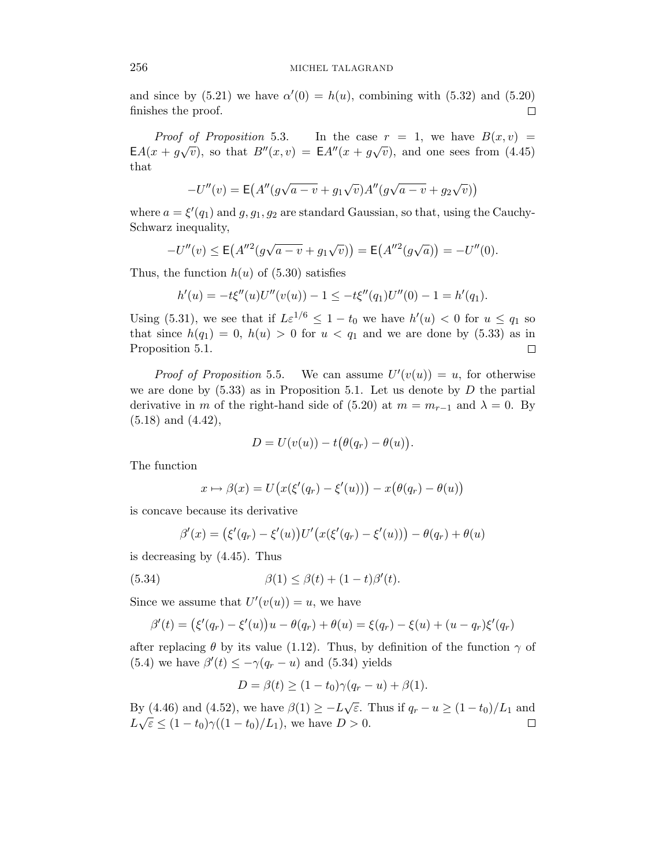and since by  $(5.21)$  we have  $\alpha'(0) = h(u)$ , combining with  $(5.32)$  and  $(5.20)$ finishes the proof.  $\Box$ 

*Proof of Proposition* 5.3. In the case  $r = 1$ , we have  $B(x, v) =$  $E_A(x + g\sqrt{v})$ , so that  $B''(x, v) = E A''(x + g\sqrt{v})$ , and one sees from (4.45) that

$$
-U''(v) = \mathsf{E}\left(A''(g\sqrt{a-v} + g_1\sqrt{v})A''(g\sqrt{a-v} + g_2\sqrt{v})\right)
$$

where  $a = \xi'(q_1)$  and  $g, g_1, g_2$  are standard Gaussian, so that, using the Cauchy-Schwarz inequality,

$$
-U''(v) \le \mathsf{E}\big(A''^2(g\sqrt{a-v} + g_1\sqrt{v})\big) = \mathsf{E}\big(A''^2(g\sqrt{a})\big) = -U''(0).
$$

Thus, the function  $h(u)$  of  $(5.30)$  satisfies

$$
h'(u) = -t\xi''(u)U''(v(u)) - 1 \le -t\xi''(q_1)U''(0) - 1 = h'(q_1).
$$

Using (5.31), we see that if  $L\varepsilon^{1/6} \leq 1 - t_0$  we have  $h'(u) < 0$  for  $u \leq q_1$  so that since  $h(q_1) = 0$ ,  $h(u) > 0$  for  $u < q_1$  and we are done by (5.33) as in Proposition 5.1.  $\Box$ 

*Proof of Proposition* 5.5. We can assume  $U'(v(u)) = u$ , for otherwise we are done by (5.33) as in Proposition 5.1. Let us denote by *D* the partial derivative in *m* of the right-hand side of (5.20) at  $m = m_{r-1}$  and  $\lambda = 0$ . By  $(5.18)$  and  $(4.42)$ ,

$$
D = U(v(u)) - t(\theta(q_r) - \theta(u)).
$$

The function

$$
x \mapsto \beta(x) = U\big(x(\xi'(q_r) - \xi'(u))\big) - x\big(\theta(q_r) - \theta(u)\big)
$$

is concave because its derivative

$$
\beta'(x) = (\xi'(q_r) - \xi'(u))U'(x(\xi'(q_r) - \xi'(u))) - \theta(q_r) + \theta(u)
$$

is decreasing by (4.45). Thus

(5.34) 
$$
\beta(1) \leq \beta(t) + (1-t)\beta'(t).
$$

Since we assume that  $U'(v(u)) = u$ , we have

$$
\beta'(t) = (\xi'(q_r) - \xi'(u))u - \theta(q_r) + \theta(u) = \xi(q_r) - \xi(u) + (u - q_r)\xi'(q_r)
$$

after replacing  $\theta$  by its value (1.12). Thus, by definition of the function  $\gamma$  of (5.4) we have  $\beta'(t) \leq -\gamma(q_r - u)$  and (5.34) yields

$$
D = \beta(t) \ge (1 - t_0)\gamma(q_r - u) + \beta(1).
$$

By (4.46) and (4.52), we have  $\beta(1) \ge -L\sqrt{\varepsilon}$ . Thus if  $q_r - u \ge (1 - t_0)/L_1$  and  $L\sqrt{\varepsilon} \leq (1 - t_0)\gamma((1 - t_0)/L_1)$ , we have  $D > 0$ .  $\Box$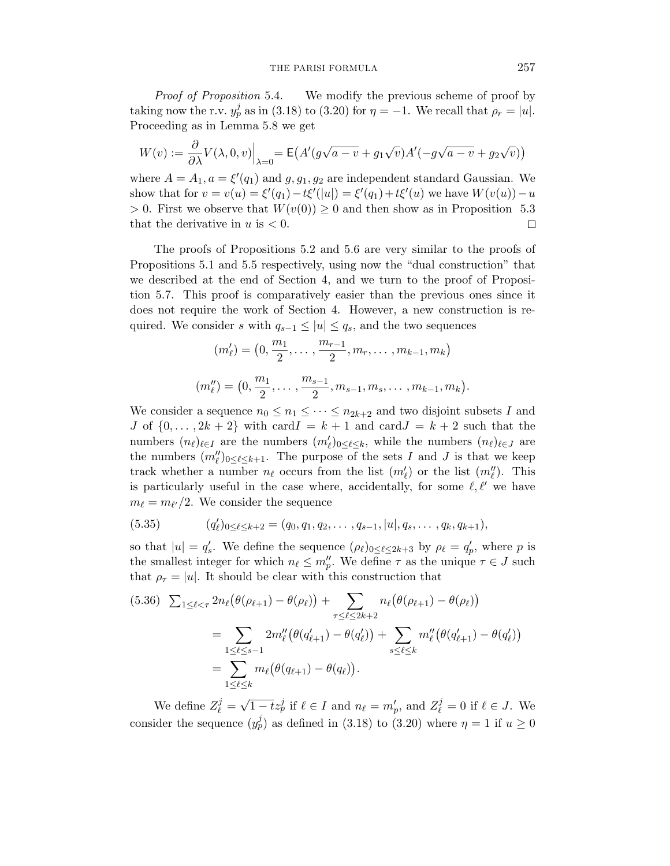Proof of Proposition 5.4. We modify the previous scheme of proof by taking now the r.v.  $y_p^j$  as in (3.18) to (3.20) for  $\eta = -1$ . We recall that  $\rho_r = |u|$ . Proceeding as in Lemma 5.8 we get

$$
W(v):=\frac{\partial}{\partial \lambda} V(\lambda,0,v)\Big|_{\lambda=0}=\mathsf{E}\big(A'(g\sqrt{a-v}+g_1\sqrt{v})A'(-g\sqrt{a-v}+g_2\sqrt{v})\big)
$$

where  $A = A_1, a = \xi'(q_1)$  and  $g, g_1, g_2$  are independent standard Gaussian. We show that for  $v = v(u) = \xi'(q_1) - t\xi'(u) = \xi'(q_1) + t\xi'(u)$  we have  $W(v(u)) - u$  $> 0$ . First we observe that  $W(v(0)) \geq 0$  and then show as in Proposition 5.3 that the derivative in  $u$  is  $\leq 0$ .  $\Box$ 

The proofs of Propositions 5.2 and 5.6 are very similar to the proofs of Propositions 5.1 and 5.5 respectively, using now the "dual construction" that we described at the end of Section 4, and we turn to the proof of Proposition 5.7. This proof is comparatively easier than the previous ones since it does not require the work of Section 4. However, a new construction is required. We consider *s* with  $q_{s-1} \leq |u| \leq q_s$ , and the two sequences

$$
(m'_{\ell}) = \left(0, \frac{m_1}{2}, \dots, \frac{m_{r-1}}{2}, m_r, \dots, m_{k-1}, m_k\right)
$$
  

$$
(m''_{\ell}) = \left(0, \frac{m_1}{2}, \dots, \frac{m_{s-1}}{2}, m_{s-1}, m_s, \dots, m_{k-1}, m_k\right).
$$

We consider a sequence  $n_0 \leq n_1 \leq \cdots \leq n_{2k+2}$  and two disjoint subsets *I* and *J* of  $\{0, \ldots, 2k + 2\}$  with card $I = k + 1$  and card $J = k + 2$  such that the numbers  $(n_{\ell})_{\ell \in I}$  are the numbers  $(m'_{\ell})_{0 \leq \ell \leq k}$ , while the numbers  $(n_{\ell})_{\ell \in J}$  are the numbers  $(m''_l)_{0 \leq l \leq k+1}$ . The purpose of the sets *I* and *J* is that we keep track whether a number  $n_{\ell}$  occurs from the list  $(m'_{\ell})$  or the list  $(m''_{\ell})$ . This is particularly useful in the case where, accidentally, for some  $\ell, \ell'$  we have  $m_{\ell} = m_{\ell'}/2$ . We consider the sequence

(5.35) 
$$
(q'_\ell)_{0 \leq \ell \leq k+2} = (q_0, q_1, q_2, \ldots, q_{s-1}, |u|, q_s, \ldots, q_k, q_{k+1}),
$$

so that  $|u| = q'_s$ . We define the sequence  $(\rho_\ell)_{0 \leq \ell \leq 2k+3}$  by  $\rho_\ell = q'_p$ , where p is the smallest integer for which  $n_{\ell} \leq m''_p$ . We define  $\tau$  as the unique  $\tau \in J$  such that  $\rho_{\tau} = |u|$ . It should be clear with this construction that

$$
(5.36) \sum_{1 \leq \ell < \tau} 2n_{\ell} \big(\theta(\rho_{\ell+1}) - \theta(\rho_{\ell})\big) + \sum_{\tau \leq \ell \leq 2k+2} n_{\ell} \big(\theta(\rho_{\ell+1}) - \theta(\rho_{\ell})\big) = \sum_{1 \leq \ell \leq s-1} 2m_{\ell}'' \big(\theta(q_{\ell+1}') - \theta(q_{\ell}')\big) + \sum_{s \leq \ell \leq k} m_{\ell}'' \big(\theta(q_{\ell+1}') - \theta(q_{\ell})\big) = \sum_{1 \leq \ell \leq k} m_{\ell} \big(\theta(q_{\ell+1}) - \theta(q_{\ell})\big).
$$

We define  $Z_{\ell}^{j} = \sqrt{1 - tz_{p}^{j}}$  if  $\ell \in I$  and  $n_{\ell} = m_{p}'$ , and  $Z_{\ell}^{j} = 0$  if  $\ell \in J$ . We consider the sequence  $(y_p^j)$  as defined in (3.18) to (3.20) where  $\eta = 1$  if  $u \ge 0$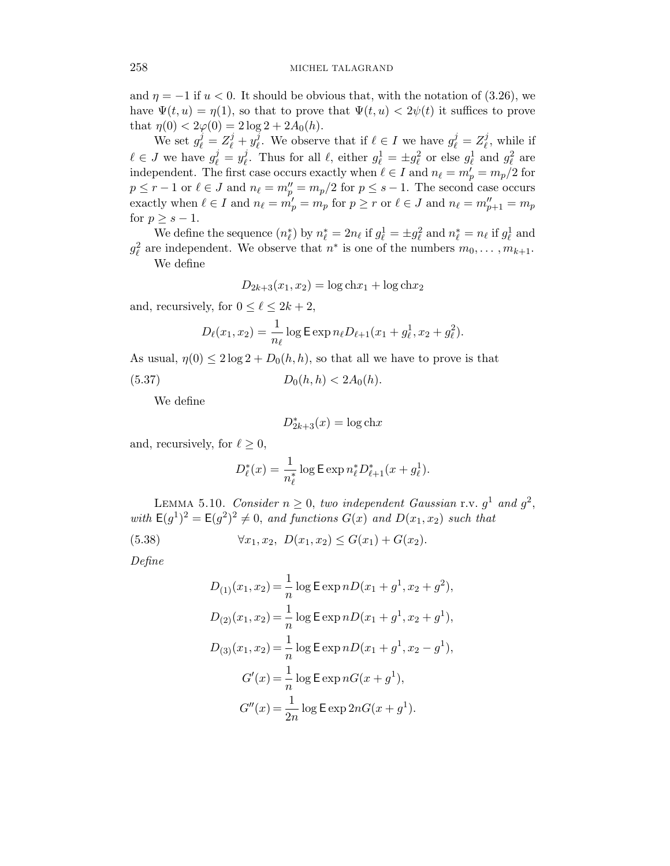and  $\eta = -1$  if  $u < 0$ . It should be obvious that, with the notation of (3.26), we have  $\Psi(t, u) = \eta(1)$ , so that to prove that  $\Psi(t, u) < 2\psi(t)$  it suffices to prove that  $\eta(0) < 2\varphi(0) = 2\log 2 + 2A_0(h)$ .

We set  $g_{\ell}^{j} = Z_{\ell}^{j} + y_{\ell}^{j}$ . We observe that if  $\ell \in I$  we have  $g_{\ell}^{j} = Z_{\ell}^{j}$ , while if  $\ell \in J$  we have  $g_{\ell}^j = y_{\ell}^j$ . Thus for all  $\ell$ , either  $g_{\ell}^1 = \pm g_{\ell}^2$  or else  $g_{\ell}^1$  and  $g_{\ell}^2$  are independent. The first case occurs exactly when  $l \in I$  and  $n_{\ell} = m'_{p} = m_{p}/2$  for  $p \leq r - 1$  or  $\ell \in J$  and  $n_{\ell} = m''_p = m_p/2$  for  $p \leq s - 1$ . The second case occurs exactly when  $\ell \in I$  and  $n_{\ell} = m'_{p} = m_{p}$  for  $p \ge r$  or  $\ell \in J$  and  $n_{\ell} = m''_{p+1} = m_{p}$ for  $p \geq s - 1$ .

We define the sequence  $(n_{\ell}^{*})$  by  $n_{\ell}^{*} = 2n_{\ell}$  if  $g_{\ell}^{1} = \pm g_{\ell}^{2}$  and  $n_{\ell}^{*} = n_{\ell}$  if  $g_{\ell}^{1}$  and  $g_{\ell}^2$  are independent. We observe that  $n^*$  is one of the numbers  $m_0, \ldots, m_{k+1}$ . We define

$$
D_{2k+3}(x_1, x_2) = \log \mathrm{ch} x_1 + \log \mathrm{ch} x_2
$$

and, recursively, for  $0 \leq \ell \leq 2k + 2$ ,

$$
D_{\ell}(x_1, x_2) = \frac{1}{n_{\ell}} \log \mathsf{E} \exp n_{\ell} D_{\ell+1}(x_1 + g_{\ell}^1, x_2 + g_{\ell}^2).
$$

As usual,  $\eta(0) \leq 2 \log 2 + D_0(h, h)$ , so that all we have to prove is that

$$
(5.37) \t\t D_0(h,h) < 2A_0(h).
$$

We define

$$
D_{2k+3}^*(x) = \log \text{ch} x
$$

and, recursively, for  $\ell \geq 0$ ,

$$
D_{\ell}^{*}(x) = \frac{1}{n_{\ell}^{*}} \log \mathsf{E} \exp n_{\ell}^{*} D_{\ell+1}^{*}(x + g_{\ell}^{1}).
$$

LEMMA 5.10. Consider  $n \geq 0$ , two independent Gaussian r.v.  $g^1$  and  $g^2$ , with  $E(g^1)^2 = E(g^2)^2 \neq 0$ , and functions  $G(x)$  and  $D(x_1, x_2)$  such that

(5.38) 
$$
\forall x_1, x_2, D(x_1, x_2) \le G(x_1) + G(x_2).
$$

Define

$$
D_{(1)}(x_1, x_2) = \frac{1}{n} \log \mathsf{E} \exp nD(x_1 + g^1, x_2 + g^2),
$$
  
\n
$$
D_{(2)}(x_1, x_2) = \frac{1}{n} \log \mathsf{E} \exp nD(x_1 + g^1, x_2 + g^1),
$$
  
\n
$$
D_{(3)}(x_1, x_2) = \frac{1}{n} \log \mathsf{E} \exp nD(x_1 + g^1, x_2 - g^1),
$$
  
\n
$$
G'(x) = \frac{1}{n} \log \mathsf{E} \exp nG(x + g^1),
$$
  
\n
$$
G''(x) = \frac{1}{2n} \log \mathsf{E} \exp 2nG(x + g^1).
$$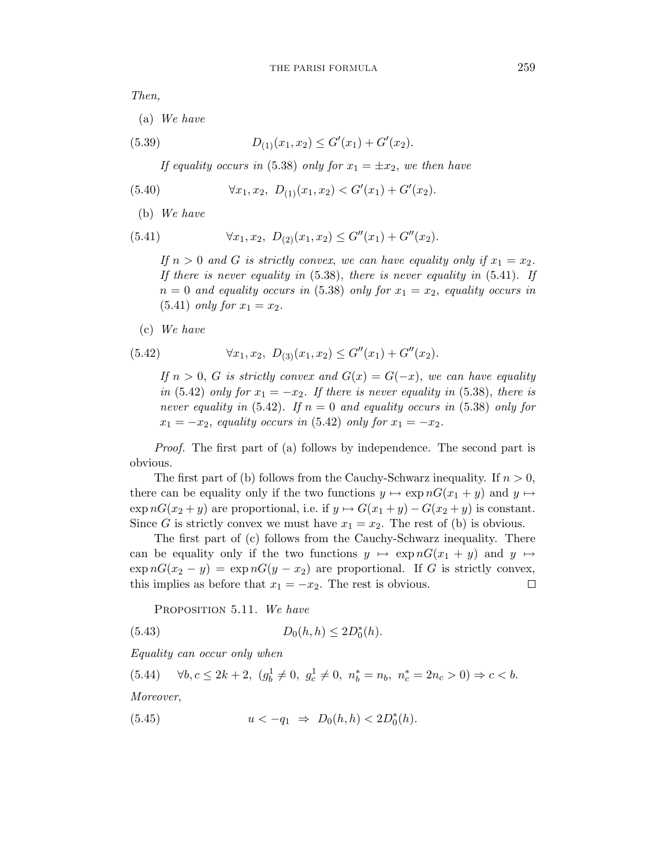Then,

(a) We have

(5.39) 
$$
D_{(1)}(x_1, x_2) \le G'(x_1) + G'(x_2).
$$

If equality occurs in (5.38) only for  $x_1 = \pm x_2$ , we then have

(5.40) 
$$
\forall x_1, x_2, D_{(1)}(x_1, x_2) < G'(x_1) + G'(x_2).
$$

(b) We have

(5.41) 
$$
\forall x_1, x_2, D_{(2)}(x_1, x_2) \le G''(x_1) + G''(x_2).
$$

If  $n > 0$  and G is strictly convex, we can have equality only if  $x_1 = x_2$ . If there is never equality in  $(5.38)$ , there is never equality in  $(5.41)$ . If  $n = 0$  and equality occurs in (5.38) only for  $x_1 = x_2$ , equality occurs in  $(5.41)$  *only for*  $x_1 = x_2$ .

(c) We have

(5.42) 
$$
\forall x_1, x_2, D_{(3)}(x_1, x_2) \le G''(x_1) + G''(x_2).
$$

If  $n > 0$ , *G* is strictly convex and  $G(x) = G(-x)$ , we can have equality in (5.42) only for  $x_1 = -x_2$ . If there is never equality in (5.38), there is never equality in  $(5.42)$ . If  $n = 0$  and equality occurs in  $(5.38)$  only for  $x_1 = -x_2$ , equality occurs in (5.42) only for  $x_1 = -x_2$ .

Proof. The first part of (a) follows by independence. The second part is obvious.

The first part of (b) follows from the Cauchy-Schwarz inequality. If  $n > 0$ , there can be equality only if the two functions  $y \mapsto \exp nG(x_1 + y)$  and  $y \mapsto$  $\exp nG(x_2 + y)$  are proportional, i.e. if  $y \mapsto G(x_1 + y) - G(x_2 + y)$  is constant. Since *G* is strictly convex we must have  $x_1 = x_2$ . The rest of (b) is obvious.

The first part of (c) follows from the Cauchy-Schwarz inequality. There can be equality only if the two functions  $y \mapsto \exp nG(x_1 + y)$  and  $y \mapsto$  $\exp nG(x_2 - y) = \exp nG(y - x_2)$  are proportional. If G is strictly convex, this implies as before that  $x_1 = -x_2$ . The rest is obvious. □

PROPOSITION 5.11. We have

(5.43) 
$$
D_0(h, h) \leq 2D_0^*(h).
$$

Equality can occur only when

 $(5.44)$   $\forall b, c \leq 2k+2, (g_b^1 \neq 0, g_c^1 \neq 0, n_b^* = n_b, n_c^* = 2n_c > 0) \Rightarrow c < b.$ Moreover,

(5.45) 
$$
u < -q_1 \Rightarrow D_0(h, h) < 2D_0^*(h)
$$
.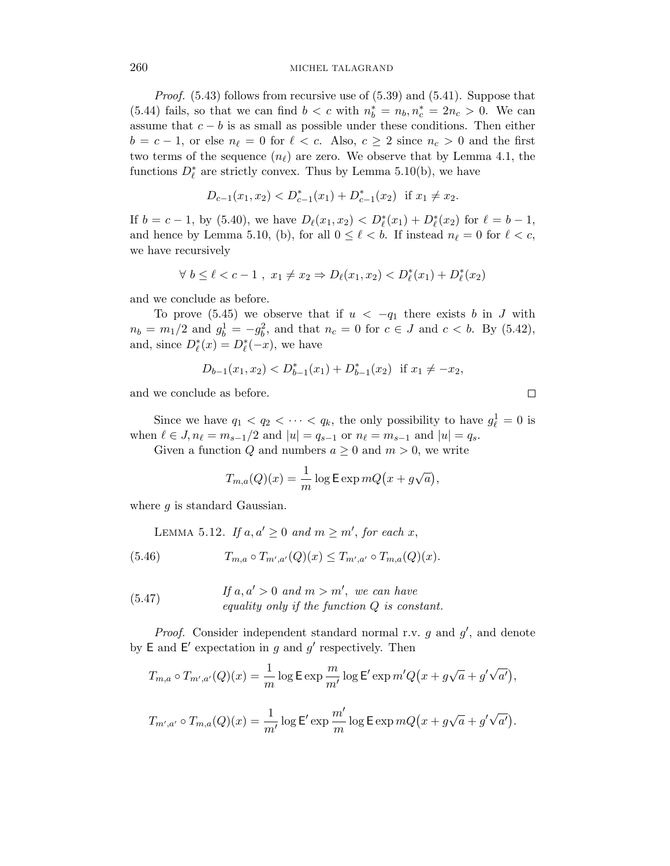Proof. (5.43) follows from recursive use of (5.39) and (5.41). Suppose that (5.44) fails, so that we can find  $b < c$  with  $n_b^* = n_b$ ,  $n_c^* = 2n_c > 0$ . We can assume that  $c - b$  is as small as possible under these conditions. Then either  $b = c - 1$ , or else  $n_{\ell} = 0$  for  $\ell < c$ . Also,  $c \geq 2$  since  $n_c > 0$  and the first two terms of the sequence  $(n_\ell)$  are zero. We observe that by Lemma 4.1, the functions  $D_{\ell}^*$  are strictly convex. Thus by Lemma 5.10(b), we have

$$
D_{c-1}(x_1, x_2) < D_{c-1}^*(x_1) + D_{c-1}^*(x_2) \quad \text{if } x_1 \neq x_2.
$$

If  $b = c - 1$ , by (5.40), we have  $D_{\ell}(x_1, x_2) < D_{\ell}^{*}(x_1) + D_{\ell}^{*}(x_2)$  for  $\ell = b - 1$ , and hence by Lemma 5.10, (b), for all  $0 \leq \ell < b$ . If instead  $n_{\ell} = 0$  for  $\ell < c$ , we have recursively

$$
\forall b \leq \ell < c - 1 , x_1 \neq x_2 \Rightarrow D_{\ell}(x_1, x_2) < D_{\ell}^*(x_1) + D_{\ell}^*(x_2)
$$

and we conclude as before.

To prove (5.45) we observe that if  $u < -q_1$  there exists *b* in *J* with  $n_b = m_1/2$  and  $g_b^1 = -g_b^2$ , and that  $n_c = 0$  for  $c \in J$  and  $c < b$ . By (5.42), and, since  $D_{\ell}^*(x) = D_{\ell}^*(-x)$ , we have

$$
D_{b-1}(x_1, x_2) < D_{b-1}^*(x_1) + D_{b-1}^*(x_2) \quad \text{if } x_1 \neq -x_2,
$$

and we conclude as before.

Since we have  $q_1 < q_2 < \cdots < q_k$ , the only possibility to have  $g_{\ell}^1 = 0$  is when  $\ell \in J$ ,  $n_{\ell} = m_{s-1}/2$  and  $|u| = q_{s-1}$  or  $n_{\ell} = m_{s-1}$  and  $|u| = q_s$ .

Given a function *Q* and numbers  $a \geq 0$  and  $m > 0$ , we write

$$
T_{m,a}(Q)(x) = \frac{1}{m} \log \mathsf{E} \exp mQ(x + g\sqrt{a}),
$$

where *g* is standard Gaussian.

LEMMA 5.12. If  $a, a' \geq 0$  and  $m \geq m'$ , for each *x*,

(5.46) 
$$
T_{m,a} \circ T_{m',a'}(Q)(x) \leq T_{m',a'} \circ T_{m,a}(Q)(x).
$$

(5.47) If 
$$
a, a' > 0
$$
 and  $m > m'$ , we can have  
equality only if the function Q is constant.

*Proof.* Consider independent standard normal r.v.  $g$  and  $g'$ , and denote by  $E$  and  $E'$  expectation in  $g$  and  $g'$  respectively. Then

$$
T_{m,a} \circ T_{m',a'}(Q)(x) = \frac{1}{m} \log \mathsf{E} \exp \frac{m}{m'} \log \mathsf{E}' \exp m'Q\big(x + g\sqrt{a} + g'\sqrt{a'}\big),
$$
  

$$
T_{m',a'} \circ T_{m,a}(Q)(x) = \frac{1}{m'} \log \mathsf{E}' \exp \frac{m'}{m} \log \mathsf{E} \exp mQ\big(x + g\sqrt{a} + g'\sqrt{a'}\big).
$$

$$
\qquad \qquad \Box
$$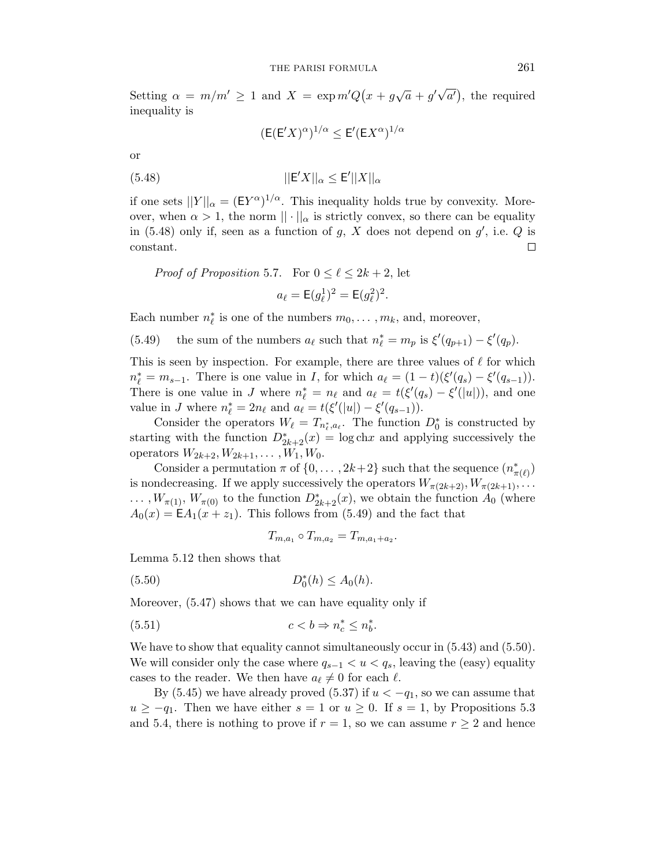Setting  $\alpha = m/m' \ge 1$  and  $X = \exp(m'Q(x + g\sqrt{a} + g'\sqrt{a}))$  $\overline{a'}$ , the required inequality is

$$
(\mathsf{E}(\mathsf{E}'X)^{\alpha})^{1/\alpha} \le \mathsf{E}'(\mathsf{E}X^{\alpha})^{1/\alpha}
$$

or

(5.48) 
$$
||\mathsf{E}'X||_{\alpha} \leq \mathsf{E}'||X||_{\alpha}
$$

if one sets  $||Y||_{\alpha} = (EY^{\alpha})^{1/\alpha}$ . This inequality holds true by convexity. Moreover, when  $\alpha > 1$ , the norm  $|| \cdot ||_{\alpha}$  is strictly convex, so there can be equality in (5.48) only if, seen as a function of  $g$ ,  $X$  does not depend on  $g'$ , i.e.  $Q$  is constant.  $\Box$ 

*Proof of Proposition* 5.7. For  $0 \leq \ell \leq 2k + 2$ , let

$$
a_{\ell} = \mathsf{E}(g_{\ell}^1)^2 = \mathsf{E}(g_{\ell}^2)^2.
$$

Each number  $n_{\ell}^{*}$  is one of the numbers  $m_0, \ldots, m_k$ , and, moreover,

(5.49) the sum of the numbers  $a_{\ell}$  such that  $n_{\ell}^* = m_p$  is  $\xi'(q_{p+1}) - \xi'(q_p)$ .

This is seen by inspection. For example, there are three values of  $\ell$  for which  $n_{\ell}^{*} = m_{s-1}$ . There is one value in *I*, for which  $a_{\ell} = (1 - t)(\xi'(q_s) - \xi'(q_{s-1}))$ . There is one value in *J* where  $n_{\ell}^{*} = n_{\ell}$  and  $a_{\ell} = t(\xi'(q_s) - \xi'(u|))$ , and one value in *J* where  $n_{\ell}^{*} = 2n_{\ell}$  and  $a_{\ell} = t(\xi'(|u|) - \xi'(q_{s-1}))$ .

Consider the operators  $W_{\ell} = T_{n_{\ell}^{*}, a_{\ell}}$ . The function  $D_{0}^{*}$  is constructed by starting with the function  $D_{2k+2}^*(x) = \log \text{ch}x$  and applying successively the operators  $W_{2k+2}, W_{2k+1}, \ldots, W_1, W_0$ .

Consider a permutation  $\pi$  of  $\{0, \ldots, 2k+2\}$  such that the sequence  $(n^*_{\pi(\ell)})$ is nondecreasing. If we apply successively the operators  $W_{\pi(2k+2)}, W_{\pi(2k+1)}, \ldots$  $\ldots$ ,  $W_{\pi(1)}$ ,  $W_{\pi(0)}$  to the function  $D_{2k+2}^*(x)$ , we obtain the function  $A_0$  (where  $A_0(x) = \mathsf{E}A_1(x+z_1)$ . This follows from (5.49) and the fact that

$$
T_{m,a_1} \circ T_{m,a_2} = T_{m,a_1+a_2}.
$$

Lemma 5.12 then shows that

(5.50) 
$$
D_0^*(h) \le A_0(h).
$$

Moreover, (5.47) shows that we can have equality only if

(5.51) 
$$
c < b \Rightarrow n_c^* \le n_b^*.
$$

We have to show that equality cannot simultaneously occur in  $(5.43)$  and  $(5.50)$ . We will consider only the case where  $q_{s-1} < u < q_s$ , leaving the (easy) equality cases to the reader. We then have  $a_{\ell} \neq 0$  for each  $\ell$ .

By (5.45) we have already proved (5.37) if  $u < -q_1$ , so we can assume that *u* ≥ −*q*<sub>1</sub>. Then we have either *s* = 1 or *u* ≥ 0. If *s* = 1, by Propositions 5.3 and 5.4, there is nothing to prove if  $r = 1$ , so we can assume  $r \geq 2$  and hence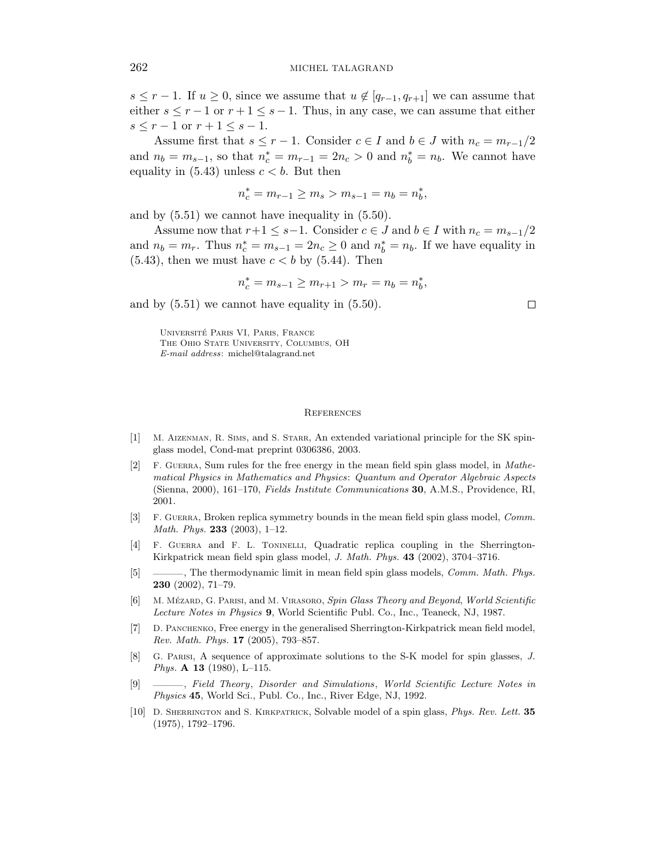*s* ≤ *r* − 1. If *u* ≥ 0, since we assume that  $u \notin [q_{r-1}, q_{r+1}]$  we can assume that either  $s \leq r - 1$  or  $r + 1 \leq s - 1$ . Thus, in any case, we can assume that either  $s \leq r - 1$  or  $r + 1 \leq s - 1$ .

Assume first that  $s \leq r - 1$ . Consider  $c \in I$  and  $b \in J$  with  $n_c = m_{r-1}/2$ and  $n_b = m_{s-1}$ , so that  $n_c^* = m_{r-1} = 2n_c > 0$  and  $n_b^* = n_b$ . We cannot have equality in  $(5.43)$  unless  $c < b$ . But then

$$
n_c^* = m_{r-1} \ge m_s > m_{s-1} = n_b = n_b^*,
$$

and by (5.51) we cannot have inequality in (5.50).

Assume now that  $r+1 \leq s-1$ . Consider  $c \in J$  and  $b \in I$  with  $n_c = m_{s-1}/2$ and  $n_b = m_r$ . Thus  $n_c^* = m_{s-1} = 2n_c \ge 0$  and  $n_b^* = n_b$ . If we have equality in  $(5.43)$ , then we must have  $c < b$  by  $(5.44)$ . Then

$$
n_c^* = m_{s-1} \ge m_{r+1} > m_r = n_b = n_b^*,
$$

and by (5.51) we cannot have equality in (5.50).

Universite Paris VI, Paris, France ´ The Ohio State University, Columbus, OH *E-mail address*: michel@talagrand.net

# References

- [1] M. Aizenman, R. Sims, and S. Starr, An extended variational principle for the SK spinglass model, Cond-mat preprint 0306386, 2003.
- [2] F. Guerra, Sum rules for the free energy in the mean field spin glass model, in *Mathematical Physics in Mathematics and Physics*: *Quantum and Operator Algebraic Aspects* (Sienna, 2000), 161–170, *Fields Institute Communications* **30**, A.M.S., Providence, RI, 2001.
- [3] F. Guerra, Broken replica symmetry bounds in the mean field spin glass model, *Comm. Math. Phys.* **233** (2003), 1–12.
- [4] F. Guerra and F. L. Toninelli, Quadratic replica coupling in the Sherrington-Kirkpatrick mean field spin glass model, *J. Math. Phys.* **43** (2002), 3704–3716.
- [5] ———, The thermodynamic limit in mean field spin glass models, *Comm. Math. Phys.* **230** (2002), 71–79.
- [6] M. Mezard ´ , G. Parisi, and M. Virasoro, *Spin Glass Theory and Beyond*, *World Scientific Lecture Notes in Physics* **9**, World Scientific Publ. Co., Inc., Teaneck, NJ, 1987.
- [7] D. PANCHENKO, Free energy in the generalised Sherrington-Kirkpatrick mean field model, *Rev. Math. Phys.* **17** (2005), 793–857.
- [8] G. Parisi, A sequence of approximate solutions to the S-K model for spin glasses, *J. Phys.* **A 13** (1980), L–115.
- [9] ———, *Field Theory*, *Disorder and Simulations*, *World Scientific Lecture Notes in Physics* **45**, World Sci., Publ. Co., Inc., River Edge, NJ, 1992.
- [10] D. Sherrington and S. Kirkpatrick, Solvable model of a spin glass, *Phys. Rev. Lett.* **35** (1975), 1792–1796.

 $\Box$